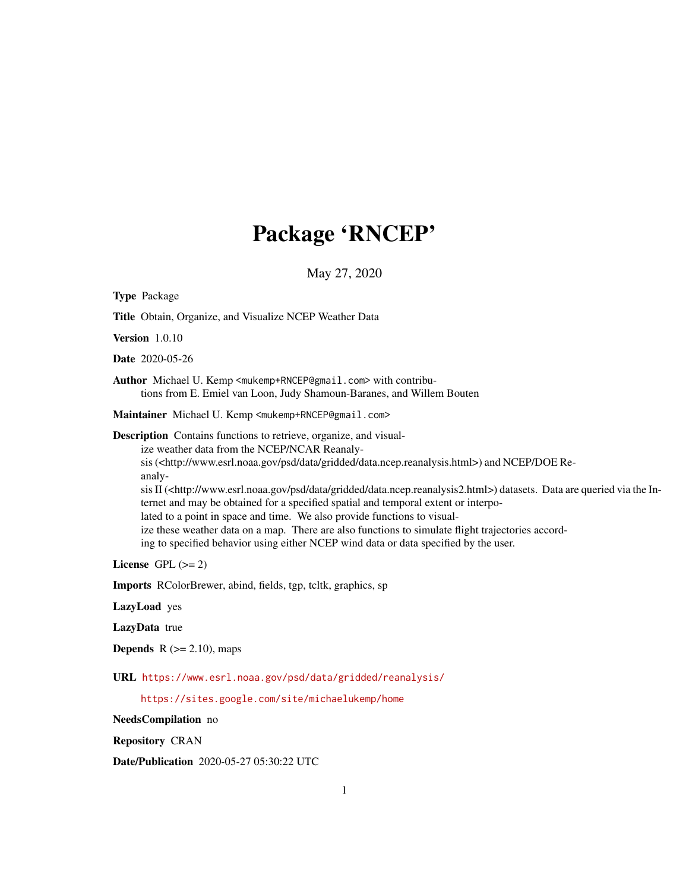# Package 'RNCEP'

May 27, 2020

<span id="page-0-0"></span>

| <b>Type Package</b>                                                                                                                                                                                                                                                                                                                                                                                                                                                                                                                                                                                                                                                                                                                                                     |
|-------------------------------------------------------------------------------------------------------------------------------------------------------------------------------------------------------------------------------------------------------------------------------------------------------------------------------------------------------------------------------------------------------------------------------------------------------------------------------------------------------------------------------------------------------------------------------------------------------------------------------------------------------------------------------------------------------------------------------------------------------------------------|
| Title Obtain, Organize, and Visualize NCEP Weather Data                                                                                                                                                                                                                                                                                                                                                                                                                                                                                                                                                                                                                                                                                                                 |
| <b>Version</b> 1.0.10                                                                                                                                                                                                                                                                                                                                                                                                                                                                                                                                                                                                                                                                                                                                                   |
| Date 2020-05-26                                                                                                                                                                                                                                                                                                                                                                                                                                                                                                                                                                                                                                                                                                                                                         |
| Author Michael U. Kemp <mukemp+rncep@gmail.com> with contribu-<br/>tions from E. Emiel van Loon, Judy Shamoun-Baranes, and Willem Bouten</mukemp+rncep@gmail.com>                                                                                                                                                                                                                                                                                                                                                                                                                                                                                                                                                                                                       |
| Maintainer Michael U. Kemp <mukemp+rncep@gmail.com></mukemp+rncep@gmail.com>                                                                                                                                                                                                                                                                                                                                                                                                                                                                                                                                                                                                                                                                                            |
| Description Contains functions to retrieve, organize, and visual-<br>ize weather data from the NCEP/NCAR Reanaly-<br>sis ( <http: data="" data.ncep.reanalysis.html="" gridded="" psd="" www.esrl.noaa.gov="">) and NCEP/DOE Re-<br/>analy-<br/>sis II (<http: data="" data.ncep.reanalysis2.html="" gridded="" psd="" www.esrl.noaa.gov="">) datasets. Data are queried via the In-<br/>ternet and may be obtained for a specified spatial and temporal extent or interpo-<br/>lated to a point in space and time. We also provide functions to visual-<br/>ize these weather data on a map. There are also functions to simulate flight trajectories accord-<br/>ing to specified behavior using either NCEP wind data or data specified by the user.</http:></http:> |
| License GPL $(>= 2)$                                                                                                                                                                                                                                                                                                                                                                                                                                                                                                                                                                                                                                                                                                                                                    |
| Imports RColorBrewer, abind, fields, tgp, tcltk, graphics, sp                                                                                                                                                                                                                                                                                                                                                                                                                                                                                                                                                                                                                                                                                                           |
| LazyLoad yes                                                                                                                                                                                                                                                                                                                                                                                                                                                                                                                                                                                                                                                                                                                                                            |
| LazyData true                                                                                                                                                                                                                                                                                                                                                                                                                                                                                                                                                                                                                                                                                                                                                           |
| <b>Depends</b> $R$ ( $>= 2.10$ ), maps                                                                                                                                                                                                                                                                                                                                                                                                                                                                                                                                                                                                                                                                                                                                  |
| URL https://www.esrl.noaa.gov/psd/data/gridded/reanalysis/                                                                                                                                                                                                                                                                                                                                                                                                                                                                                                                                                                                                                                                                                                              |
| https://sites.google.com/site/michaelukemp/home                                                                                                                                                                                                                                                                                                                                                                                                                                                                                                                                                                                                                                                                                                                         |
| NeedsCompilation no                                                                                                                                                                                                                                                                                                                                                                                                                                                                                                                                                                                                                                                                                                                                                     |
| <b>Repository CRAN</b>                                                                                                                                                                                                                                                                                                                                                                                                                                                                                                                                                                                                                                                                                                                                                  |

Date/Publication 2020-05-27 05:30:22 UTC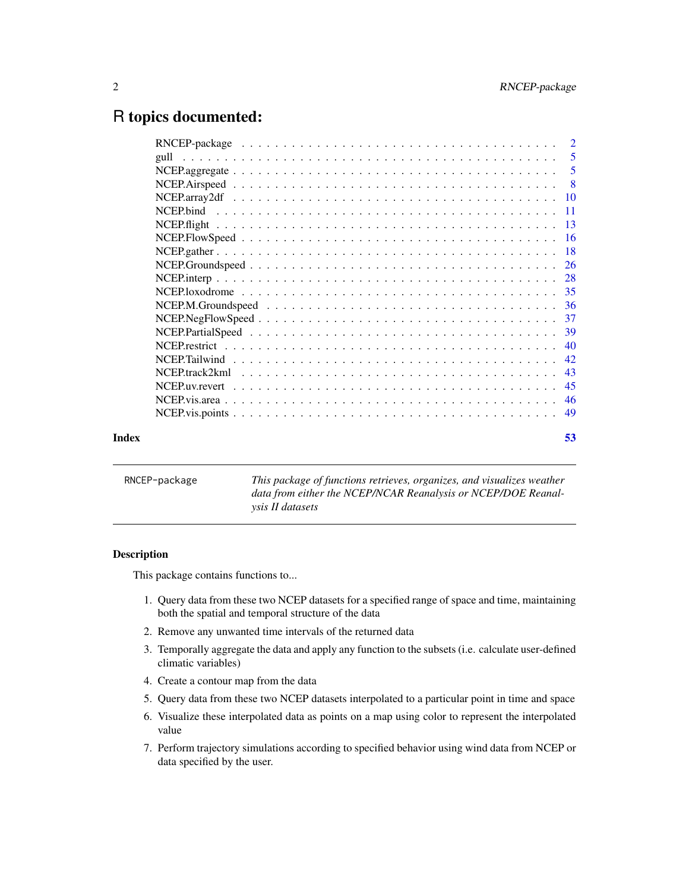# <span id="page-1-0"></span>R topics documented:

| Index | 53 |
|-------|----|

| RNCEP-package | This package of functions retrieves, organizes, and visualizes weather |
|---------------|------------------------------------------------------------------------|
|               | data from either the NCEP/NCAR Reanalysis or NCEP/DOE Reanal-          |
|               | <i>vsis II datasets</i>                                                |

# Description

This package contains functions to...

- 1. Query data from these two NCEP datasets for a specified range of space and time, maintaining both the spatial and temporal structure of the data
- 2. Remove any unwanted time intervals of the returned data
- 3. Temporally aggregate the data and apply any function to the subsets (i.e. calculate user-defined climatic variables)
- 4. Create a contour map from the data
- 5. Query data from these two NCEP datasets interpolated to a particular point in time and space
- 6. Visualize these interpolated data as points on a map using color to represent the interpolated value
- 7. Perform trajectory simulations according to specified behavior using wind data from NCEP or data specified by the user.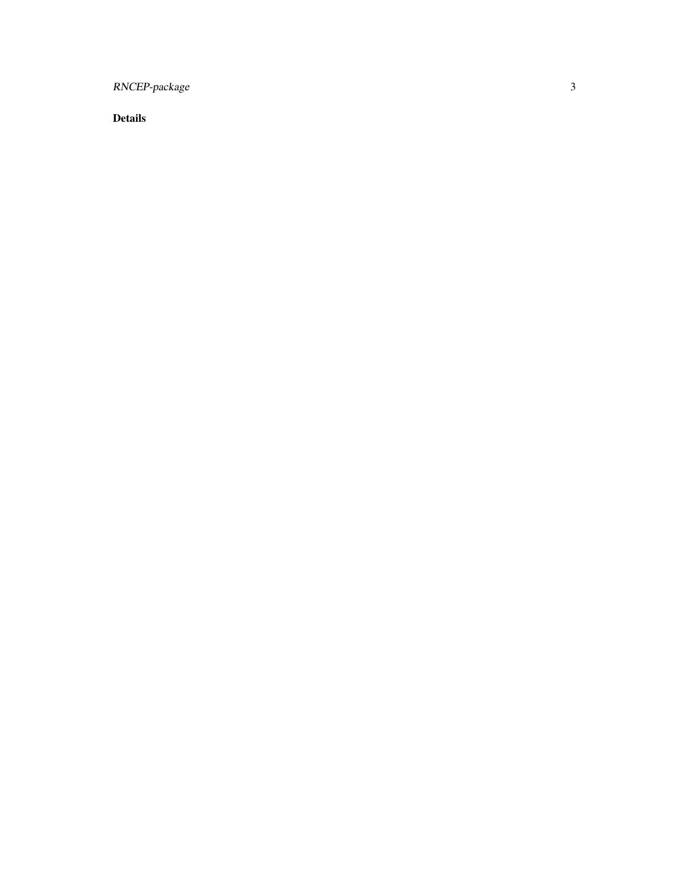RNCEP-package

Details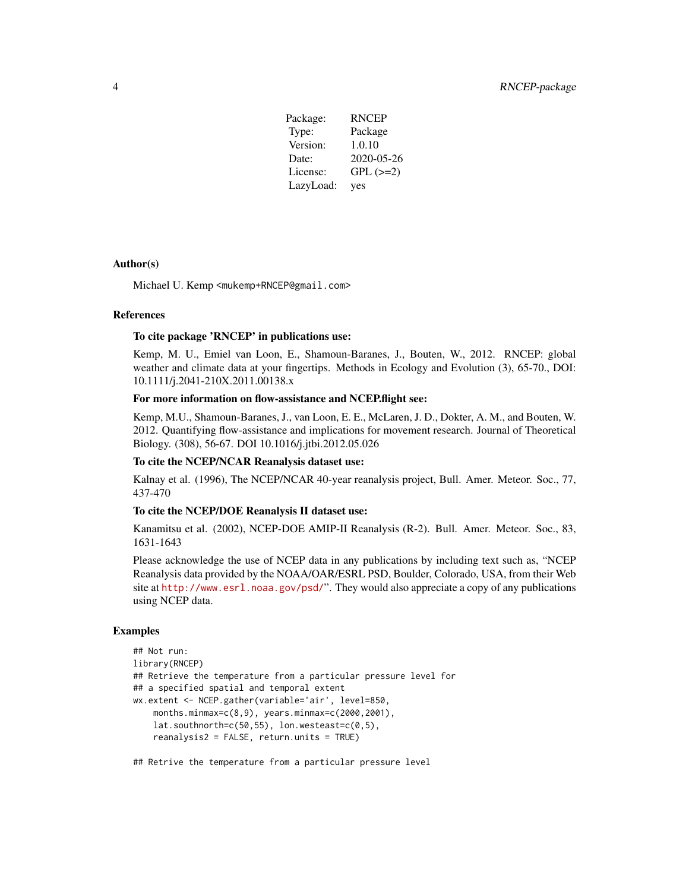| Package:  | <b>RNCEP</b>  |
|-----------|---------------|
| Type:     | Package       |
| Version:  | 1.0.10        |
| Date:     | 2020-05-26    |
| License:  | $GPL$ $(>=2)$ |
| LazyLoad: | yes           |

#### Author(s)

Michael U. Kemp <mukemp+RNCEP@gmail.com>

# References

#### To cite package 'RNCEP' in publications use:

Kemp, M. U., Emiel van Loon, E., Shamoun-Baranes, J., Bouten, W., 2012. RNCEP: global weather and climate data at your fingertips. Methods in Ecology and Evolution (3), 65-70., DOI: 10.1111/j.2041-210X.2011.00138.x

# For more information on flow-assistance and NCEP.flight see:

Kemp, M.U., Shamoun-Baranes, J., van Loon, E. E., McLaren, J. D., Dokter, A. M., and Bouten, W. 2012. Quantifying flow-assistance and implications for movement research. Journal of Theoretical Biology. (308), 56-67. DOI 10.1016/j.jtbi.2012.05.026

# To cite the NCEP/NCAR Reanalysis dataset use:

Kalnay et al. (1996), The NCEP/NCAR 40-year reanalysis project, Bull. Amer. Meteor. Soc., 77, 437-470

#### To cite the NCEP/DOE Reanalysis II dataset use:

Kanamitsu et al. (2002), NCEP-DOE AMIP-II Reanalysis (R-2). Bull. Amer. Meteor. Soc., 83, 1631-1643

Please acknowledge the use of NCEP data in any publications by including text such as, "NCEP Reanalysis data provided by the NOAA/OAR/ESRL PSD, Boulder, Colorado, USA, from their Web site at <http://www.esrl.noaa.gov/psd/>". They would also appreciate a copy of any publications using NCEP data.

# Examples

```
## Not run:
library(RNCEP)
## Retrieve the temperature from a particular pressure level for
## a specified spatial and temporal extent
wx.extent <- NCEP.gather(variable='air', level=850,
    months.minmax=c(8,9), years.minmax=c(2000,2001),
    lat.southnorth=c(50,55), lon.westeast=c(0,5),
    reanalysis2 = FALSE, return.units = TRUE)
```
## Retrive the temperature from a particular pressure level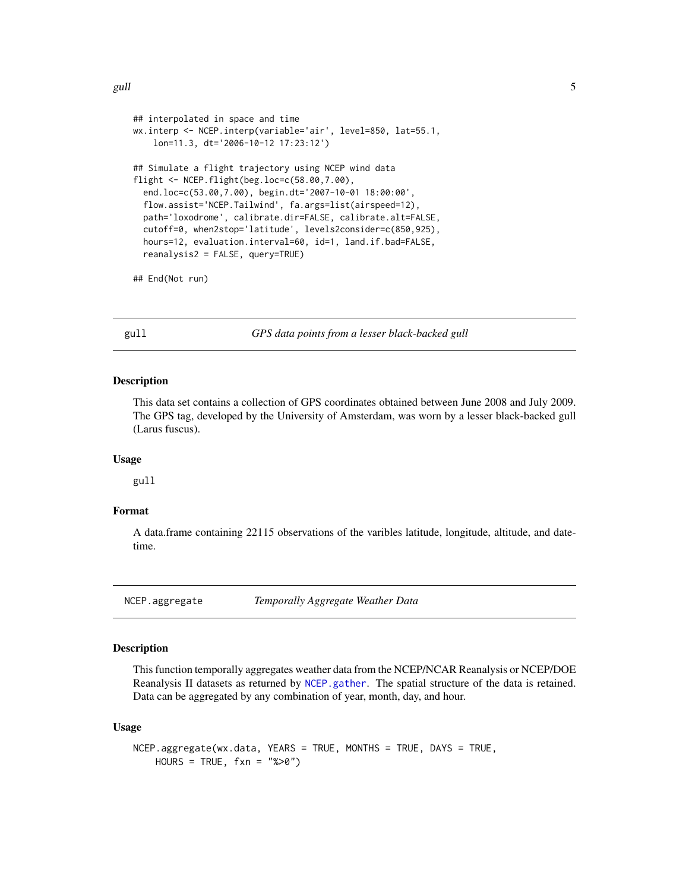```
## interpolated in space and time
wx.interp <- NCEP.interp(variable='air', level=850, lat=55.1,
   lon=11.3, dt='2006-10-12 17:23:12')
## Simulate a flight trajectory using NCEP wind data
flight <- NCEP.flight(beg.loc=c(58.00,7.00),
 end.loc=c(53.00,7.00), begin.dt='2007-10-01 18:00:00',
 flow.assist='NCEP.Tailwind', fa.args=list(airspeed=12),
 path='loxodrome', calibrate.dir=FALSE, calibrate.alt=FALSE,
 cutoff=0, when2stop='latitude', levels2consider=c(850,925),
 hours=12, evaluation.interval=60, id=1, land.if.bad=FALSE,
 reanalysis2 = FALSE, query=TRUE)
```
## End(Not run)

gull *GPS data points from a lesser black-backed gull*

# Description

This data set contains a collection of GPS coordinates obtained between June 2008 and July 2009. The GPS tag, developed by the University of Amsterdam, was worn by a lesser black-backed gull (Larus fuscus).

#### Usage

gull

# Format

A data.frame containing 22115 observations of the varibles latitude, longitude, altitude, and datetime.

<span id="page-4-1"></span>NCEP.aggregate *Temporally Aggregate Weather Data*

# Description

This function temporally aggregates weather data from the NCEP/NCAR Reanalysis or NCEP/DOE Reanalysis II datasets as returned by [NCEP.gather](#page-17-1). The spatial structure of the data is retained. Data can be aggregated by any combination of year, month, day, and hour.

#### Usage

```
NCEP.aggregate(wx.data, YEARS = TRUE, MONTHS = TRUE, DAYS = TRUE,
   HOUNS = TRUE, fxn = "%>0")
```
<span id="page-4-0"></span>gull 5 and 5 and 5 and 5 and 5 and 5 and 5 and 5 and 5 and 5 and 5 and 5 and 5 and 5 and 5 and 5 and 5 and 5 and 5 and 5 and 5 and 5 and 5 and 5 and 5 and 5 and 5 and 5 and 5 and 5 and 5 and 5 and 5 and 5 and 5 and 5 and 5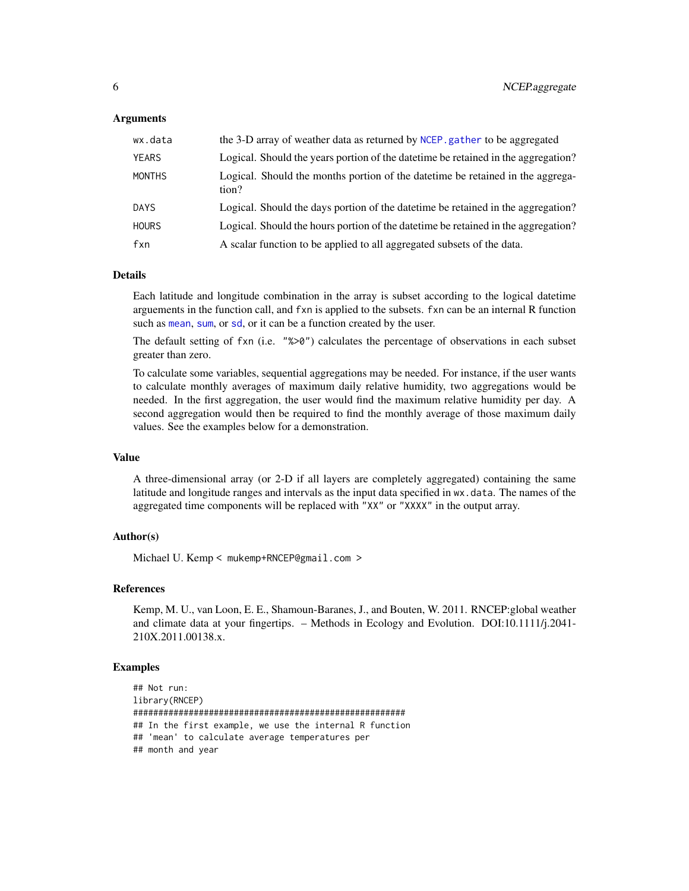# <span id="page-5-0"></span>Arguments

| wx.data       | the 3-D array of weather data as returned by NCEP. gather to be aggregated               |
|---------------|------------------------------------------------------------------------------------------|
| <b>YEARS</b>  | Logical. Should the years portion of the date time be retained in the aggregation?       |
| <b>MONTHS</b> | Logical. Should the months portion of the date time be retained in the aggrega-<br>tion? |
| <b>DAYS</b>   | Logical. Should the days portion of the date time be retained in the aggregation?        |
| <b>HOURS</b>  | Logical. Should the hours portion of the date time be retained in the aggregation?       |
| fxn           | A scalar function to be applied to all aggregated subsets of the data.                   |

# Details

Each latitude and longitude combination in the array is subset according to the logical datetime arguements in the function call, and fxn is applied to the subsets. fxn can be an internal R function such as [mean](#page-0-0), [sum](#page-0-0), or [sd](#page-0-0), or it can be a function created by the user.

The default setting of fxn (i.e. "%>0") calculates the percentage of observations in each subset greater than zero.

To calculate some variables, sequential aggregations may be needed. For instance, if the user wants to calculate monthly averages of maximum daily relative humidity, two aggregations would be needed. In the first aggregation, the user would find the maximum relative humidity per day. A second aggregation would then be required to find the monthly average of those maximum daily values. See the examples below for a demonstration.

# Value

A three-dimensional array (or 2-D if all layers are completely aggregated) containing the same latitude and longitude ranges and intervals as the input data specified in wx.data. The names of the aggregated time components will be replaced with "XX" or "XXXX" in the output array.

# Author(s)

Michael U. Kemp < mukemp+RNCEP@gmail.com >

# References

Kemp, M. U., van Loon, E. E., Shamoun-Baranes, J., and Bouten, W. 2011. RNCEP:global weather and climate data at your fingertips. – Methods in Ecology and Evolution. DOI:10.1111/j.2041- 210X.2011.00138.x.

# Examples

```
## Not run:
library(RNCEP)
######################################################
## In the first example, we use the internal R function
## 'mean' to calculate average temperatures per
## month and year
```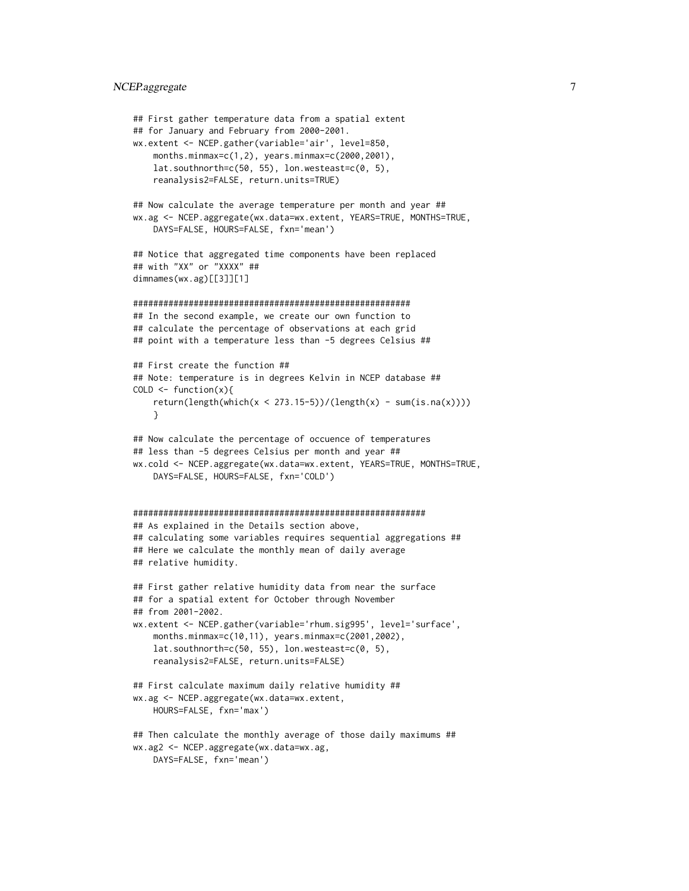# NCEP.aggregate 7

```
## First gather temperature data from a spatial extent
## for January and February from 2000-2001.
wx.extent <- NCEP.gather(variable='air', level=850,
   months.minmax=c(1,2), years.minmax=c(2000,2001),
   lat.southnorth=c(50, 55), lon.westeast=c(0, 5),
   reanalysis2=FALSE, return.units=TRUE)
## Now calculate the average temperature per month and year ##
wx.ag <- NCEP.aggregate(wx.data=wx.extent, YEARS=TRUE, MONTHS=TRUE,
    DAYS=FALSE, HOURS=FALSE, fxn='mean')
## Notice that aggregated time components have been replaced
## with "XX" or "XXXX" ##
dimnames(wx.ag)[[3]][1]
#######################################################
## In the second example, we create our own function to
## calculate the percentage of observations at each grid
## point with a temperature less than -5 degrees Celsius ##
## First create the function ##
## Note: temperature is in degrees Kelvin in NCEP database ##
COLD \leftarrow function(x)return(length(which(x < 273.15-5))/(length(x) - sum(is.na(x))))
    }
## Now calculate the percentage of occuence of temperatures
## less than -5 degrees Celsius per month and year ##
wx.cold <- NCEP.aggregate(wx.data=wx.extent, YEARS=TRUE, MONTHS=TRUE,
   DAYS=FALSE, HOURS=FALSE, fxn='COLD')
##########################################################
## As explained in the Details section above,
## calculating some variables requires sequential aggregations ##
## Here we calculate the monthly mean of daily average
## relative humidity.
## First gather relative humidity data from near the surface
## for a spatial extent for October through November
## from 2001-2002.
wx.extent <- NCEP.gather(variable='rhum.sig995', level='surface',
    months.minmax=c(10,11), years.minmax=c(2001,2002),
   lat.southnorth=c(50, 55), lon.westeast=c(0, 5),
    reanalysis2=FALSE, return.units=FALSE)
## First calculate maximum daily relative humidity ##
wx.ag <- NCEP.aggregate(wx.data=wx.extent,
   HOURS=FALSE, fxn='max')
## Then calculate the monthly average of those daily maximums ##
wx.ag2 <- NCEP.aggregate(wx.data=wx.ag,
```
DAYS=FALSE, fxn='mean')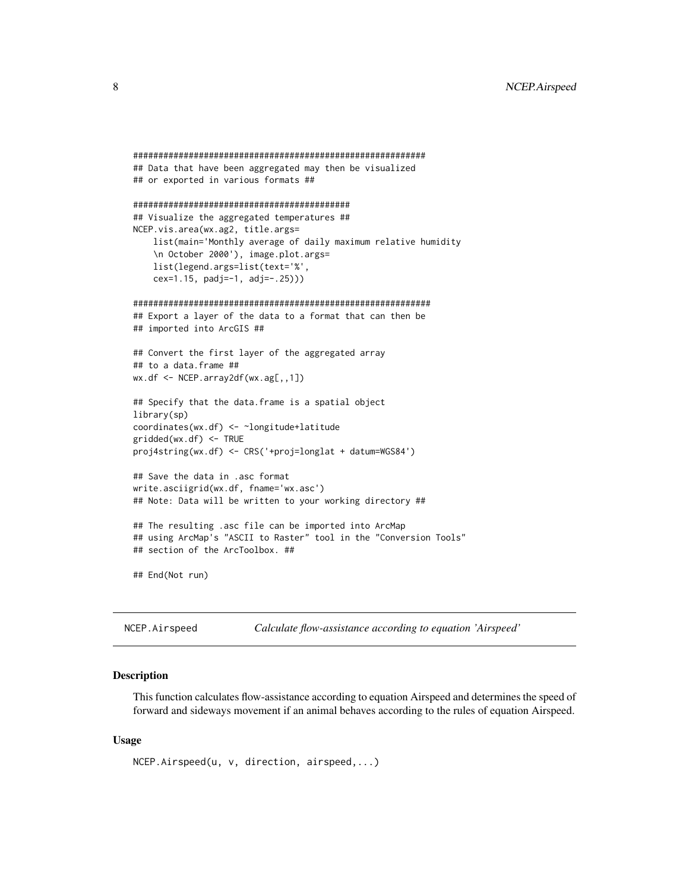```
##########################################################
## Data that have been aggregated may then be visualized
## or exported in various formats ##
###########################################
## Visualize the aggregated temperatures ##
NCEP.vis.area(wx.ag2, title.args=
    list(main='Monthly average of daily maximum relative humidity
    \n October 2000'), image.plot.args=
    list(legend.args=list(text='%',
    cex=1.15, padj=-1, adj=-.25)))
###########################################################
## Export a layer of the data to a format that can then be
## imported into ArcGIS ##
## Convert the first layer of the aggregated array
## to a data.frame ##
wx.df <- NCEP.array2df(wx.ag[,,1])
## Specify that the data.frame is a spatial object
library(sp)
coordinates(wx.df) <- ~longitude+latitude
gridded(wx.df) <- TRUE
proj4string(wx.df) <- CRS('+proj=longlat + datum=WGS84')
## Save the data in .asc format
write.asciigrid(wx.df, fname='wx.asc')
## Note: Data will be written to your working directory ##
## The resulting .asc file can be imported into ArcMap
## using ArcMap's "ASCII to Raster" tool in the "Conversion Tools"
## section of the ArcToolbox. ##
## End(Not run)
```
<span id="page-7-1"></span>NCEP.Airspeed *Calculate flow-assistance according to equation 'Airspeed'*

# Description

This function calculates flow-assistance according to equation Airspeed and determines the speed of forward and sideways movement if an animal behaves according to the rules of equation Airspeed.

#### Usage

```
NCEP.Airspeed(u, v, direction, airspeed,...)
```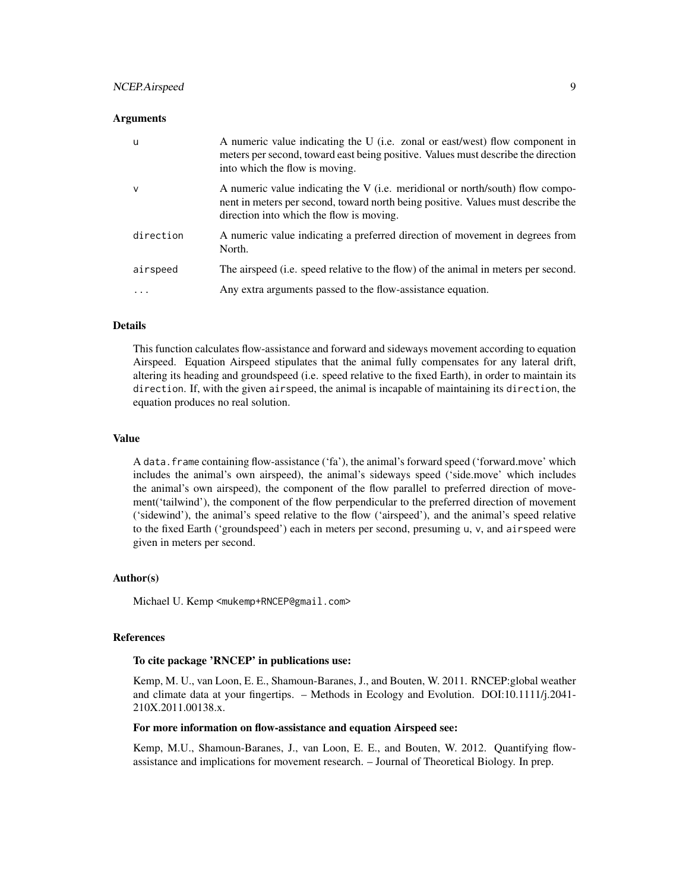# NCEP.Airspeed 9

#### **Arguments**

| u         | A numeric value indicating the U (i.e. zonal or east/west) flow component in<br>meters per second, toward east being positive. Values must describe the direction<br>into which the flow is moving.           |
|-----------|---------------------------------------------------------------------------------------------------------------------------------------------------------------------------------------------------------------|
| v         | A numeric value indicating the V (i.e. meridional or north/south) flow compo-<br>nent in meters per second, toward north being positive. Values must describe the<br>direction into which the flow is moving. |
| direction | A numeric value indicating a preferred direction of movement in degrees from<br>North.                                                                                                                        |
| airspeed  | The airspeed ( <i>i.e.</i> speed relative to the flow) of the animal in meters per second.                                                                                                                    |
| .         | Any extra arguments passed to the flow-assistance equation.                                                                                                                                                   |

# Details

This function calculates flow-assistance and forward and sideways movement according to equation Airspeed. Equation Airspeed stipulates that the animal fully compensates for any lateral drift, altering its heading and groundspeed (i.e. speed relative to the fixed Earth), in order to maintain its direction. If, with the given airspeed, the animal is incapable of maintaining its direction, the equation produces no real solution.

# Value

A data.frame containing flow-assistance ('fa'), the animal's forward speed ('forward.move' which includes the animal's own airspeed), the animal's sideways speed ('side.move' which includes the animal's own airspeed), the component of the flow parallel to preferred direction of movement('tailwind'), the component of the flow perpendicular to the preferred direction of movement ('sidewind'), the animal's speed relative to the flow ('airspeed'), and the animal's speed relative to the fixed Earth ('groundspeed') each in meters per second, presuming u, v, and airspeed were given in meters per second.

#### Author(s)

Michael U. Kemp <mukemp+RNCEP@gmail.com>

# References

#### To cite package 'RNCEP' in publications use:

Kemp, M. U., van Loon, E. E., Shamoun-Baranes, J., and Bouten, W. 2011. RNCEP:global weather and climate data at your fingertips. – Methods in Ecology and Evolution. DOI:10.1111/j.2041- 210X.2011.00138.x.

#### For more information on flow-assistance and equation Airspeed see:

Kemp, M.U., Shamoun-Baranes, J., van Loon, E. E., and Bouten, W. 2012. Quantifying flowassistance and implications for movement research. – Journal of Theoretical Biology. In prep.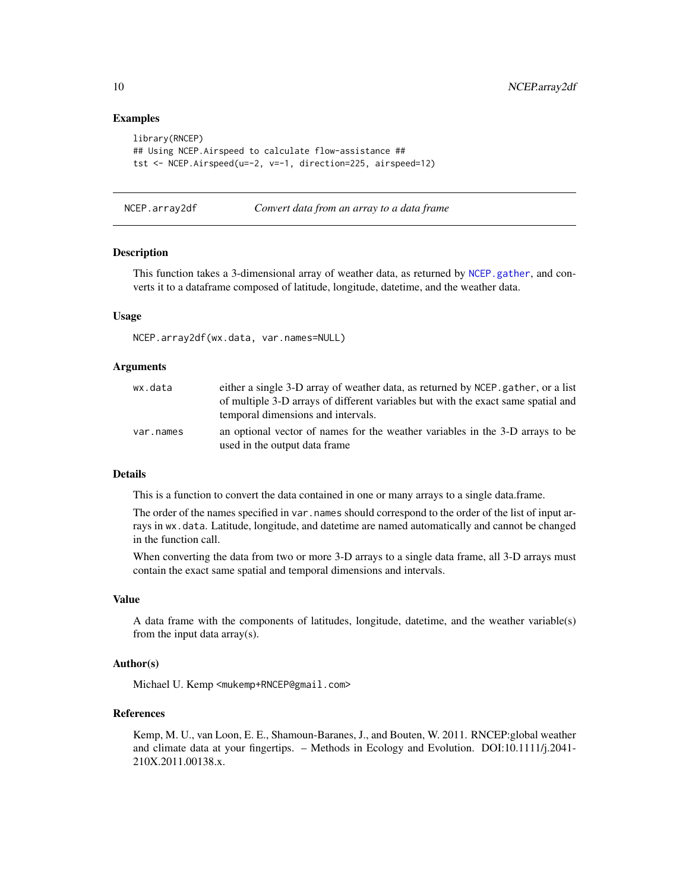# Examples

```
library(RNCEP)
## Using NCEP.Airspeed to calculate flow-assistance ##
tst <- NCEP.Airspeed(u=-2, v=-1, direction=225, airspeed=12)
```
NCEP.array2df *Convert data from an array to a data frame*

# Description

This function takes a 3-dimensional array of weather data, as returned by [NCEP.gather](#page-17-1), and converts it to a dataframe composed of latitude, longitude, datetime, and the weather data.

# Usage

NCEP.array2df(wx.data, var.names=NULL)

#### Arguments

| wx.data   | either a single 3-D array of weather data, as returned by NCEP, gather, or a list<br>of multiple 3-D arrays of different variables but with the exact same spatial and<br>temporal dimensions and intervals. |
|-----------|--------------------------------------------------------------------------------------------------------------------------------------------------------------------------------------------------------------|
| var.names | an optional vector of names for the weather variables in the 3-D arrays to be<br>used in the output data frame                                                                                               |

# Details

This is a function to convert the data contained in one or many arrays to a single data.frame.

The order of the names specified in var.names should correspond to the order of the list of input arrays in wx.data. Latitude, longitude, and datetime are named automatically and cannot be changed in the function call.

When converting the data from two or more 3-D arrays to a single data frame, all 3-D arrays must contain the exact same spatial and temporal dimensions and intervals.

#### Value

A data frame with the components of latitudes, longitude, datetime, and the weather variable(s) from the input data array(s).

# Author(s)

Michael U. Kemp <mukemp+RNCEP@gmail.com>

# References

Kemp, M. U., van Loon, E. E., Shamoun-Baranes, J., and Bouten, W. 2011. RNCEP:global weather and climate data at your fingertips. – Methods in Ecology and Evolution. DOI:10.1111/j.2041- 210X.2011.00138.x.

<span id="page-9-0"></span>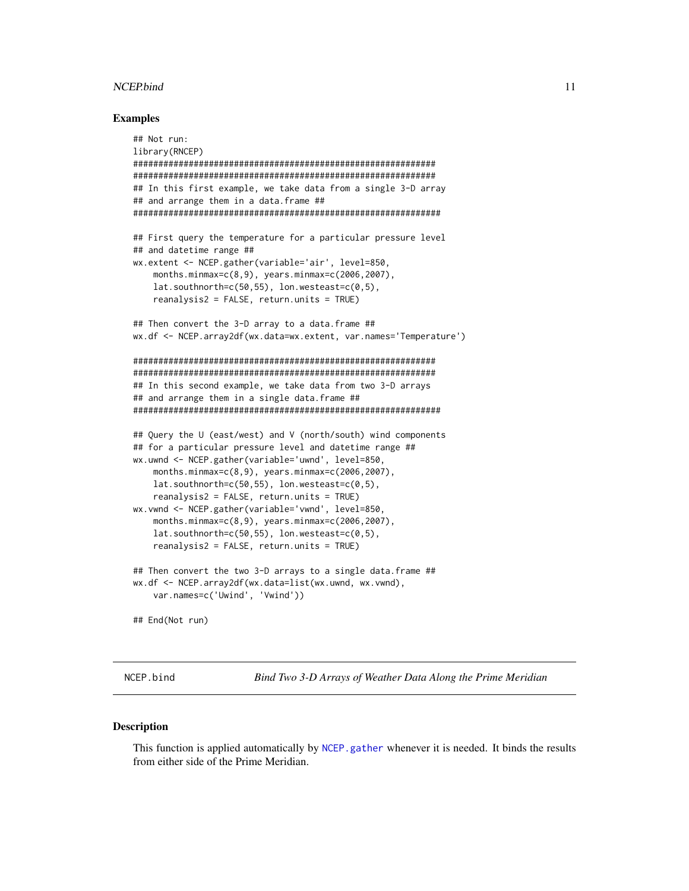# <span id="page-10-0"></span>NCEP.bind 11

# Examples

```
## Not run:
library(RNCEP)
############################################################
############################################################
## In this first example, we take data from a single 3-D array
## and arrange them in a data.frame ##
#############################################################
## First query the temperature for a particular pressure level
## and datetime range ##
wx.extent <- NCEP.gather(variable='air', level=850,
    months.minmax=c(8,9), years.minmax=c(2006,2007),
    lat.southnorth=c(50,55), lon.westeast=c(0,5),
    reanalysis2 = FALSE, return.units = TRUE)
## Then convert the 3-D array to a data.frame ##
wx.df <- NCEP.array2df(wx.data=wx.extent, var.names='Temperature')
############################################################
############################################################
## In this second example, we take data from two 3-D arrays
## and arrange them in a single data.frame ##
#############################################################
## Query the U (east/west) and V (north/south) wind components
## for a particular pressure level and datetime range ##
wx.uwnd <- NCEP.gather(variable='uwnd', level=850,
    months.minmax=c(8,9), years.minmax=c(2006,2007),
   lat.southnorth=c(50,55), lon.westeast=c(0,5),
    reanalysis2 = FALSE, return.units = TRUE)
wx.vwnd <- NCEP.gather(variable='vwnd', level=850,
    months.minmax=c(8,9), years.minmax=c(2006,2007),
    lat.southnorth=c(50,55), lon.westeast=c(0,5),
    reanalysis2 = FALSE, return.units = TRUE)
## Then convert the two 3-D arrays to a single data.frame ##
wx.df <- NCEP.array2df(wx.data=list(wx.uwnd, wx.vwnd),
   var.names=c('Uwind', 'Vwind'))
## End(Not run)
```
NCEP.bind *Bind Two 3-D Arrays of Weather Data Along the Prime Meridian*

#### **Description**

This function is applied automatically by [NCEP.gather](#page-17-1) whenever it is needed. It binds the results from either side of the Prime Meridian.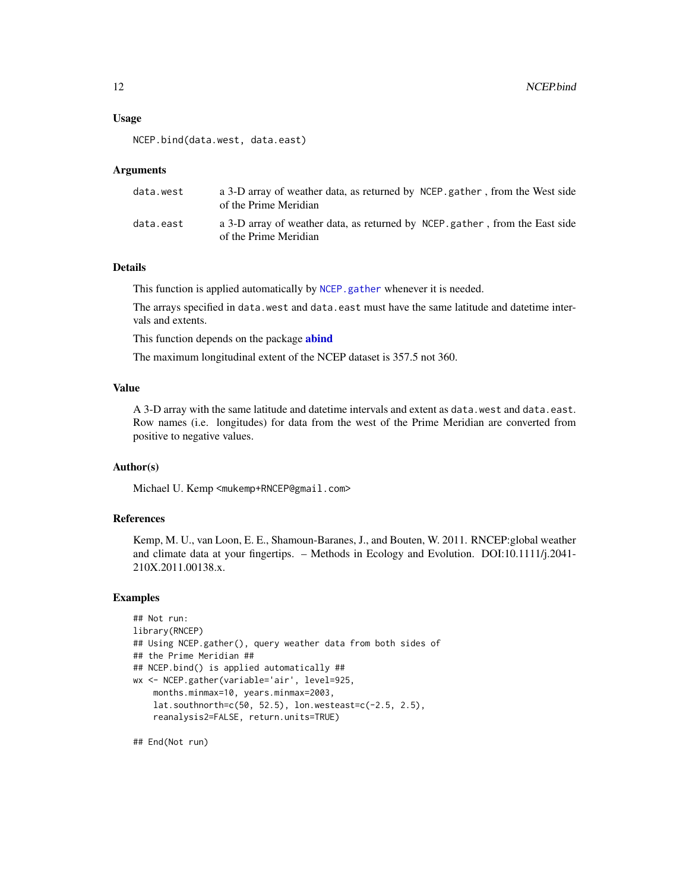# <span id="page-11-0"></span>Usage

```
NCEP.bind(data.west, data.east)
```
#### Arguments

| data.west | a 3-D array of weather data, as returned by NCEP gather, from the West side<br>of the Prime Meridian |
|-----------|------------------------------------------------------------------------------------------------------|
| data.east | a 3-D array of weather data, as returned by NCEP gather, from the East side<br>of the Prime Meridian |

# Details

This function is applied automatically by [NCEP.gather](#page-17-1) whenever it is needed.

The arrays specified in data.west and data.east must have the same latitude and datetime intervals and extents.

This function depends on the package **[abind](#page-0-0)** 

The maximum longitudinal extent of the NCEP dataset is 357.5 not 360.

# Value

A 3-D array with the same latitude and datetime intervals and extent as data.west and data.east. Row names (i.e. longitudes) for data from the west of the Prime Meridian are converted from positive to negative values.

## Author(s)

Michael U. Kemp <mukemp+RNCEP@gmail.com>

# References

Kemp, M. U., van Loon, E. E., Shamoun-Baranes, J., and Bouten, W. 2011. RNCEP:global weather and climate data at your fingertips. – Methods in Ecology and Evolution. DOI:10.1111/j.2041- 210X.2011.00138.x.

# Examples

```
## Not run:
library(RNCEP)
## Using NCEP.gather(), query weather data from both sides of
## the Prime Meridian ##
## NCEP.bind() is applied automatically ##
wx <- NCEP.gather(variable='air', level=925,
    months.minmax=10, years.minmax=2003,
   lat.southnorth=c(50, 52.5), lon.westeast=c(-2.5, 2.5),
    reanalysis2=FALSE, return.units=TRUE)
```
## End(Not run)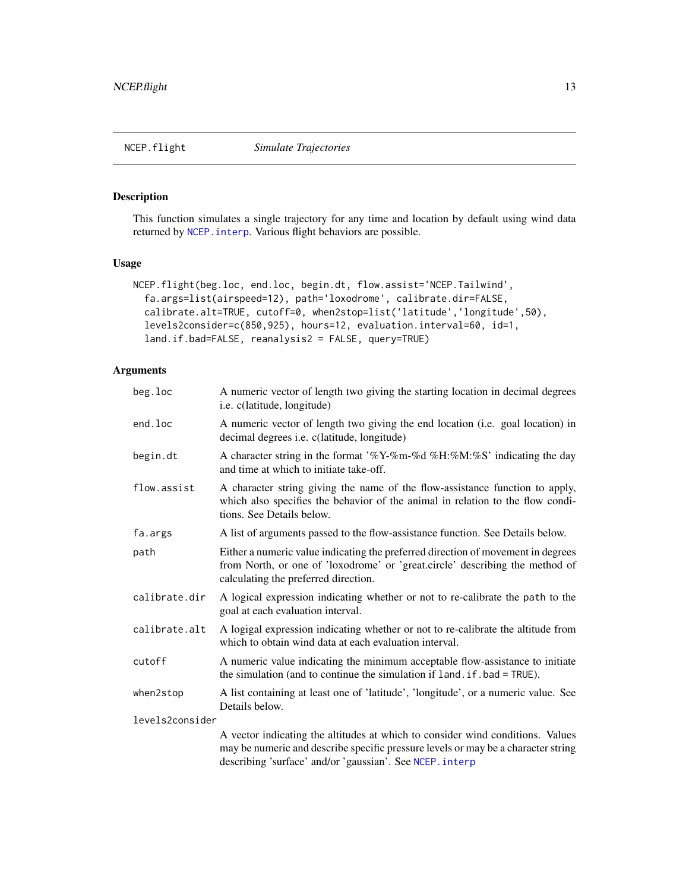# <span id="page-12-1"></span><span id="page-12-0"></span>Description

This function simulates a single trajectory for any time and location by default using wind data returned by [NCEP.interp](#page-27-1). Various flight behaviors are possible.

# Usage

```
NCEP.flight(beg.loc, end.loc, begin.dt, flow.assist='NCEP.Tailwind',
  fa.args=list(airspeed=12), path='loxodrome', calibrate.dir=FALSE,
  calibrate.alt=TRUE, cutoff=0, when2stop=list('latitude','longitude',50),
  levels2consider=c(850,925), hours=12, evaluation.interval=60, id=1,
  land.if.bad=FALSE, reanalysis2 = FALSE, query=TRUE)
```
# Arguments

| beg.loc         | A numeric vector of length two giving the starting location in decimal degrees<br>i.e. c(latitude, longitude)                                                                                                                   |
|-----------------|---------------------------------------------------------------------------------------------------------------------------------------------------------------------------------------------------------------------------------|
| end.loc         | A numeric vector of length two giving the end location (i.e. goal location) in<br>decimal degrees <i>i.e.</i> c(latitude, longitude)                                                                                            |
| begin.dt        | A character string in the format '%Y-%m-%d %H:%M:%S' indicating the day<br>and time at which to initiate take-off.                                                                                                              |
| flow.assist     | A character string giving the name of the flow-assistance function to apply,<br>which also specifies the behavior of the animal in relation to the flow condi-<br>tions. See Details below.                                     |
| fa.args         | A list of arguments passed to the flow-assistance function. See Details below.                                                                                                                                                  |
| path            | Either a numeric value indicating the preferred direction of movement in degrees<br>from North, or one of 'loxodrome' or 'great.circle' describing the method of<br>calculating the preferred direction.                        |
| calibrate.dir   | A logical expression indicating whether or not to re-calibrate the path to the<br>goal at each evaluation interval.                                                                                                             |
| calibrate.alt   | A logigal expression indicating whether or not to re-calibrate the altitude from<br>which to obtain wind data at each evaluation interval.                                                                                      |
| cutoff          | A numeric value indicating the minimum acceptable flow-assistance to initiate<br>the simulation (and to continue the simulation if land. if. bad = TRUE).                                                                       |
| when2stop       | A list containing at least one of 'latitude', 'longitude', or a numeric value. See<br>Details below.                                                                                                                            |
| levels2consider |                                                                                                                                                                                                                                 |
|                 | A vector indicating the altitudes at which to consider wind conditions. Values<br>may be numeric and describe specific pressure levels or may be a character string<br>describing 'surface' and/or 'gaussian'. See NCEP. interp |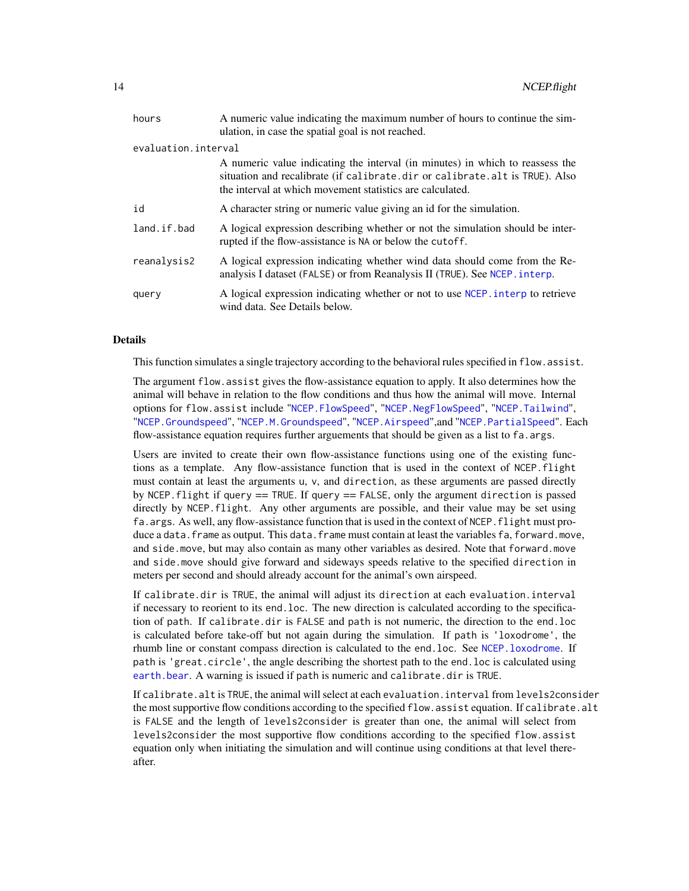<span id="page-13-0"></span>

| hours               | A numeric value indicating the maximum number of hours to continue the sim-<br>ulation, in case the spatial goal is not reached.                                                                                          |
|---------------------|---------------------------------------------------------------------------------------------------------------------------------------------------------------------------------------------------------------------------|
| evaluation.interval |                                                                                                                                                                                                                           |
|                     | A numeric value indicating the interval (in minutes) in which to reassess the<br>situation and recalibrate (if calibrate.dir or calibrate.alt is TRUE). Also<br>the interval at which movement statistics are calculated. |
| id                  | A character string or numeric value giving an id for the simulation.                                                                                                                                                      |
| land.if.bad         | A logical expression describing whether or not the simulation should be inter-<br>rupted if the flow-assistance is NA or below the cutoff.                                                                                |
| reanalysis2         | A logical expression indicating whether wind data should come from the Re-<br>analysis I dataset (FALSE) or from Reanalysis II (TRUE). See NCEP. interp.                                                                  |
| query               | A logical expression indicating whether or not to use NCEP, interp to retrieve<br>wind data. See Details below.                                                                                                           |

# **Details**

This function simulates a single trajectory according to the behavioral rules specified in flow.assist.

The argument flow.assist gives the flow-assistance equation to apply. It also determines how the animal will behave in relation to the flow conditions and thus how the animal will move. Internal options for flow.assist include "[NCEP.FlowSpeed](#page-15-1)", "[NCEP.NegFlowSpeed](#page-36-1)", "[NCEP.Tailwind](#page-41-1)", "[NCEP.Groundspeed](#page-25-1)", "[NCEP.M.Groundspeed](#page-35-1)", "[NCEP.Airspeed](#page-7-1)",and "[NCEP.PartialSpeed](#page-38-1)". Each flow-assistance equation requires further arguements that should be given as a list to fa.args.

Users are invited to create their own flow-assistance functions using one of the existing functions as a template. Any flow-assistance function that is used in the context of NCEP.flight must contain at least the arguments u, v, and direction, as these arguments are passed directly by NCEP.flight if query == TRUE. If query == FALSE, only the argument direction is passed directly by NCEP.flight. Any other arguments are possible, and their value may be set using fa.args. As well, any flow-assistance function that is used in the context of NCEP.flight must produce a data.frame as output. This data.frame must contain at least the variables fa, forward.move, and side.move, but may also contain as many other variables as desired. Note that forward.move and side.move should give forward and sideways speeds relative to the specified direction in meters per second and should already account for the animal's own airspeed.

If calibrate.dir is TRUE, the animal will adjust its direction at each evaluation.interval if necessary to reorient to its end.loc. The new direction is calculated according to the specification of path. If calibrate.dir is FALSE and path is not numeric, the direction to the end.loc is calculated before take-off but not again during the simulation. If path is 'loxodrome', the rhumb line or constant compass direction is calculated to the end.loc. See [NCEP.loxodrome](#page-34-1). If path is 'great.circle', the angle describing the shortest path to the end.loc is calculated using [earth.bear](#page-0-0). A warning is issued if path is numeric and calibrate.dir is TRUE.

If calibrate.alt is TRUE, the animal will select at each evaluation.interval from levels2consider the most supportive flow conditions according to the specified flow. assist equation. If calibrate. alt is FALSE and the length of levels2consider is greater than one, the animal will select from levels2consider the most supportive flow conditions according to the specified flow.assist equation only when initiating the simulation and will continue using conditions at that level thereafter.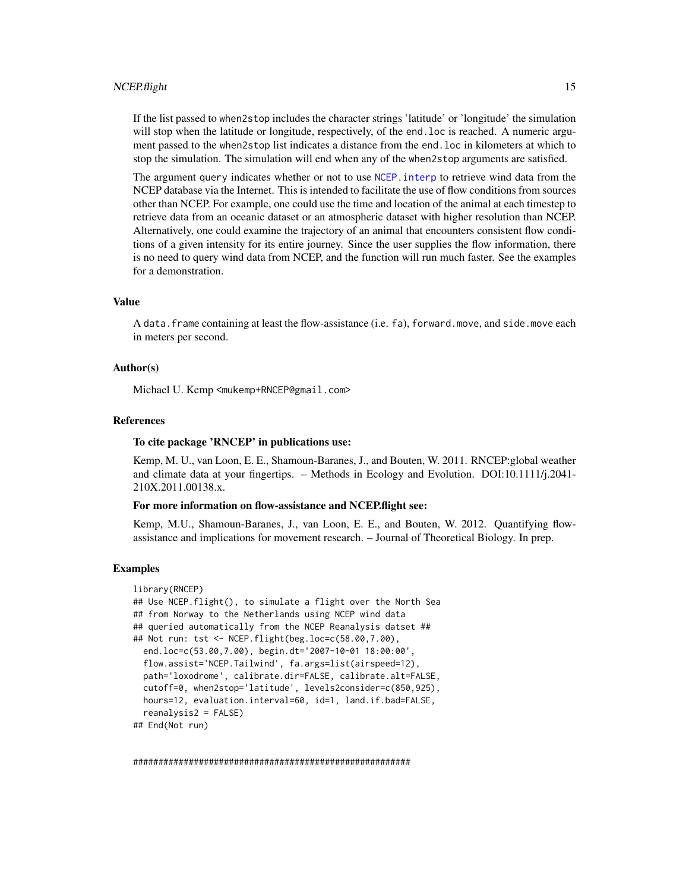#### <span id="page-14-0"></span>NCEP.flight 15

If the list passed to when2stop includes the character strings 'latitude' or 'longitude' the simulation will stop when the latitude or longitude, respectively, of the end. loc is reached. A numeric argument passed to the when2stop list indicates a distance from the end.loc in kilometers at which to stop the simulation. The simulation will end when any of the when2stop arguments are satisfied.

The argument query indicates whether or not to use NCEP, interp to retrieve wind data from the NCEP database via the Internet. This is intended to facilitate the use of flow conditions from sources other than NCEP. For example, one could use the time and location of the animal at each timestep to retrieve data from an oceanic dataset or an atmospheric dataset with higher resolution than NCEP. Alternatively, one could examine the trajectory of an animal that encounters consistent flow conditions of a given intensity for its entire journey. Since the user supplies the flow information, there is no need to query wind data from NCEP, and the function will run much faster. See the examples for a demonstration.

# Value

A data.frame containing at least the flow-assistance (i.e. fa), forward.move, and side.move each in meters per second.

# Author(s)

Michael U. Kemp <mukemp+RNCEP@gmail.com>

#### References

#### To cite package 'RNCEP' in publications use:

Kemp, M. U., van Loon, E. E., Shamoun-Baranes, J., and Bouten, W. 2011. RNCEP:global weather and climate data at your fingertips. – Methods in Ecology and Evolution. DOI:10.1111/j.2041- 210X.2011.00138.x.

#### For more information on flow-assistance and NCEP.flight see:

Kemp, M.U., Shamoun-Baranes, J., van Loon, E. E., and Bouten, W. 2012. Quantifying flowassistance and implications for movement research. – Journal of Theoretical Biology. In prep.

#### Examples

```
library(RNCEP)
## Use NCEP.flight(), to simulate a flight over the North Sea
## from Norway to the Netherlands using NCEP wind data
## queried automatically from the NCEP Reanalysis datset ##
## Not run: tst <- NCEP.flight(beg.loc=c(58.00,7.00),
 end.loc=c(53.00,7.00), begin.dt='2007-10-01 18:00:00',
 flow.assist='NCEP.Tailwind', fa.args=list(airspeed=12),
 path='loxodrome', calibrate.dir=FALSE, calibrate.alt=FALSE,
 cutoff=0, when2stop='latitude', levels2consider=c(850,925),
 hours=12, evaluation.interval=60, id=1, land.if.bad=FALSE,
 reanalysis2 = FALSE)
## End(Not run)
```
#######################################################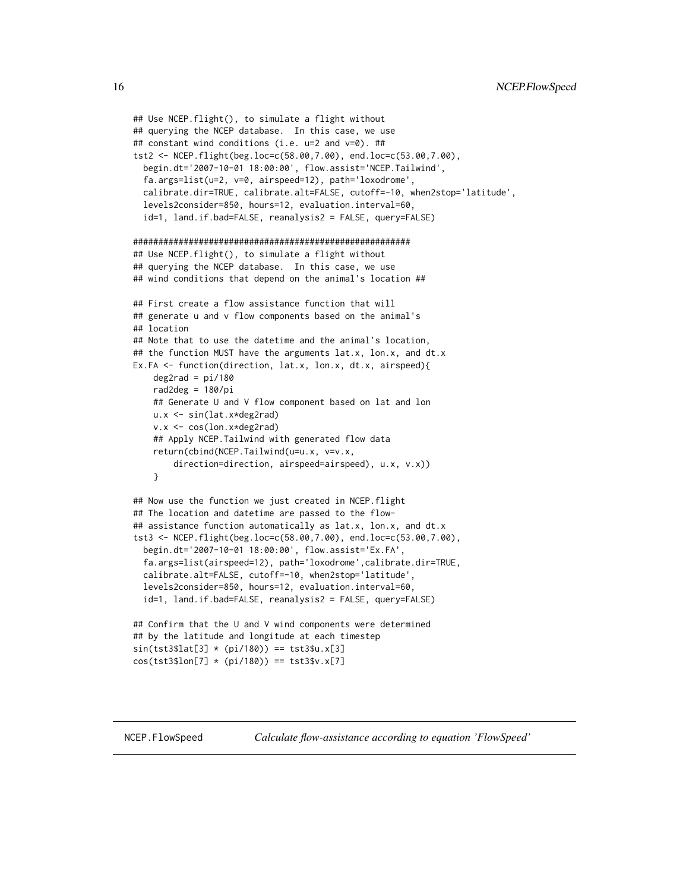```
## Use NCEP.flight(), to simulate a flight without
## querying the NCEP database. In this case, we use
## constant wind conditions (i.e. u=2 and v=0). ##
tst2 <- NCEP.flight(beg.loc=c(58.00,7.00), end.loc=c(53.00,7.00),
 begin.dt='2007-10-01 18:00:00', flow.assist='NCEP.Tailwind',
 fa.args=list(u=2, v=0, airspeed=12), path='loxodrome',
 calibrate.dir=TRUE, calibrate.alt=FALSE, cutoff=-10, when2stop='latitude',
 levels2consider=850, hours=12, evaluation.interval=60,
 id=1, land.if.bad=FALSE, reanalysis2 = FALSE, query=FALSE)
#######################################################
## Use NCEP.flight(), to simulate a flight without
## querying the NCEP database. In this case, we use
## wind conditions that depend on the animal's location ##
## First create a flow assistance function that will
## generate u and v flow components based on the animal's
## location
## Note that to use the datetime and the animal's location,
## the function MUST have the arguments lat.x, lon.x, and dt.x
Ex.FA <- function(direction, lat.x, lon.x, dt.x, airspeed){
    deg2rad = pi/180rad2deg = 180/pi
    ## Generate U and V flow component based on lat and lon
   u.x <- sin(lat.x*deg2rad)
    v.x <- cos(lon.x*deg2rad)
    ## Apply NCEP.Tailwind with generated flow data
    return(cbind(NCEP.Tailwind(u=u.x, v=v.x,
       direction=direction, airspeed=airspeed), u.x, v.x))
    }
## Now use the function we just created in NCEP.flight
## The location and datetime are passed to the flow-
## assistance function automatically as lat.x, lon.x, and dt.x
tst3 <- NCEP.flight(beg.loc=c(58.00,7.00), end.loc=c(53.00,7.00),
 begin.dt='2007-10-01 18:00:00', flow.assist='Ex.FA',
 fa.args=list(airspeed=12), path='loxodrome',calibrate.dir=TRUE,
 calibrate.alt=FALSE, cutoff=-10, when2stop='latitude',
 levels2consider=850, hours=12, evaluation.interval=60,
 id=1, land.if.bad=FALSE, reanalysis2 = FALSE, query=FALSE)
## Confirm that the U and V wind components were determined
## by the latitude and longitude at each timestep
sin(tst3$lat[3] * (pi/180)) == tst3$u.x[3]
```

```
cos(tst3$lon[7] * (pi/180)) == tst3$v.x[7]
```
<span id="page-15-1"></span>NCEP.FlowSpeed *Calculate flow-assistance according to equation 'FlowSpeed'*

<span id="page-15-0"></span>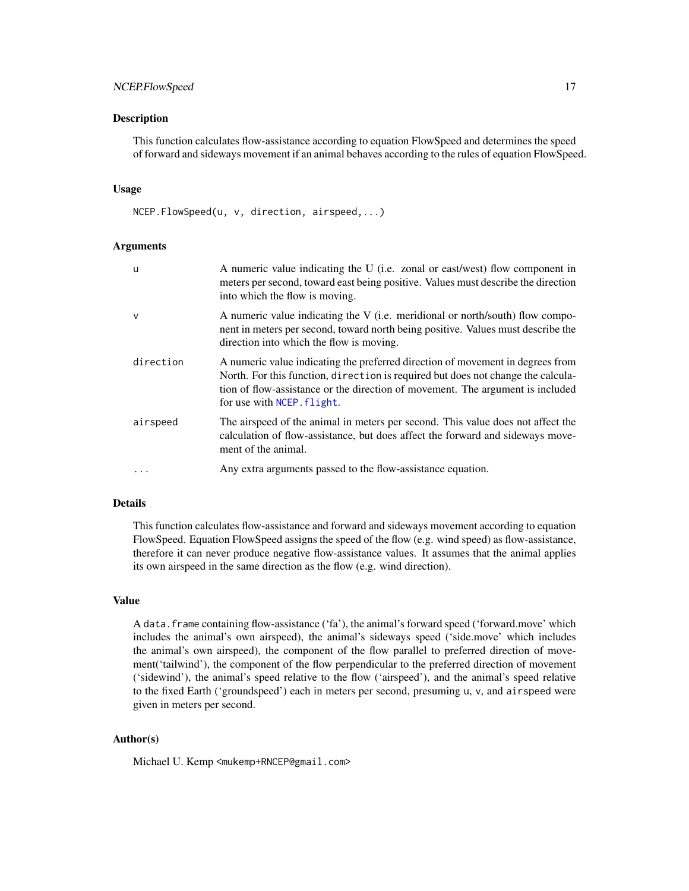# <span id="page-16-0"></span>NCEP.FlowSpeed 17

# **Description**

This function calculates flow-assistance according to equation FlowSpeed and determines the speed of forward and sideways movement if an animal behaves according to the rules of equation FlowSpeed.

## Usage

NCEP.FlowSpeed(u, v, direction, airspeed,...)

# Arguments

| u            | A numeric value indicating the U (i.e. zonal or east/west) flow component in<br>meters per second, toward east being positive. Values must describe the direction<br>into which the flow is moving.                                                                                |
|--------------|------------------------------------------------------------------------------------------------------------------------------------------------------------------------------------------------------------------------------------------------------------------------------------|
| $\mathsf{V}$ | A numeric value indicating the V (i.e. meridional or north/south) flow compo-<br>nent in meters per second, toward north being positive. Values must describe the<br>direction into which the flow is moving.                                                                      |
| direction    | A numeric value indicating the preferred direction of movement in degrees from<br>North. For this function, direction is required but does not change the calcula-<br>tion of flow-assistance or the direction of movement. The argument is included<br>for use with NCEP. flight. |
| airspeed     | The airspeed of the animal in meters per second. This value does not affect the<br>calculation of flow-assistance, but does affect the forward and sideways move-<br>ment of the animal.                                                                                           |
| $\ddots$     | Any extra arguments passed to the flow-assistance equation.                                                                                                                                                                                                                        |

# Details

This function calculates flow-assistance and forward and sideways movement according to equation FlowSpeed. Equation FlowSpeed assigns the speed of the flow (e.g. wind speed) as flow-assistance, therefore it can never produce negative flow-assistance values. It assumes that the animal applies its own airspeed in the same direction as the flow (e.g. wind direction).

# Value

A data.frame containing flow-assistance ('fa'), the animal's forward speed ('forward.move' which includes the animal's own airspeed), the animal's sideways speed ('side.move' which includes the animal's own airspeed), the component of the flow parallel to preferred direction of movement('tailwind'), the component of the flow perpendicular to the preferred direction of movement ('sidewind'), the animal's speed relative to the flow ('airspeed'), and the animal's speed relative to the fixed Earth ('groundspeed') each in meters per second, presuming u, v, and airspeed were given in meters per second.

# Author(s)

Michael U. Kemp <mukemp+RNCEP@gmail.com>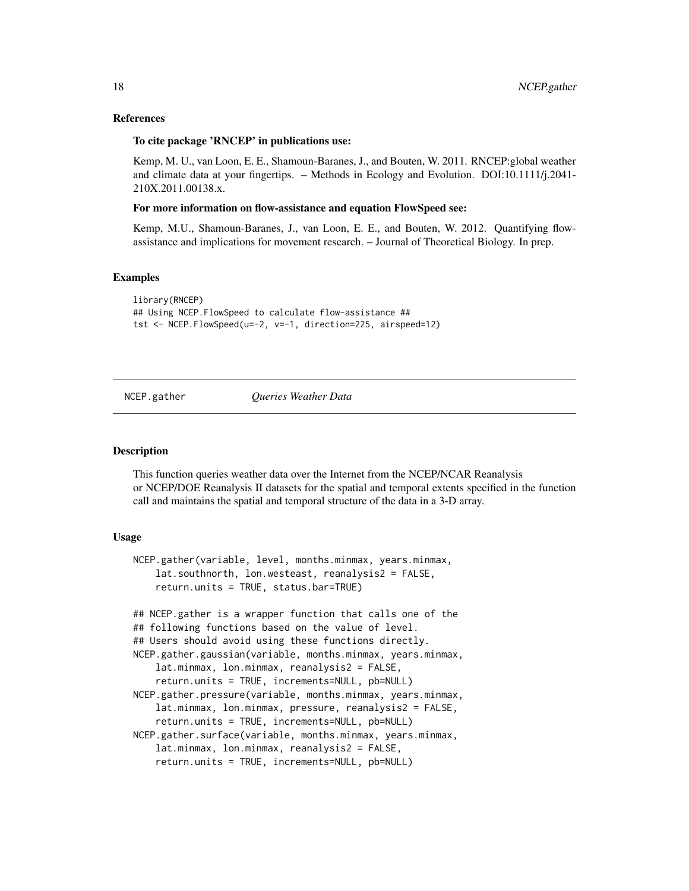# References

#### To cite package 'RNCEP' in publications use:

Kemp, M. U., van Loon, E. E., Shamoun-Baranes, J., and Bouten, W. 2011. RNCEP:global weather and climate data at your fingertips. – Methods in Ecology and Evolution. DOI:10.1111/j.2041- 210X.2011.00138.x.

#### For more information on flow-assistance and equation FlowSpeed see:

Kemp, M.U., Shamoun-Baranes, J., van Loon, E. E., and Bouten, W. 2012. Quantifying flowassistance and implications for movement research. – Journal of Theoretical Biology. In prep.

# Examples

```
library(RNCEP)
## Using NCEP.FlowSpeed to calculate flow-assistance ##
tst <- NCEP.FlowSpeed(u=-2, v=-1, direction=225, airspeed=12)
```
<span id="page-17-1"></span>

#### NCEP.gather *Queries Weather Data*

#### Description

This function queries weather data over the Internet from the NCEP/NCAR Reanalysis or NCEP/DOE Reanalysis II datasets for the spatial and temporal extents specified in the function call and maintains the spatial and temporal structure of the data in a 3-D array.

# Usage

```
NCEP.gather(variable, level, months.minmax, years.minmax,
   lat.southnorth, lon.westeast, reanalysis2 = FALSE,
    return.units = TRUE, status.bar=TRUE)
## NCEP.gather is a wrapper function that calls one of the
## following functions based on the value of level.
## Users should avoid using these functions directly.
NCEP.gather.gaussian(variable, months.minmax, years.minmax,
   lat.minmax, lon.minmax, reanalysis2 = FALSE,
    return.units = TRUE, increments=NULL, pb=NULL)
NCEP.gather.pressure(variable, months.minmax, years.minmax,
   lat.minmax, lon.minmax, pressure, reanalysis2 = FALSE,
    return.units = TRUE, increments=NULL, pb=NULL)
NCEP.gather.surface(variable, months.minmax, years.minmax,
    lat.minmax, lon.minmax, reanalysis2 = FALSE,
   return.units = TRUE, increments=NULL, pb=NULL)
```
<span id="page-17-0"></span>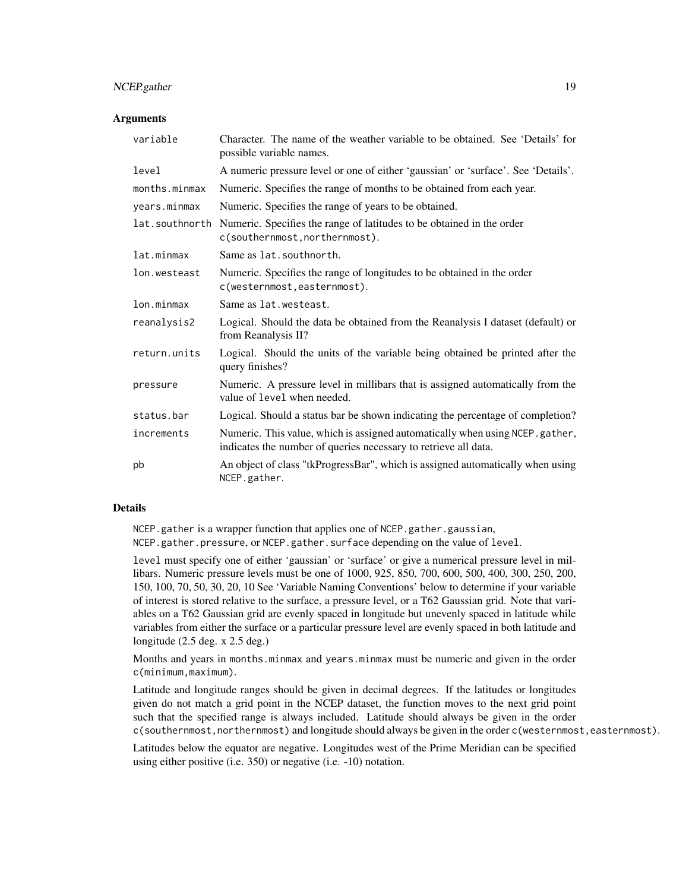# NCEP.gather 19

# **Arguments**

| variable       | Character. The name of the weather variable to be obtained. See 'Details' for<br>possible variable names.                                        |
|----------------|--------------------------------------------------------------------------------------------------------------------------------------------------|
| level          | A numeric pressure level or one of either 'gaussian' or 'surface'. See 'Details'.                                                                |
| months.minmax  | Numeric. Specifies the range of months to be obtained from each year.                                                                            |
| years.minmax   | Numeric. Specifies the range of years to be obtained.                                                                                            |
| lat.southnorth | Numeric. Specifies the range of latitudes to be obtained in the order<br>c(southernmost, northernmost).                                          |
| lat.minmax     | Same as lat. southnorth.                                                                                                                         |
| lon.westeast   | Numeric. Specifies the range of longitudes to be obtained in the order<br>c(westernmost, easternmost).                                           |
| lon.minmax     | Same as lat. westeast.                                                                                                                           |
| reanalysis2    | Logical. Should the data be obtained from the Reanalysis I dataset (default) or<br>from Reanalysis II?                                           |
| return.units   | Logical. Should the units of the variable being obtained be printed after the<br>query finishes?                                                 |
| pressure       | Numeric. A pressure level in millibars that is assigned automatically from the<br>value of level when needed.                                    |
| status.bar     | Logical. Should a status bar be shown indicating the percentage of completion?                                                                   |
| increments     | Numeric. This value, which is assigned automatically when using NCEP. gather,<br>indicates the number of queries necessary to retrieve all data. |
| pb             | An object of class "tkProgressBar", which is assigned automatically when using<br>NCEP.gather.                                                   |

# Details

NCEP.gather is a wrapper function that applies one of NCEP.gather.gaussian, NCEP.gather.pressure, or NCEP.gather.surface depending on the value of level.

level must specify one of either 'gaussian' or 'surface' or give a numerical pressure level in millibars. Numeric pressure levels must be one of 1000, 925, 850, 700, 600, 500, 400, 300, 250, 200, 150, 100, 70, 50, 30, 20, 10 See 'Variable Naming Conventions' below to determine if your variable of interest is stored relative to the surface, a pressure level, or a T62 Gaussian grid. Note that variables on a T62 Gaussian grid are evenly spaced in longitude but unevenly spaced in latitude while variables from either the surface or a particular pressure level are evenly spaced in both latitude and longitude (2.5 deg. x 2.5 deg.)

Months and years in months.minmax and years.minmax must be numeric and given in the order c(minimum,maximum).

Latitude and longitude ranges should be given in decimal degrees. If the latitudes or longitudes given do not match a grid point in the NCEP dataset, the function moves to the next grid point such that the specified range is always included. Latitude should always be given in the order c(southernmost,northernmost) and longitude should always be given in the order c(westernmost,easternmost).

Latitudes below the equator are negative. Longitudes west of the Prime Meridian can be specified using either positive (i.e. 350) or negative (i.e. -10) notation.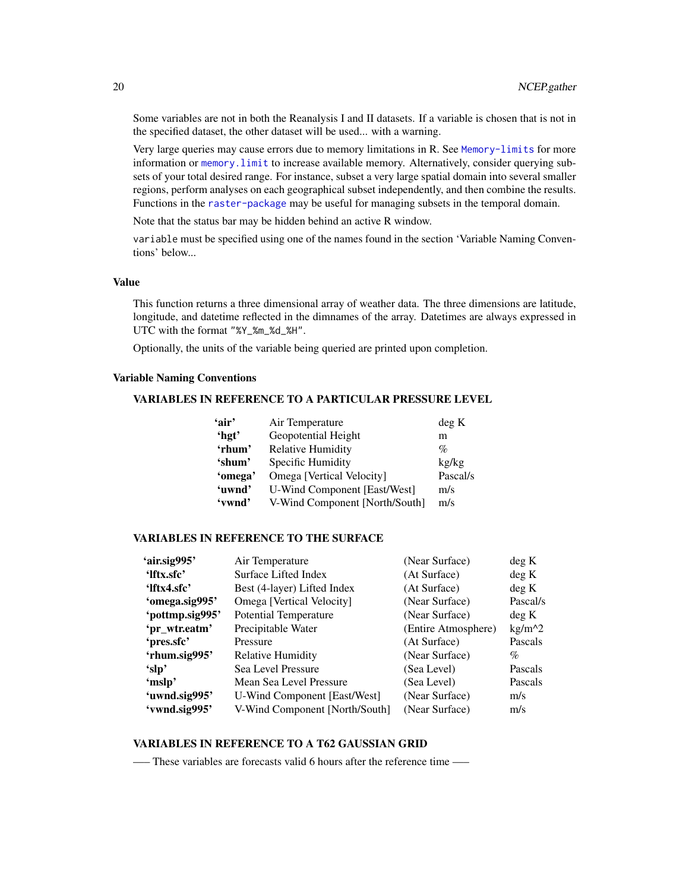Some variables are not in both the Reanalysis I and II datasets. If a variable is chosen that is not in the specified dataset, the other dataset will be used... with a warning.

Very large queries may cause errors due to memory limitations in R. See [Memory-limits](#page-0-0) for more information or [memory.limit](#page-0-0) to increase available memory. Alternatively, consider querying subsets of your total desired range. For instance, subset a very large spatial domain into several smaller regions, perform analyses on each geographical subset independently, and then combine the results. Functions in the [raster-package](#page-0-0) may be useful for managing subsets in the temporal domain.

Note that the status bar may be hidden behind an active R window.

variable must be specified using one of the names found in the section 'Variable Naming Conventions' below...

#### Value

This function returns a three dimensional array of weather data. The three dimensions are latitude, longitude, and datetime reflected in the dimnames of the array. Datetimes are always expressed in UTC with the format "%Y\_%m\_%d\_%H".

Optionally, the units of the variable being queried are printed upon completion.

# Variable Naming Conventions

# VARIABLES IN REFERENCE TO A PARTICULAR PRESSURE LEVEL

|                                     | deg K           |
|-------------------------------------|-----------------|
| Geopotential Height                 | m               |
| <b>Relative Humidity</b>            | $\%$            |
| Specific Humidity                   | kg/kg           |
| Omega [Vertical Velocity]           | Pascal/s        |
| <b>U-Wind Component [East/West]</b> | m/s             |
| V-Wind Component [North/South]      | m/s             |
|                                     | Air Temperature |

# VARIABLES IN REFERENCE TO THE SURFACE

| 'air.sig995'    | Air Temperature                | (Near Surface)      | deg K    |
|-----------------|--------------------------------|---------------------|----------|
| 'Iftx.sfc'      | <b>Surface Lifted Index</b>    | (At Surface)        | deg K    |
| 'lftx4.sfc'     | Best (4-layer) Lifted Index    | (At Surface)        | deg K    |
| 'omega.sig995'  | Omega [Vertical Velocity]      | (Near Surface)      | Pascal/s |
| 'pottmp.sig995' | <b>Potential Temperature</b>   | (Near Surface)      | deg K    |
| 'pr_wtr.eatm'   | Precipitable Water             | (Entire Atmosphere) | $kg/m^2$ |
| 'pres.sfc'      | Pressure                       | (At Surface)        | Pascals  |
| 'rhum.sig995'   | <b>Relative Humidity</b>       | (Near Surface)      | %        |
| 'slp'           | Sea Level Pressure             | (Sea Level)         | Pascals  |
| 'mslp'          | Mean Sea Level Pressure        | (Sea Level)         | Pascals  |
| 'uwnd.sig995'   | U-Wind Component [East/West]   | (Near Surface)      | m/s      |
| 'vwnd.sig995'   | V-Wind Component [North/South] | (Near Surface)      | m/s      |
|                 |                                |                     |          |

# VARIABLES IN REFERENCE TO A T62 GAUSSIAN GRID

—– These variables are forecasts valid 6 hours after the reference time —–

<span id="page-19-0"></span>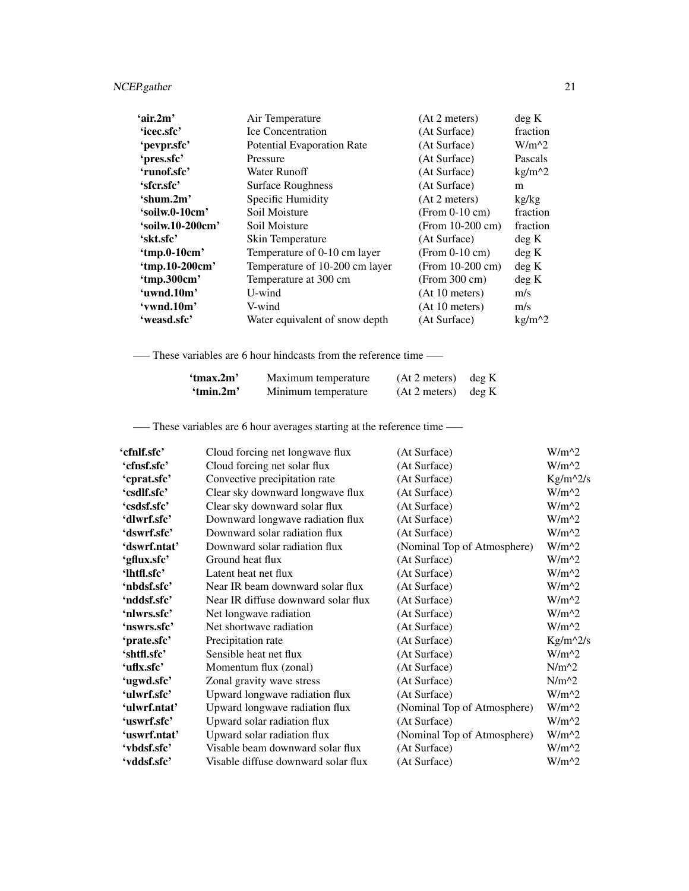| 'air.2m'         | Air Temperature                   | (At 2 meters)      | deg K    |
|------------------|-----------------------------------|--------------------|----------|
| 'icec.sfc'       | <b>Ice Concentration</b>          | (At Surface)       | fraction |
| 'pevpr.sfc'      | <b>Potential Evaporation Rate</b> | (At Surface)       | $W/m^2$  |
| 'pres.sfc'       | Pressure                          | (At Surface)       | Pascals  |
| 'runof.sfc'      | Water Runoff                      | (At Surface)       | $kg/m^2$ |
| 'sfcr.sfc'       | <b>Surface Roughness</b>          | (At Surface)       | m        |
| $'s$ hum.2m'     | Specific Humidity                 | (At 2 meters)      | kg/kg    |
| 'soilw.0-10cm'   | Soil Moisture                     | $(From 0-10 cm)$   | fraction |
| 'soilw.10-200cm' | Soil Moisture                     | (From $10-200$ cm) | fraction |
| 'skt.sfc'        | Skin Temperature                  | (At Surface)       | deg K    |
| 'tmp.0-10 $cm$ ' | Temperature of 0-10 cm layer      | $(From 0-10 cm)$   | deg K    |
| 'tmp.10-200cm'   | Temperature of 10-200 cm layer    | (From $10-200$ cm) | deg K    |
| 'tmp.300cm'      | Temperature at 300 cm             | (From 300 cm)      | deg K    |
| 'uwnd.10m'       | U-wind                            | (At 10 meters)     | m/s      |
| 'vwnd.10m'       | V-wind                            | (At 10 meters)     | m/s      |
| 'weasd.sfc'      | Water equivalent of snow depth    | (At Surface)       | $kg/m^2$ |

—– These variables are 6 hour hindcasts from the reference time —–

| 'tmax.2m' | Maximum temperature | $(At 2 meters)$ deg K |  |
|-----------|---------------------|-----------------------|--|
| 'tmin.2m' | Minimum temperature | $(At 2 meters)$ deg K |  |

—– These variables are 6 hour averages starting at the reference time —–

| 'cfnlf.sfc'  | Cloud forcing net longwave flux     | (At Surface)                | $W/m^2$    |
|--------------|-------------------------------------|-----------------------------|------------|
| 'cfnsf.sfc'  | Cloud forcing net solar flux        | (At Surface)                | $W/m^2$    |
| 'cprat.sfc'  | Convective precipitation rate       | (At Surface)                | $Kg/m^2/s$ |
| 'csdlf.sfc'  | Clear sky downward longwave flux    | (At Surface)                | $W/m^2$    |
| 'csdsf.sfc'  | Clear sky downward solar flux       | (At Surface)                | $W/m^2$    |
| 'dlwrf.sfc'  | Downward longwave radiation flux    | (At Surface)                | $W/m^2$    |
| 'dswrf.sfc'  | Downward solar radiation flux       | (At Surface)                | $W/m^2$    |
| 'dswrf.ntat' | Downward solar radiation flux       | (Nominal Top of Atmosphere) | $W/m^2$    |
| 'gflux.sfc'  | Ground heat flux                    | (At Surface)                | $W/m^2$    |
| 'lhtfl.sfc'  | Latent heat net flux                | (At Surface)                | $W/m^2$    |
| 'nbdsf.sfc'  | Near IR beam downward solar flux    | (At Surface)                | $W/m^2$    |
| 'nddsf.sfc'  | Near IR diffuse downward solar flux | (At Surface)                | $W/m^2$    |
| 'nlwrs.sfc'  | Net longwave radiation              | (At Surface)                | $W/m^2$    |
| 'nswrs.sfc'  | Net shortwave radiation             | (At Surface)                | $W/m^2$    |
| 'prate.sfc'  | Precipitation rate                  | (At Surface)                | $Kg/m^2/s$ |
| 'shtfl.sfc'  | Sensible heat net flux              | (At Surface)                | $W/m^2$    |
| 'uflx.sfc'   | Momentum flux (zonal)               | (At Surface)                | $N/m^2$    |
| 'ugwd.sfc'   | Zonal gravity wave stress           | (At Surface)                | $N/m^2$    |
| 'ulwrf.sfc'  | Upward longwave radiation flux      | (At Surface)                | $W/m^2$    |
| 'ulwrf.ntat' | Upward longwave radiation flux      | (Nominal Top of Atmosphere) | $W/m^2$    |
| 'uswrf.sfc'  | Upward solar radiation flux         | (At Surface)                | $W/m^2$    |
| 'uswrf.ntat' | Upward solar radiation flux         | (Nominal Top of Atmosphere) | $W/m^2$    |
| 'vbdsf.sfc'  | Visable beam downward solar flux    | (At Surface)                | $W/m^2$    |
| 'vddsf.sfc'  | Visable diffuse downward solar flux | (At Surface)                | $W/m^2$    |
|              |                                     |                             |            |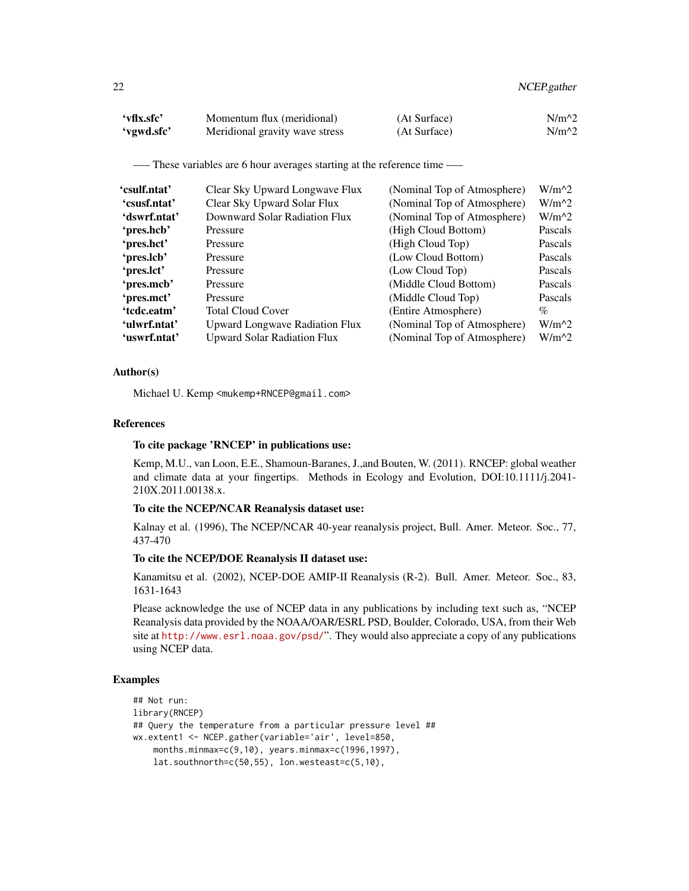| 'vflx.sfc' | Momentum flux (meridional)     | (At Surface) | $N/m^2$ |
|------------|--------------------------------|--------------|---------|
| 'vgwd.sfc' | Meridional gravity wave stress | (At Surface) | $N/m^2$ |

—– These variables are 6 hour averages starting at the reference time —–

| Clear Sky Upward Longwave Flux        | (Nominal Top of Atmosphere) | $W/m^2$ |
|---------------------------------------|-----------------------------|---------|
| Clear Sky Upward Solar Flux           | (Nominal Top of Atmosphere) | $W/m^2$ |
| Downward Solar Radiation Flux         | (Nominal Top of Atmosphere) | $W/m^2$ |
| Pressure                              | (High Cloud Bottom)         | Pascals |
| Pressure                              | (High Cloud Top)            | Pascals |
| Pressure                              | (Low Cloud Bottom)          | Pascals |
| Pressure                              | (Low Cloud Top)             | Pascals |
| Pressure                              | (Middle Cloud Bottom)       | Pascals |
| Pressure                              | (Middle Cloud Top)          | Pascals |
| <b>Total Cloud Cover</b>              | (Entire Atmosphere)         | $\%$    |
| <b>Upward Longwave Radiation Flux</b> | (Nominal Top of Atmosphere) | $W/m^2$ |
| <b>Upward Solar Radiation Flux</b>    | (Nominal Top of Atmosphere) | $W/m^2$ |
|                                       |                             |         |

# Author(s)

Michael U. Kemp <mukemp+RNCEP@gmail.com>

# References

# To cite package 'RNCEP' in publications use:

Kemp, M.U., van Loon, E.E., Shamoun-Baranes, J.,and Bouten, W. (2011). RNCEP: global weather and climate data at your fingertips. Methods in Ecology and Evolution, DOI:10.1111/j.2041- 210X.2011.00138.x.

# To cite the NCEP/NCAR Reanalysis dataset use:

Kalnay et al. (1996), The NCEP/NCAR 40-year reanalysis project, Bull. Amer. Meteor. Soc., 77, 437-470

# To cite the NCEP/DOE Reanalysis II dataset use:

Kanamitsu et al. (2002), NCEP-DOE AMIP-II Reanalysis (R-2). Bull. Amer. Meteor. Soc., 83, 1631-1643

Please acknowledge the use of NCEP data in any publications by including text such as, "NCEP Reanalysis data provided by the NOAA/OAR/ESRL PSD, Boulder, Colorado, USA, from their Web site at <http://www.esrl.noaa.gov/psd/>". They would also appreciate a copy of any publications using NCEP data.

#### Examples

```
## Not run:
library(RNCEP)
## Query the temperature from a particular pressure level ##
wx.extent1 <- NCEP.gather(variable='air', level=850,
    months.minmax=c(9,10), years.minmax=c(1996,1997),
    lat.southnorth=c(50,55), lon.westeast=c(5,10),
```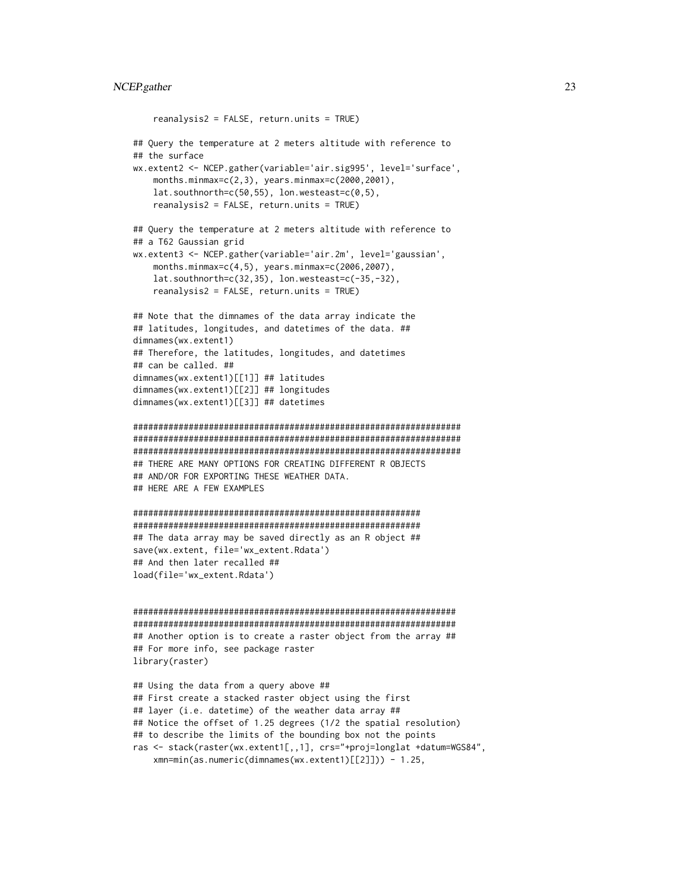```
reanalysis2 = FALSE, return.units = TRUE)
## Query the temperature at 2 meters altitude with reference to
## the surface
wx.extent2 <- NCEP.gather(variable='air.sig995', level='surface',
   months.minmax=c(2,3), years.minmax=c(2000,2001),
    lat.southnorth=c(50,55), lon.westeast=c(0,5),
    reanalysis2 = FALSE, return.units = TRUE)
## Query the temperature at 2 meters altitude with reference to
## a T62 Gaussian grid
wx.extent3 <- NCEP.gather(variable='air.2m', level='gaussian',
    months.minmax=c(4,5), years.minmax=c(2006,2007),
    lat.southnorth=c(32,35), lon.westeast=c(-35,-32),
    reanalysis2 = FALSE, return.units = TRUE)
## Note that the dimnames of the data array indicate the
## latitudes, longitudes, and datetimes of the data. ##
dimnames(wx.extent1)
## Therefore, the latitudes, longitudes, and datetimes
## can be called. ##
dimnames(wx.extent1)[[1]] ## latitudes
dimnames(wx.extent1)[[2]] ## longitudes
dimnames(wx.extent1)[[3]] ## datetimes
#################################################################
#################################################################
#################################################################
## THERE ARE MANY OPTIONS FOR CREATING DIFFERENT R OBJECTS
## AND/OR FOR EXPORTING THESE WEATHER DATA.
## HERE ARE A FEW EXAMPLES
#########################################################
#########################################################
## The data array may be saved directly as an R object ##
save(wx.extent, file='wx_extent.Rdata')
## And then later recalled ##
load(file='wx_extent.Rdata')
################################################################
################################################################
## Another option is to create a raster object from the array ##
## For more info, see package raster
library(raster)
## Using the data from a query above ##
## First create a stacked raster object using the first
## layer (i.e. datetime) of the weather data array ##
## Notice the offset of 1.25 degrees (1/2 the spatial resolution)
## to describe the limits of the bounding box not the points
```
ras <- stack(raster(wx.extent1[,,1], crs="+proj=longlat +datum=WGS84", xmn=min(as.numeric(dimnames(wx.extent1)[[2]])) - 1.25,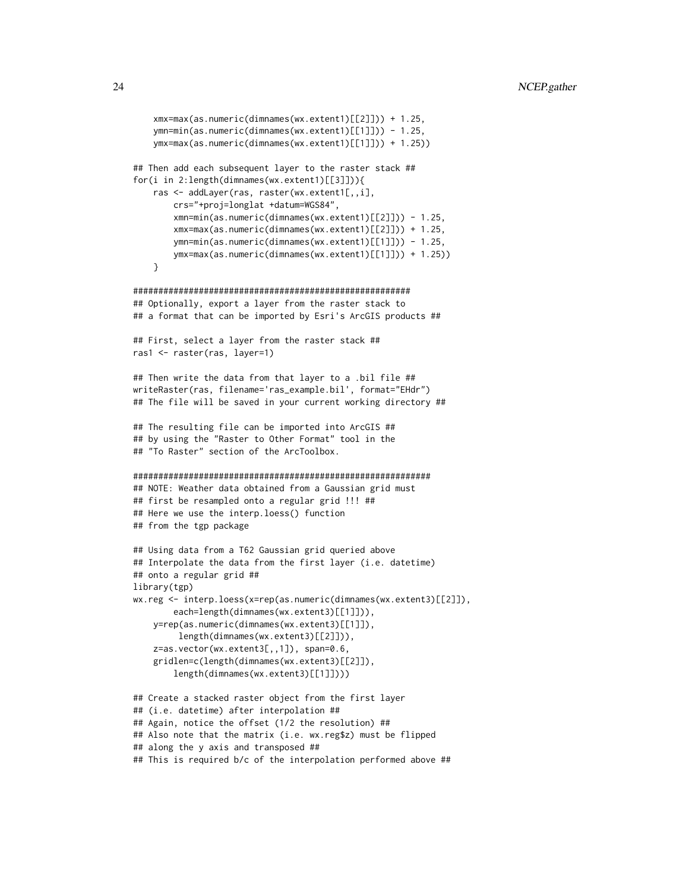```
xmx=max(as.numeric(dimnames(wx.extent1)[[2]])) + 1.25,
    ymn=min(as.numeric(dimnames(wx.extent1)[[1]])) - 1.25,
    ymx=max(as.numeric(dimnames(wx.extent1)[[1]])) + 1.25))
## Then add each subsequent layer to the raster stack ##
for(i in 2:length(dimnames(wx.extent1)[[3]])){
    ras <- addLayer(ras, raster(wx.extent1[,,i],
       crs="+proj=longlat +datum=WGS84",
       xmn=min(as.numeric(dimnames(wx.extent1)[[2]])) - 1.25,
       xmx=max(as.numeric(dimnames(wx.extent1)[[2]])) + 1.25,
       ymn=min(as.numeric(dimnames(wx.extent1)[[1]])) - 1.25,
       ymx=max(as.numeric(dimnames(wx.extent1)[[1]])) + 1.25))
    }
#######################################################
## Optionally, export a layer from the raster stack to
## a format that can be imported by Esri's ArcGIS products ##
## First, select a layer from the raster stack ##
ras1 <- raster(ras, layer=1)
## Then write the data from that layer to a .bil file ##
writeRaster(ras, filename='ras_example.bil', format="EHdr")
## The file will be saved in your current working directory ##
## The resulting file can be imported into ArcGIS ##
## by using the "Raster to Other Format" tool in the
## "To Raster" section of the ArcToolbox.
###########################################################
## NOTE: Weather data obtained from a Gaussian grid must
## first be resampled onto a regular grid !!! ##
## Here we use the interp.loess() function
## from the tgp package
## Using data from a T62 Gaussian grid queried above
## Interpolate the data from the first layer (i.e. datetime)
## onto a regular grid ##
library(tgp)
wx.reg <- interp.loess(x=rep(as.numeric(dimnames(wx.extent3)[[2]]),
        each=length(dimnames(wx.extent3)[[1]])),
   y=rep(as.numeric(dimnames(wx.extent3)[[1]]),
        length(dimnames(wx.extent3)[[2]])),
    z=as.vector(wx.extent3[,,1]), span=0.6,
    gridlen=c(length(dimnames(wx.extent3)[[2]]),
        length(dimnames(wx.extent3)[[1]])))
## Create a stacked raster object from the first layer
## (i.e. datetime) after interpolation ##
## Again, notice the offset (1/2 the resolution) ##
## Also note that the matrix (i.e. wx.reg$z) must be flipped
## along the y axis and transposed ##
## This is required b/c of the interpolation performed above ##
```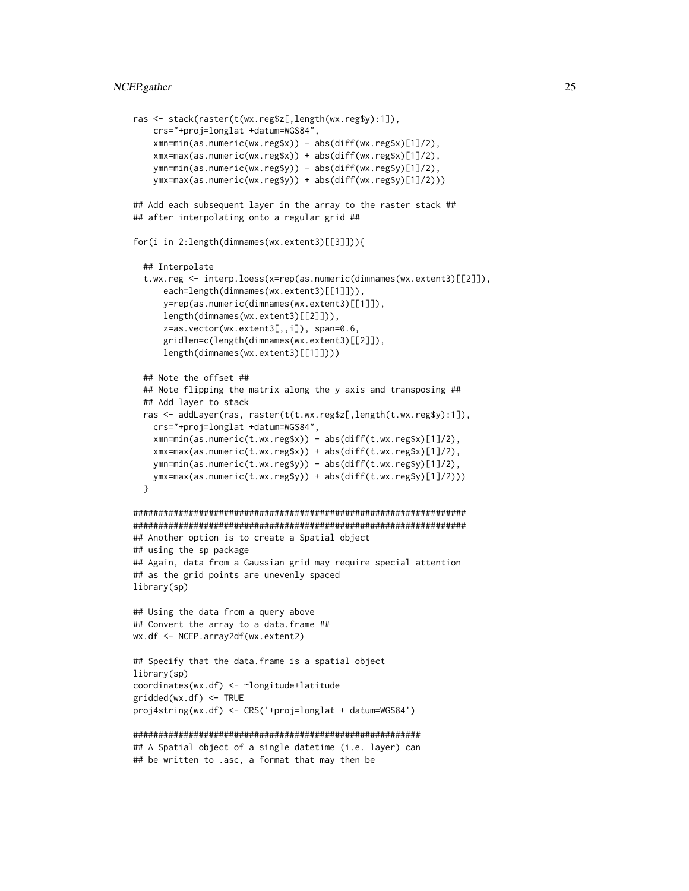# NCEP.gather 25

```
ras <- stack(raster(t(wx.reg$z[,length(wx.reg$y):1]),
   crs="+proj=longlat +datum=WGS84",
    xmn=min(as.numeric(wx.reg$x)) - abs(diff(wx.reg$x)[1]/2),
    xmx=max(as.numeric(wx.reg$x)) + abs(diff(wx.reg$x)[1]/2),
    ymn=min(as.numeric(wx.reg$y)) - abs(diff(wx.reg$y)[1]/2),
   ymx=max(as.numeric(wx.reg$y)) + abs(diff(wx.reg$y)[1]/2)))
## Add each subsequent layer in the array to the raster stack ##
## after interpolating onto a regular grid ##
for(i in 2:length(dimnames(wx.extent3)[[3]])){
  ## Interpolate
  t.wx.reg <- interp.loess(x=rep(as.numeric(dimnames(wx.extent3)[[2]]),
      each=length(dimnames(wx.extent3)[[1]])),
      y=rep(as.numeric(dimnames(wx.extent3)[[1]]),
      length(dimnames(wx.extent3)[[2]])),
      z=as.vector(wx.extent3[,,i]), span=0.6,
      gridlen=c(length(dimnames(wx.extent3)[[2]]),
      length(dimnames(wx.extent3)[[1]])))
 ## Note the offset ##
 ## Note flipping the matrix along the y axis and transposing ##
 ## Add layer to stack
 ras <- addLayer(ras, raster(t(t.wx.reg$z[,length(t.wx.reg$y):1]),
    crs="+proj=longlat +datum=WGS84",
    xmn=min(as.numeric(t.wx.reg$x)) - abs(diff(t.wx.reg$x)[1]/2),
    xmx=max(as.numeric(t.wx.reg$x)) + abs(diff(t.wx.reg$x)[1]/2),
   ymn=min(as.numeric(t.wx.reg$y)) - abs(diff(t.wx.reg$y)[1]/2),
   ymx=max(as.numeric(t.wx.reg$y)) + abs(diff(t.wx.reg$y)[1]/2)))
 }
##################################################################
##################################################################
## Another option is to create a Spatial object
## using the sp package
## Again, data from a Gaussian grid may require special attention
## as the grid points are unevenly spaced
library(sp)
## Using the data from a query above
## Convert the array to a data.frame ##
wx.df <- NCEP.array2df(wx.extent2)
## Specify that the data.frame is a spatial object
library(sp)
coordinates(wx.df) <- ~longitude+latitude
gridded(wx.df) <- TRUE
proj4string(wx.df) <- CRS('+proj=longlat + datum=WGS84')
#########################################################
## A Spatial object of a single datetime (i.e. layer) can
## be written to .asc, a format that may then be
```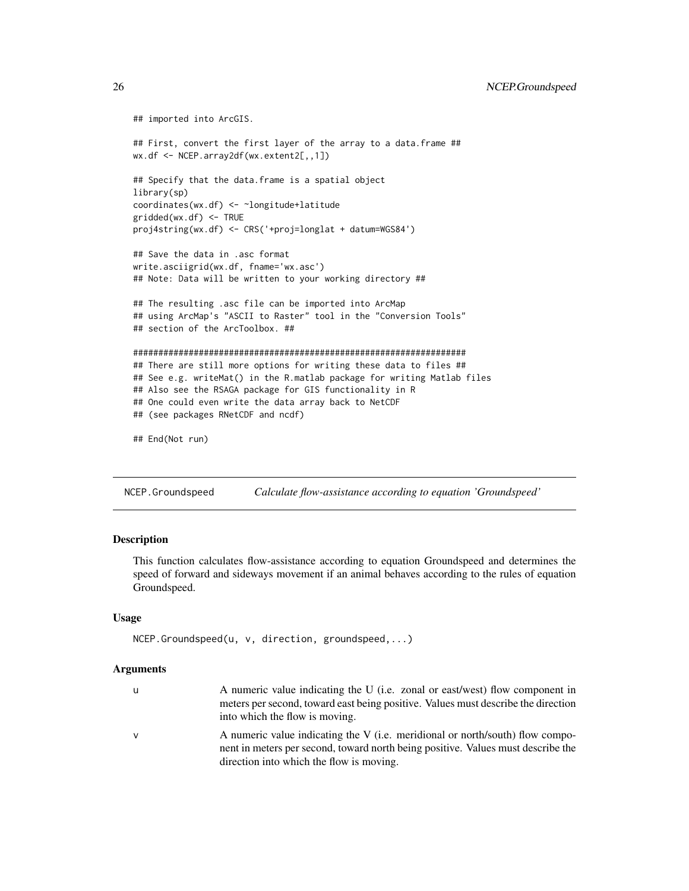```
## imported into ArcGIS.
## First, convert the first layer of the array to a data.frame ##
wx.df <- NCEP.array2df(wx.extent2[,,1])
## Specify that the data.frame is a spatial object
library(sp)
coordinates(wx.df) <- ~longitude+latitude
gridded(wx.df) <- TRUE
proj4string(wx.df) <- CRS('+proj=longlat + datum=WGS84')
## Save the data in .asc format
write.asciigrid(wx.df, fname='wx.asc')
## Note: Data will be written to your working directory ##
## The resulting .asc file can be imported into ArcMap
## using ArcMap's "ASCII to Raster" tool in the "Conversion Tools"
## section of the ArcToolbox. ##
##################################################################
## There are still more options for writing these data to files ##
## See e.g. writeMat() in the R.matlab package for writing Matlab files
## Also see the RSAGA package for GIS functionality in R
## One could even write the data array back to NetCDF
## (see packages RNetCDF and ncdf)
```

```
## End(Not run)
```
<span id="page-25-1"></span>NCEP.Groundspeed *Calculate flow-assistance according to equation 'Groundspeed'*

# **Description**

This function calculates flow-assistance according to equation Groundspeed and determines the speed of forward and sideways movement if an animal behaves according to the rules of equation Groundspeed.

# Usage

```
NCEP.Groundspeed(u, v, direction, groundspeed,...)
```
# Arguments

| u            | A numeric value indicating the U (i.e. zonal or east/west) flow component in      |
|--------------|-----------------------------------------------------------------------------------|
|              | meters per second, toward east being positive. Values must describe the direction |
|              | into which the flow is moving.                                                    |
| $\mathsf{V}$ | A numeric value indicating the V (i.e. meridional or north/south) flow compo-     |
|              | nent in meters per second, toward north being positive. Values must describe the  |

direction into which the flow is moving.

<span id="page-25-0"></span>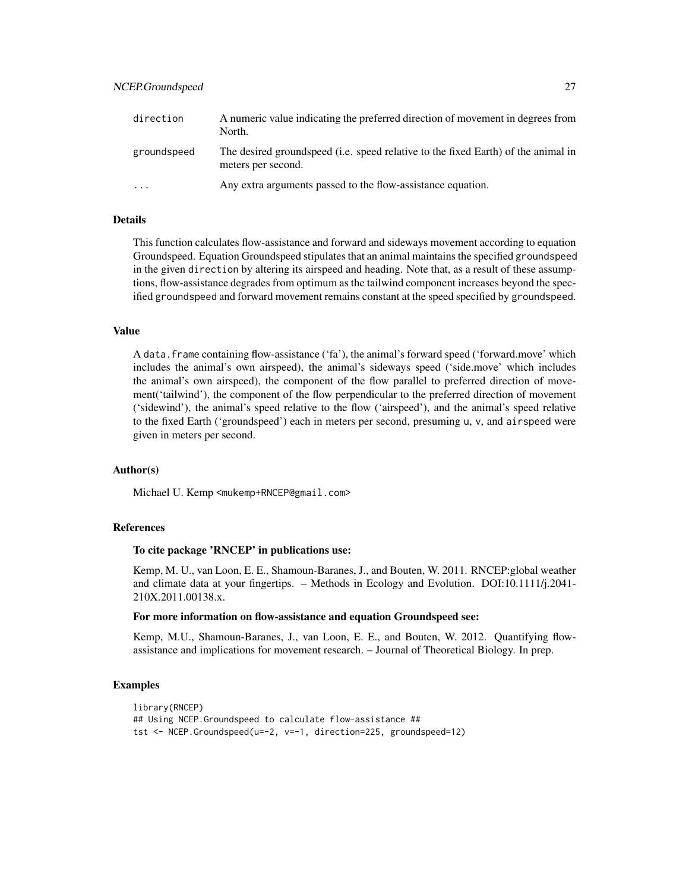# NCEP.Groundspeed 27

| direction   | A numeric value indicating the preferred direction of movement in degrees from<br>North.                |
|-------------|---------------------------------------------------------------------------------------------------------|
| groundspeed | The desired groundspeed (i.e. speed relative to the fixed Earth) of the animal in<br>meters per second. |
| $\cdots$    | Any extra arguments passed to the flow-assistance equation.                                             |

# Details

This function calculates flow-assistance and forward and sideways movement according to equation Groundspeed. Equation Groundspeed stipulates that an animal maintains the specified groundspeed in the given direction by altering its airspeed and heading. Note that, as a result of these assumptions, flow-assistance degrades from optimum as the tailwind component increases beyond the specified groundspeed and forward movement remains constant at the speed specified by groundspeed.

#### Value

A data.frame containing flow-assistance ('fa'), the animal's forward speed ('forward.move' which includes the animal's own airspeed), the animal's sideways speed ('side.move' which includes the animal's own airspeed), the component of the flow parallel to preferred direction of movement('tailwind'), the component of the flow perpendicular to the preferred direction of movement ('sidewind'), the animal's speed relative to the flow ('airspeed'), and the animal's speed relative to the fixed Earth ('groundspeed') each in meters per second, presuming u, v, and airspeed were given in meters per second.

# Author(s)

Michael U. Kemp <mukemp+RNCEP@gmail.com>

# References

# To cite package 'RNCEP' in publications use:

Kemp, M. U., van Loon, E. E., Shamoun-Baranes, J., and Bouten, W. 2011. RNCEP:global weather and climate data at your fingertips. – Methods in Ecology and Evolution. DOI:10.1111/j.2041- 210X.2011.00138.x.

#### For more information on flow-assistance and equation Groundspeed see:

Kemp, M.U., Shamoun-Baranes, J., van Loon, E. E., and Bouten, W. 2012. Quantifying flowassistance and implications for movement research. – Journal of Theoretical Biology. In prep.

# Examples

```
library(RNCEP)
## Using NCEP.Groundspeed to calculate flow-assistance ##
tst <- NCEP.Groundspeed(u=-2, v=-1, direction=225, groundspeed=12)
```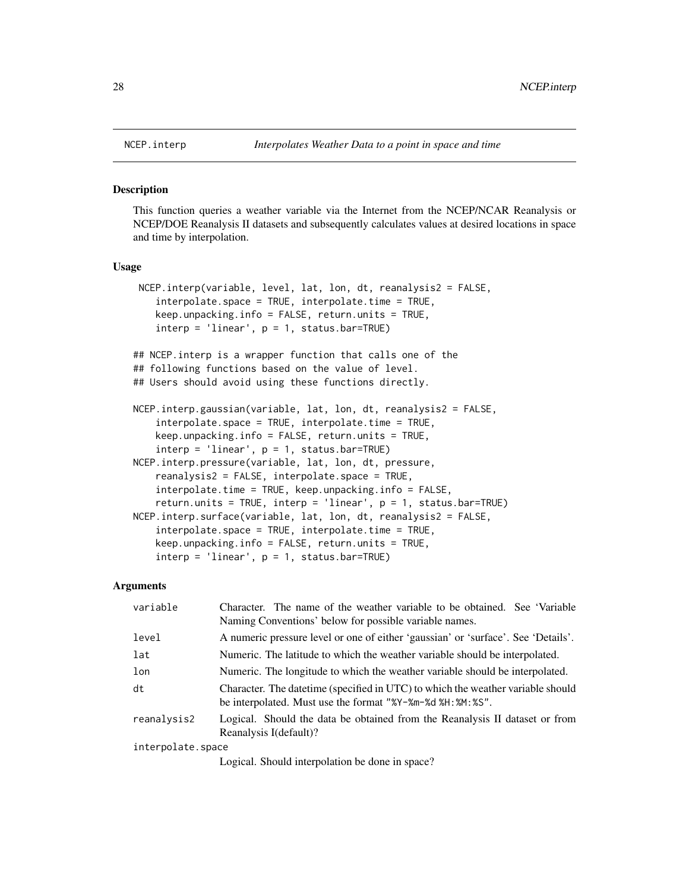#### **Description**

This function queries a weather variable via the Internet from the NCEP/NCAR Reanalysis or NCEP/DOE Reanalysis II datasets and subsequently calculates values at desired locations in space and time by interpolation.

# Usage

```
NCEP.interp(variable, level, lat, lon, dt, reanalysis2 = FALSE,
    interpolate.space = TRUE, interpolate.time = TRUE,
    keep.unpacking.info = FALSE, return.units = TRUE,
    \text{interp} = ' \text{linear}', \text{p} = 1, \text{ status}.\text{bar} = \text{TRUE}## NCEP.interp is a wrapper function that calls one of the
## following functions based on the value of level.
## Users should avoid using these functions directly.
NCEP.interp.gaussian(variable, lat, lon, dt, reanalysis2 = FALSE,
    interpolate.space = TRUE, interpolate.time = TRUE,
    keep.unpacking.info = FALSE, return.units = TRUE,
    \text{interp} = ' \text{linear}', \text{p} = 1, \text{ status}.\text{bar} = \text{TRUE}NCEP.interp.pressure(variable, lat, lon, dt, pressure,
    reanalysis2 = FALSE, interpolate.space = TRUE,
    interpolate.time = TRUE, keep.unpacking.info = FALSE,
    return.units = TRUE, interp = 'linear', p = 1, status.bar=TRUE)
NCEP.interp.surface(variable, lat, lon, dt, reanalysis2 = FALSE,
    interpolate.space = TRUE, interpolate.time = TRUE,
    keep.unpacking.info = FALSE, return.units = TRUE,
    \text{interp} = ' \text{linear}', p = 1, \text{ status}.\text{bar} = \text{TRUE}
```
#### Arguments

| variable          | Character. The name of the weather variable to be obtained. See 'Variable'<br>Naming Conventions' below for possible variable names.            |
|-------------------|-------------------------------------------------------------------------------------------------------------------------------------------------|
| level             | A numeric pressure level or one of either 'gaussian' or 'surface'. See 'Details'.                                                               |
| lat               | Numeric. The latitude to which the weather variable should be interpolated.                                                                     |
| lon               | Numeric. The longitude to which the weather variable should be interpolated.                                                                    |
| dt                | Character. The date time (specified in UTC) to which the weather variable should<br>be interpolated. Must use the format "%Y-%m-%d %H: %M: %S". |
| reanalysis2       | Logical. Should the data be obtained from the Reanalysis II dataset or from<br>Reanalysis I(default)?                                           |
| interpolate.space |                                                                                                                                                 |
|                   | Logical. Should interpolation be done in space?                                                                                                 |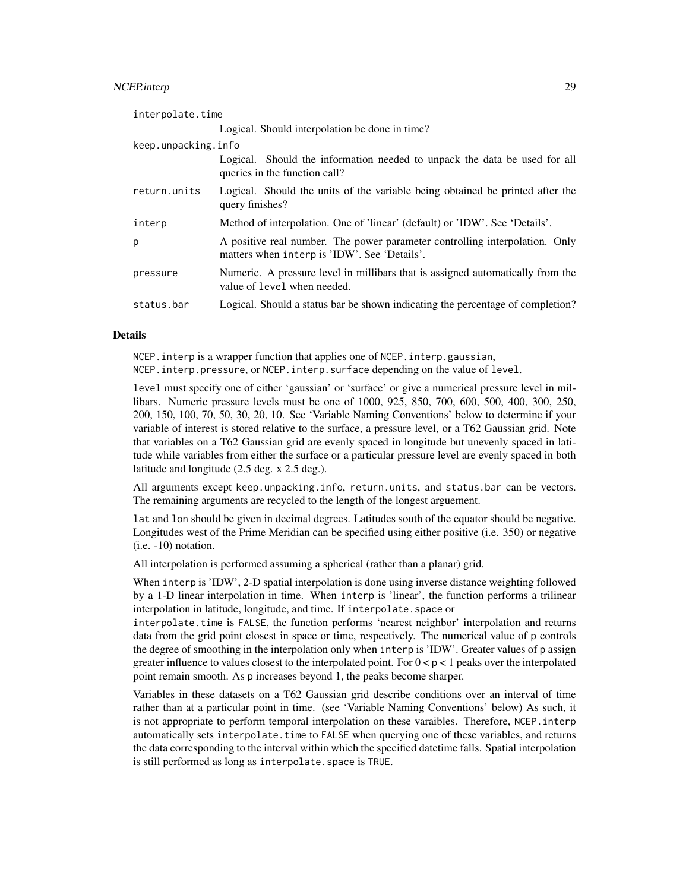# NCEP.interp 29

| interpolate.time    |                                                                                                                             |
|---------------------|-----------------------------------------------------------------------------------------------------------------------------|
|                     | Logical. Should interpolation be done in time?                                                                              |
| keep.unpacking.info |                                                                                                                             |
|                     | Logical. Should the information needed to unpack the data be used for all<br>queries in the function call?                  |
| return.units        | Logical. Should the units of the variable being obtained be printed after the<br>query finishes?                            |
| interp              | Method of interpolation. One of 'linear' (default) or 'IDW'. See 'Details'.                                                 |
| p                   | A positive real number. The power parameter controlling interpolation. Only<br>matters when interp is 'IDW'. See 'Details'. |
| pressure            | Numeric. A pressure level in millibars that is assigned automatically from the<br>value of level when needed.               |
| status.bar          | Logical. Should a status bar be shown indicating the percentage of completion?                                              |

#### Details

NCEP.interp is a wrapper function that applies one of NCEP.interp.gaussian,

NCEP.interp.pressure, or NCEP.interp.surface depending on the value of level.

level must specify one of either 'gaussian' or 'surface' or give a numerical pressure level in millibars. Numeric pressure levels must be one of 1000, 925, 850, 700, 600, 500, 400, 300, 250, 200, 150, 100, 70, 50, 30, 20, 10. See 'Variable Naming Conventions' below to determine if your variable of interest is stored relative to the surface, a pressure level, or a T62 Gaussian grid. Note that variables on a T62 Gaussian grid are evenly spaced in longitude but unevenly spaced in latitude while variables from either the surface or a particular pressure level are evenly spaced in both latitude and longitude (2.5 deg. x 2.5 deg.).

All arguments except keep.unpacking.info, return.units, and status.bar can be vectors. The remaining arguments are recycled to the length of the longest arguement.

lat and lon should be given in decimal degrees. Latitudes south of the equator should be negative. Longitudes west of the Prime Meridian can be specified using either positive (i.e. 350) or negative (i.e. -10) notation.

All interpolation is performed assuming a spherical (rather than a planar) grid.

When interp is 'IDW', 2-D spatial interpolation is done using inverse distance weighting followed by a 1-D linear interpolation in time. When interp is 'linear', the function performs a trilinear interpolation in latitude, longitude, and time. If interpolate.space or

interpolate.time is FALSE, the function performs 'nearest neighbor' interpolation and returns data from the grid point closest in space or time, respectively. The numerical value of p controls the degree of smoothing in the interpolation only when interp is 'IDW'. Greater values of p assign greater influence to values closest to the interpolated point. For  $0 < p < 1$  peaks over the interpolated point remain smooth. As p increases beyond 1, the peaks become sharper.

Variables in these datasets on a T62 Gaussian grid describe conditions over an interval of time rather than at a particular point in time. (see 'Variable Naming Conventions' below) As such, it is not appropriate to perform temporal interpolation on these varaibles. Therefore, NCEP.interp automatically sets interpolate.time to FALSE when querying one of these variables, and returns the data corresponding to the interval within which the specified datetime falls. Spatial interpolation is still performed as long as interpolate. space is TRUE.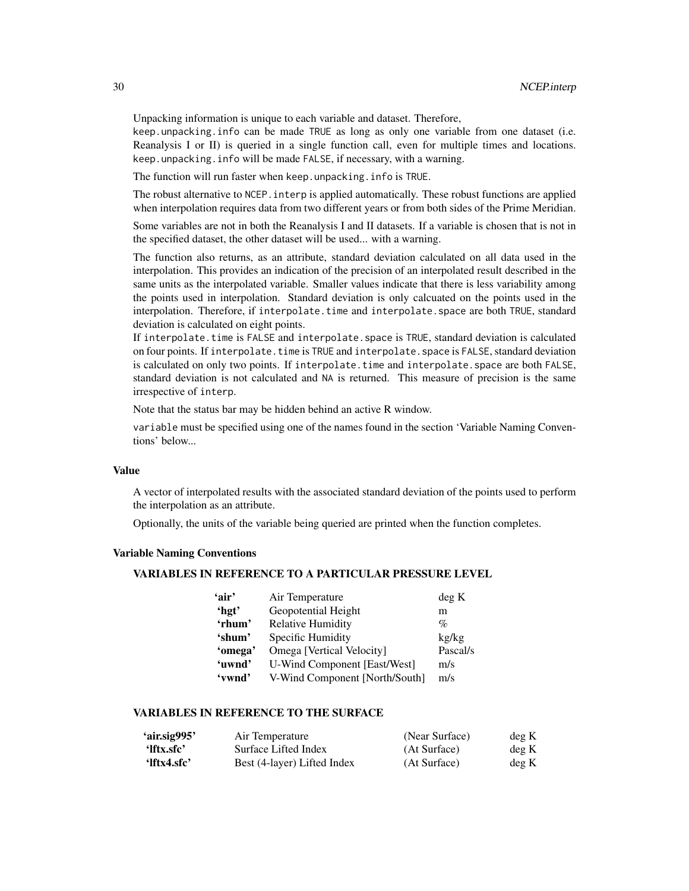Unpacking information is unique to each variable and dataset. Therefore,

keep.unpacking.info can be made TRUE as long as only one variable from one dataset (i.e. Reanalysis I or II) is queried in a single function call, even for multiple times and locations. keep.unpacking.info will be made FALSE, if necessary, with a warning.

The function will run faster when keep.unpacking.info is TRUE.

The robust alternative to NCEP. interp is applied automatically. These robust functions are applied when interpolation requires data from two different years or from both sides of the Prime Meridian.

Some variables are not in both the Reanalysis I and II datasets. If a variable is chosen that is not in the specified dataset, the other dataset will be used... with a warning.

The function also returns, as an attribute, standard deviation calculated on all data used in the interpolation. This provides an indication of the precision of an interpolated result described in the same units as the interpolated variable. Smaller values indicate that there is less variability among the points used in interpolation. Standard deviation is only calcuated on the points used in the interpolation. Therefore, if interpolate.time and interpolate.space are both TRUE, standard deviation is calculated on eight points.

If interpolate.time is FALSE and interpolate.space is TRUE, standard deviation is calculated on four points. If interpolate.time is TRUE and interpolate.space is FALSE, standard deviation is calculated on only two points. If interpolate.time and interpolate.space are both FALSE, standard deviation is not calculated and NA is returned. This measure of precision is the same irrespective of interp.

Note that the status bar may be hidden behind an active R window.

variable must be specified using one of the names found in the section 'Variable Naming Conventions' below...

# Value

A vector of interpolated results with the associated standard deviation of the points used to perform the interpolation as an attribute.

Optionally, the units of the variable being queried are printed when the function completes.

# Variable Naming Conventions

# VARIABLES IN REFERENCE TO A PARTICULAR PRESSURE LEVEL

| 'air'   | Air Temperature                     | deg K    |
|---------|-------------------------------------|----------|
| 'hgt'   | Geopotential Height                 | m        |
| 'rhum'  | <b>Relative Humidity</b>            | $\%$     |
| 'shum'  | Specific Humidity                   | kg/kg    |
| 'omega' | Omega [Vertical Velocity]           | Pascal/s |
| 'uwnd'  | <b>U-Wind Component [East/West]</b> | m/s      |
| 'vwnd'  | V-Wind Component [North/South]      | m/s      |

# VARIABLES IN REFERENCE TO THE SURFACE

| 'air.sig995' | Air Temperature             | (Near Surface) | deg K |
|--------------|-----------------------------|----------------|-------|
| 'lftx.sfc'   | Surface Lifted Index        | (At Surface)   | deg K |
| 'lftx4.sfc'  | Best (4-layer) Lifted Index | (At Surface)   | deg K |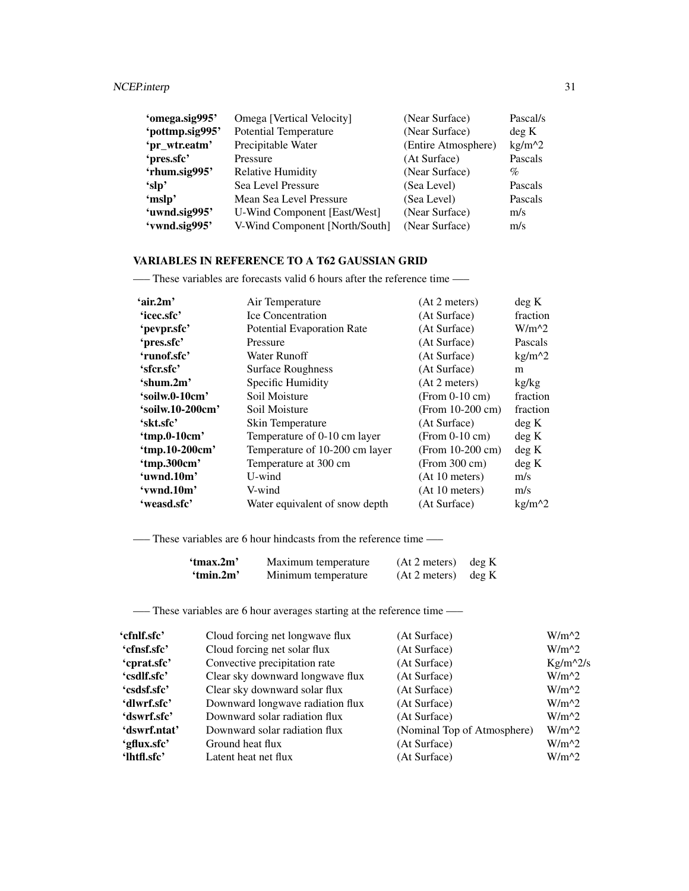| 'omega.sig995'  | Omega [Vertical Velocity]      | (Near Surface)      | Pascal/s |
|-----------------|--------------------------------|---------------------|----------|
| 'pottmp.sig995' | <b>Potential Temperature</b>   | (Near Surface)      | deg K    |
| 'pr_wtr.eatm'   | Precipitable Water             | (Entire Atmosphere) | $kg/m^2$ |
| 'pres.sfc'      | Pressure                       | (At Surface)        | Pascals  |
| 'rhum.sig995'   | <b>Relative Humidity</b>       | (Near Surface)      | $\%$     |
| 'slp'           | Sea Level Pressure             | (Sea Level)         | Pascals  |
| 'mslp'          | Mean Sea Level Pressure        | (Sea Level)         | Pascals  |
| 'uwnd.sig995'   | U-Wind Component [East/West]   | (Near Surface)      | m/s      |
| 'vwnd.sig995'   | V-Wind Component [North/South] | (Near Surface)      | m/s      |

# VARIABLES IN REFERENCE TO A T62 GAUSSIAN GRID

—– These variables are forecasts valid 6 hours after the reference time —–

| 'air.2m'         | Air Temperature                | (At 2 meters)      | deg K    |
|------------------|--------------------------------|--------------------|----------|
| 'icec.sfc'       | <b>Ice Concentration</b>       | (At Surface)       | fraction |
| 'pevpr.sfc'      | Potential Evaporation Rate     | (At Surface)       | $W/m^2$  |
| 'pres.sfc'       | Pressure                       | (At Surface)       | Pascals  |
| 'runof.sfc'      | Water Runoff                   | (At Surface)       | $kg/m^2$ |
| 'sfer.sfe'       | <b>Surface Roughness</b>       | (At Surface)       | m        |
| 'shum.2m'        | Specific Humidity              | (At 2 meters)      | kg/kg    |
| 'soilw.0-10cm'   | Soil Moisture                  | $(From 0-10 cm)$   | fraction |
| 'soilw.10-200cm' | Soil Moisture                  | $(From 10-200 cm)$ | fraction |
| 'skt.sfc'        | Skin Temperature               | (At Surface)       | deg K    |
| 'tmp.0-10cm'     | Temperature of 0-10 cm layer   | $(From 0-10 cm)$   | deg K    |
| 'tmp.10-200cm'   | Temperature of 10-200 cm layer | (From 10-200 cm)   | deg K    |
| 'tmp.300cm'      | Temperature at 300 cm          | (From 300 cm)      | deg K    |
| 'uwnd.10m'       | U-wind                         | (At 10 meters)     | m/s      |
| 'vwnd.10m'       | V-wind                         | (At 10 meters)     | m/s      |
| 'weasd.sfc'      | Water equivalent of snow depth | (At Surface)       | $kg/m^2$ |

—– These variables are 6 hour hindcasts from the reference time —–

| 'tmax.2m' | Maximum temperature | $(At 2 meters)$ deg K |  |
|-----------|---------------------|-----------------------|--|
| 'tmin.2m' | Minimum temperature | $(At 2 meters)$ deg K |  |

—– These variables are 6 hour averages starting at the reference time —–

| 'cfnlf.sfc'  | Cloud forcing net longwave flux  | (At Surface)                | $W/m^2$    |
|--------------|----------------------------------|-----------------------------|------------|
| 'cfnsf.sfc'  | Cloud forcing net solar flux     | (At Surface)                | $W/m^2$    |
| 'cprat.sfc'  | Convective precipitation rate    | (At Surface)                | $Kg/m^2/s$ |
| 'csdlf.sfc'  | Clear sky downward longwave flux | (At Surface)                | $W/m^2$    |
| 'csdsf.sfc'  | Clear sky downward solar flux    | (At Surface)                | $W/m^2$    |
| 'dlwrf.sfc'  | Downward longwave radiation flux | (At Surface)                | $W/m^{2}$  |
| 'dswrf.sfc'  | Downward solar radiation flux    | (At Surface)                | $W/m^2$    |
| 'dswrf.ntat' | Downward solar radiation flux    | (Nominal Top of Atmosphere) | $W/m^2$    |
| 'gflux.sfc'  | Ground heat flux                 | (At Surface)                | $W/m^2$    |
| 'lhtfl.sfc'  | Latent heat net flux             | (At Surface)                | $W/m^2$    |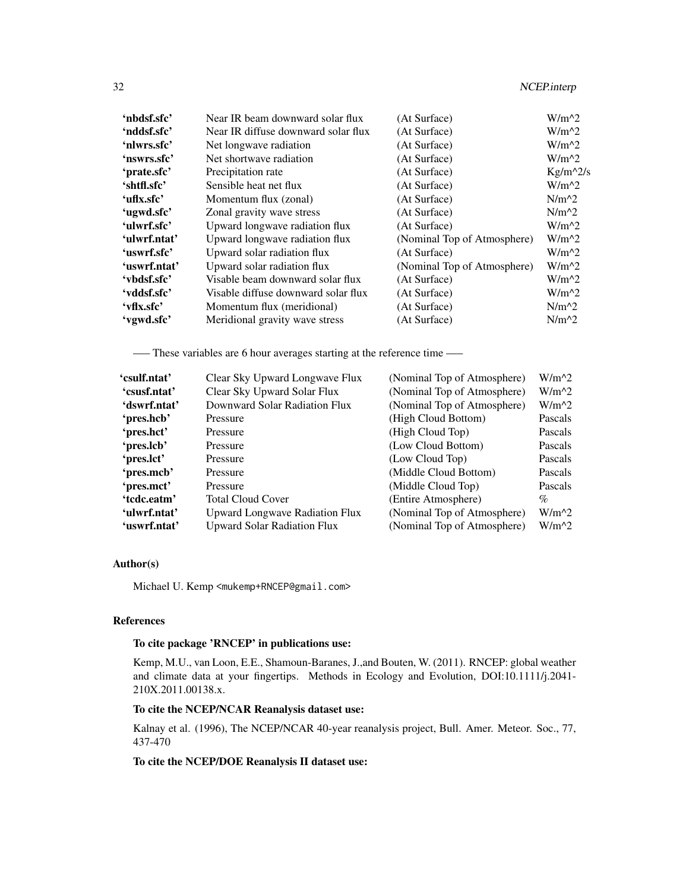| 'nbdsf.sfc'  | Near IR beam downward solar flux    | (At Surface)                | $W/m^2$    |
|--------------|-------------------------------------|-----------------------------|------------|
| 'nddsf.sfc'  | Near IR diffuse downward solar flux | (At Surface)                | $W/m^2$    |
| 'nlwrs.sfc'  | Net longwave radiation              | (At Surface)                | $W/m^2$    |
| 'nswrs.sfc'  | Net shortwave radiation             | (At Surface)                | $W/m^2$    |
| 'prate.sfc'  | Precipitation rate                  | (At Surface)                | $Kg/m^2/s$ |
| 'shtfl.sfc'  | Sensible heat net flux              | (At Surface)                | $W/m^2$    |
| 'uflx.sfc'   | Momentum flux (zonal)               | (At Surface)                | $N/m^2$    |
| 'ugwd.sfc'   | Zonal gravity wave stress           | (At Surface)                | $N/m^2$    |
| 'ulwrf.sfc'  | Upward longwave radiation flux      | (At Surface)                | $W/m^2$    |
| 'ulwrf.ntat' | Upward longwave radiation flux      | (Nominal Top of Atmosphere) | $W/m^2$    |
| 'uswrf.sfc'  | Upward solar radiation flux         | (At Surface)                | $W/m^2$    |
| 'uswrf.ntat' | Upward solar radiation flux         | (Nominal Top of Atmosphere) | $W/m^2$    |
| 'vbdsf.sfc'  | Visable beam downward solar flux    | (At Surface)                | $W/m^2$    |
| 'vddsf.sfc'  | Visable diffuse downward solar flux | (At Surface)                | $W/m^2$    |
| 'vflx.sfc'   | Momentum flux (meridional)          | (At Surface)                | $N/m^2$    |
| 'vgwd.sfc'   | Meridional gravity wave stress      | (At Surface)                | $N/m^2$    |
|              |                                     |                             |            |

—– These variables are 6 hour averages starting at the reference time —–

| 'csulf.ntat' | Clear Sky Upward Longwave Flux        | (Nominal Top of Atmosphere) | $W/m^2$ |
|--------------|---------------------------------------|-----------------------------|---------|
| 'csusf.ntat' | Clear Sky Upward Solar Flux           | (Nominal Top of Atmosphere) | $W/m^2$ |
| 'dswrf.ntat' | Downward Solar Radiation Flux         | (Nominal Top of Atmosphere) | $W/m^2$ |
| 'pres.hcb'   | Pressure                              | (High Cloud Bottom)         | Pascals |
| 'pres.hct'   | Pressure                              | (High Cloud Top)            | Pascals |
| 'pres.lcb'   | Pressure                              | (Low Cloud Bottom)          | Pascals |
| 'pres.lct'   | Pressure                              | (Low Cloud Top)             | Pascals |
| 'pres.mcb'   | Pressure                              | (Middle Cloud Bottom)       | Pascals |
| 'pres.mct'   | Pressure                              | (Middle Cloud Top)          | Pascals |
| 'tcdc.eatm'  | <b>Total Cloud Cover</b>              | (Entire Atmosphere)         | $\%$    |
| 'ulwrf.ntat' | <b>Upward Longwave Radiation Flux</b> | (Nominal Top of Atmosphere) | $W/m^2$ |
| 'uswrf.ntat' | <b>Upward Solar Radiation Flux</b>    | (Nominal Top of Atmosphere) | $W/m^2$ |

# Author(s)

Michael U. Kemp <mukemp+RNCEP@gmail.com>

# References

# To cite package 'RNCEP' in publications use:

Kemp, M.U., van Loon, E.E., Shamoun-Baranes, J.,and Bouten, W. (2011). RNCEP: global weather and climate data at your fingertips. Methods in Ecology and Evolution, DOI:10.1111/j.2041- 210X.2011.00138.x.

# To cite the NCEP/NCAR Reanalysis dataset use:

Kalnay et al. (1996), The NCEP/NCAR 40-year reanalysis project, Bull. Amer. Meteor. Soc., 77, 437-470

# To cite the NCEP/DOE Reanalysis II dataset use: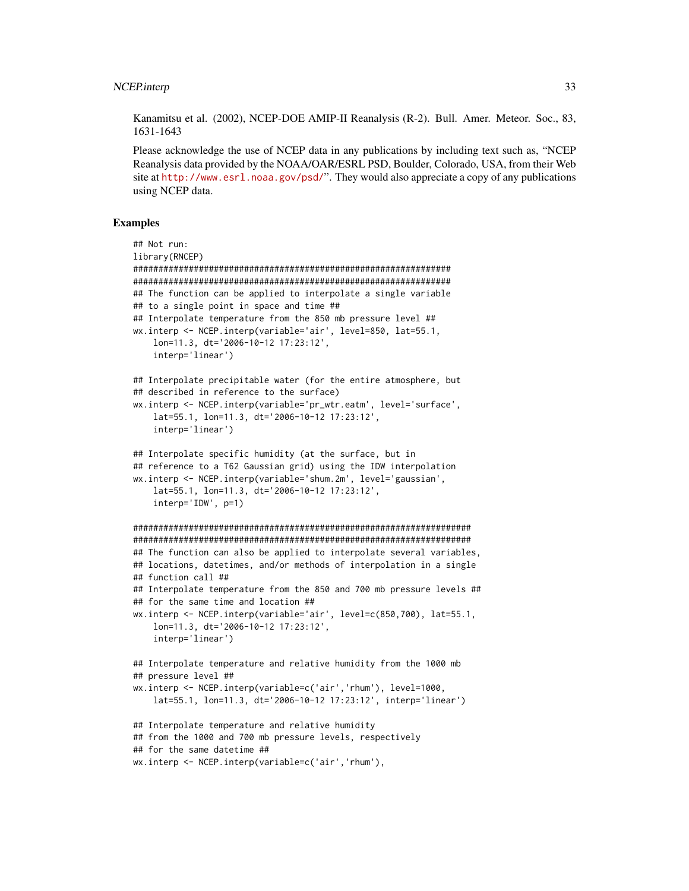Kanamitsu et al. (2002), NCEP-DOE AMIP-II Reanalysis (R-2). Bull. Amer. Meteor. Soc., 83, 1631-1643

Please acknowledge the use of NCEP data in any publications by including text such as, "NCEP Reanalysis data provided by the NOAA/OAR/ESRL PSD, Boulder, Colorado, USA, from their Web site at <http://www.esrl.noaa.gov/psd/>". They would also appreciate a copy of any publications using NCEP data.

# Examples

```
## Not run:
library(RNCEP)
###############################################################
###############################################################
## The function can be applied to interpolate a single variable
## to a single point in space and time ##
## Interpolate temperature from the 850 mb pressure level ##
wx.interp <- NCEP.interp(variable='air', level=850, lat=55.1,
    lon=11.3, dt='2006-10-12 17:23:12',
    interp='linear')
## Interpolate precipitable water (for the entire atmosphere, but
## described in reference to the surface)
wx.interp <- NCEP.interp(variable='pr_wtr.eatm', level='surface',
    lat=55.1, lon=11.3, dt='2006-10-12 17:23:12',
    interp='linear')
## Interpolate specific humidity (at the surface, but in
## reference to a T62 Gaussian grid) using the IDW interpolation
wx.interp <- NCEP.interp(variable='shum.2m', level='gaussian',
    lat=55.1, lon=11.3, dt='2006-10-12 17:23:12',
    interp='IDW', p=1)
###################################################################
###################################################################
## The function can also be applied to interpolate several variables,
## locations, datetimes, and/or methods of interpolation in a single
## function call ##
## Interpolate temperature from the 850 and 700 mb pressure levels ##
## for the same time and location ##
wx.interp <- NCEP.interp(variable='air', level=c(850,700), lat=55.1,
    lon=11.3, dt='2006-10-12 17:23:12',
    interp='linear')
## Interpolate temperature and relative humidity from the 1000 mb
## pressure level ##
wx.interp <- NCEP.interp(variable=c('air','rhum'), level=1000,
    lat=55.1, lon=11.3, dt='2006-10-12 17:23:12', interp='linear')
## Interpolate temperature and relative humidity
## from the 1000 and 700 mb pressure levels, respectively
## for the same datetime ##
wx.interp <- NCEP.interp(variable=c('air','rhum'),
```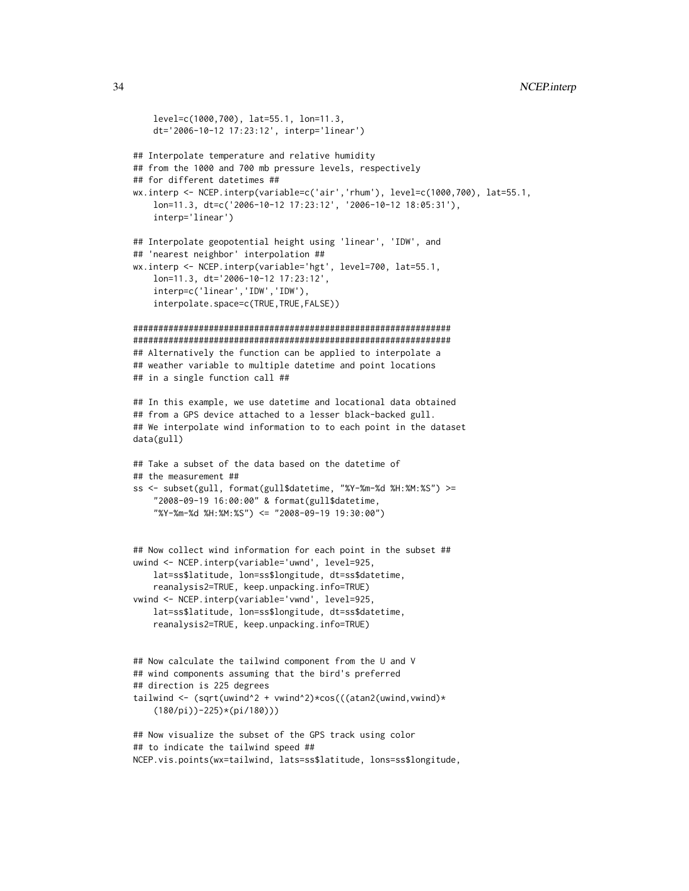```
level=c(1000,700), lat=55.1, lon=11.3,
    dt='2006-10-12 17:23:12', interp='linear')
## Interpolate temperature and relative humidity
## from the 1000 and 700 mb pressure levels, respectively
## for different datetimes ##
wx.interp <- NCEP.interp(variable=c('air','rhum'), level=c(1000,700), lat=55.1,
    lon=11.3, dt=c('2006-10-12 17:23:12', '2006-10-12 18:05:31'),
    interp='linear')
## Interpolate geopotential height using 'linear', 'IDW', and
## 'nearest neighbor' interpolation ##
wx.interp <- NCEP.interp(variable='hgt', level=700, lat=55.1,
    lon=11.3, dt='2006-10-12 17:23:12',
    interp=c('linear','IDW','IDW'),
    interpolate.space=c(TRUE,TRUE,FALSE))
###############################################################
###############################################################
## Alternatively the function can be applied to interpolate a
## weather variable to multiple datetime and point locations
## in a single function call ##
## In this example, we use datetime and locational data obtained
## from a GPS device attached to a lesser black-backed gull.
## We interpolate wind information to to each point in the dataset
data(gull)
## Take a subset of the data based on the datetime of
## the measurement ##
ss <- subset(gull, format(gull$datetime, "%Y-%m-%d %H:%M:%S") >=
    "2008-09-19 16:00:00" & format(gull$datetime,
    "%Y-%m-%d %H:%M:%S") <= "2008-09-19 19:30:00")
## Now collect wind information for each point in the subset ##
uwind <- NCEP.interp(variable='uwnd', level=925,
    lat=ss$latitude, lon=ss$longitude, dt=ss$datetime,
    reanalysis2=TRUE, keep.unpacking.info=TRUE)
vwind <- NCEP.interp(variable='vwnd', level=925,
    lat=ss$latitude, lon=ss$longitude, dt=ss$datetime,
    reanalysis2=TRUE, keep.unpacking.info=TRUE)
## Now calculate the tailwind component from the U and V
## wind components assuming that the bird's preferred
## direction is 225 degrees
tailwind <- (sqrt(uwind^2 + vwind^2)*cos(((atan2(uwind,vwind)*(180/pi))-225)*(pi/180)))
## Now visualize the subset of the GPS track using color
## to indicate the tailwind speed ##
NCEP.vis.points(wx=tailwind, lats=ss$latitude, lons=ss$longitude,
```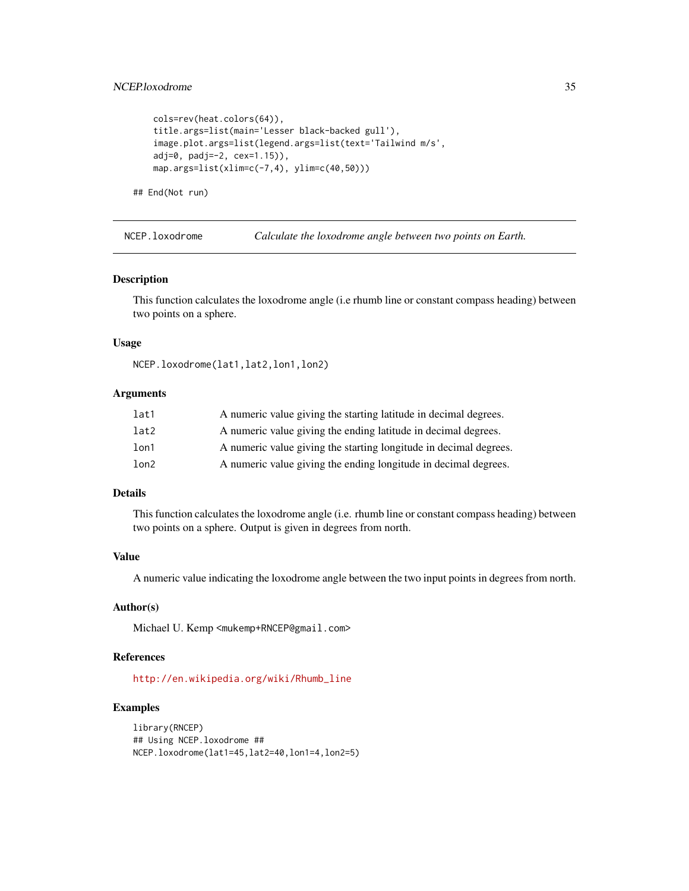```
cols=rev(heat.colors(64)),
title.args=list(main='Lesser black-backed gull'),
image.plot.args=list(legend.args=list(text='Tailwind m/s',
adj=0, padj=-2, cex=1.15)),
map.args=list(xlim=c(-7,4), ylim=c(40,50)))
```
## End(Not run)

<span id="page-34-1"></span>NCEP.loxodrome *Calculate the loxodrome angle between two points on Earth.*

# Description

This function calculates the loxodrome angle (i.e rhumb line or constant compass heading) between two points on a sphere.

# Usage

NCEP.loxodrome(lat1,lat2,lon1,lon2)

# Arguments

| lat1 | A numeric value giving the starting latitude in decimal degrees.  |
|------|-------------------------------------------------------------------|
| lat2 | A numeric value giving the ending latitude in decimal degrees.    |
| lon1 | A numeric value giving the starting longitude in decimal degrees. |
| lon2 | A numeric value giving the ending longitude in decimal degrees.   |

# Details

This function calculates the loxodrome angle (i.e. rhumb line or constant compass heading) between two points on a sphere. Output is given in degrees from north.

# Value

A numeric value indicating the loxodrome angle between the two input points in degrees from north.

# Author(s)

Michael U. Kemp <mukemp+RNCEP@gmail.com>

# References

[http://en.wikipedia.org/wiki/Rhumb\\_line](http://en.wikipedia.org/wiki/Rhumb_line)

# Examples

library(RNCEP) ## Using NCEP.loxodrome ## NCEP.loxodrome(lat1=45,lat2=40,lon1=4,lon2=5)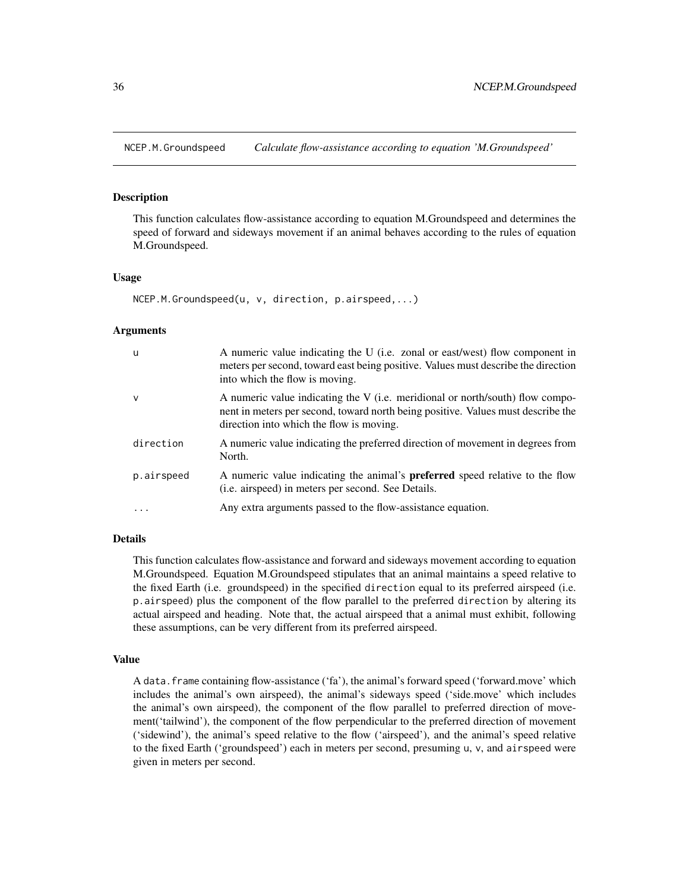<span id="page-35-1"></span><span id="page-35-0"></span>

# **Description**

This function calculates flow-assistance according to equation M.Groundspeed and determines the speed of forward and sideways movement if an animal behaves according to the rules of equation M.Groundspeed.

# Usage

```
NCEP.M.Groundspeed(u, v, direction, p.airspeed,...)
```
#### Arguments

| <b>u</b>    | A numeric value indicating the U (i.e. zonal or east/west) flow component in<br>meters per second, toward east being positive. Values must describe the direction<br>into which the flow is moving.           |
|-------------|---------------------------------------------------------------------------------------------------------------------------------------------------------------------------------------------------------------|
| $\mathbf v$ | A numeric value indicating the V (i.e. meridional or north/south) flow compo-<br>nent in meters per second, toward north being positive. Values must describe the<br>direction into which the flow is moving. |
| direction   | A numeric value indicating the preferred direction of movement in degrees from<br>North.                                                                                                                      |
| p.airspeed  | A numeric value indicating the animal's <b>preferred</b> speed relative to the flow<br>( <i>i.e.</i> airspeed) in meters per second. See Details.                                                             |
| .           | Any extra arguments passed to the flow-assistance equation.                                                                                                                                                   |

# Details

This function calculates flow-assistance and forward and sideways movement according to equation M.Groundspeed. Equation M.Groundspeed stipulates that an animal maintains a speed relative to the fixed Earth (i.e. groundspeed) in the specified direction equal to its preferred airspeed (i.e. p.airspeed) plus the component of the flow parallel to the preferred direction by altering its actual airspeed and heading. Note that, the actual airspeed that a animal must exhibit, following these assumptions, can be very different from its preferred airspeed.

#### Value

A data.frame containing flow-assistance ('fa'), the animal's forward speed ('forward.move' which includes the animal's own airspeed), the animal's sideways speed ('side.move' which includes the animal's own airspeed), the component of the flow parallel to preferred direction of movement('tailwind'), the component of the flow perpendicular to the preferred direction of movement ('sidewind'), the animal's speed relative to the flow ('airspeed'), and the animal's speed relative to the fixed Earth ('groundspeed') each in meters per second, presuming u, v, and airspeed were given in meters per second.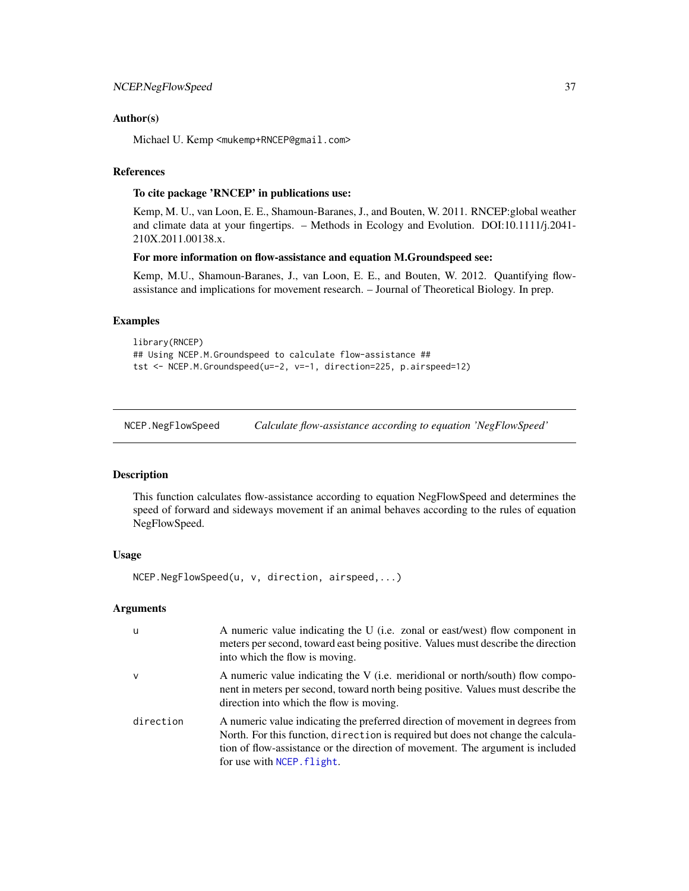# <span id="page-36-0"></span>Author(s)

Michael U. Kemp <mukemp+RNCEP@gmail.com>

# References

# To cite package 'RNCEP' in publications use:

Kemp, M. U., van Loon, E. E., Shamoun-Baranes, J., and Bouten, W. 2011. RNCEP:global weather and climate data at your fingertips. – Methods in Ecology and Evolution. DOI:10.1111/j.2041- 210X.2011.00138.x.

# For more information on flow-assistance and equation M.Groundspeed see:

Kemp, M.U., Shamoun-Baranes, J., van Loon, E. E., and Bouten, W. 2012. Quantifying flowassistance and implications for movement research. – Journal of Theoretical Biology. In prep.

# Examples

```
library(RNCEP)
## Using NCEP.M.Groundspeed to calculate flow-assistance ##
tst <- NCEP.M.Groundspeed(u=-2, v=-1, direction=225, p.airspeed=12)
```
<span id="page-36-1"></span>NCEP.NegFlowSpeed *Calculate flow-assistance according to equation 'NegFlowSpeed'*

# Description

This function calculates flow-assistance according to equation NegFlowSpeed and determines the speed of forward and sideways movement if an animal behaves according to the rules of equation NegFlowSpeed.

# Usage

NCEP.NegFlowSpeed(u, v, direction, airspeed,...)

# Arguments

| u            | A numeric value indicating the U (i.e. zonal or east/west) flow component in<br>meters per second, toward east being positive. Values must describe the direction<br>into which the flow is moving.                                                                                |
|--------------|------------------------------------------------------------------------------------------------------------------------------------------------------------------------------------------------------------------------------------------------------------------------------------|
| $\mathsf{v}$ | A numeric value indicating the V (i.e. meridional or north/south) flow compo-<br>nent in meters per second, toward north being positive. Values must describe the<br>direction into which the flow is moving.                                                                      |
| direction    | A numeric value indicating the preferred direction of movement in degrees from<br>North. For this function, direction is required but does not change the calcula-<br>tion of flow-assistance or the direction of movement. The argument is included<br>for use with NCEP. flight. |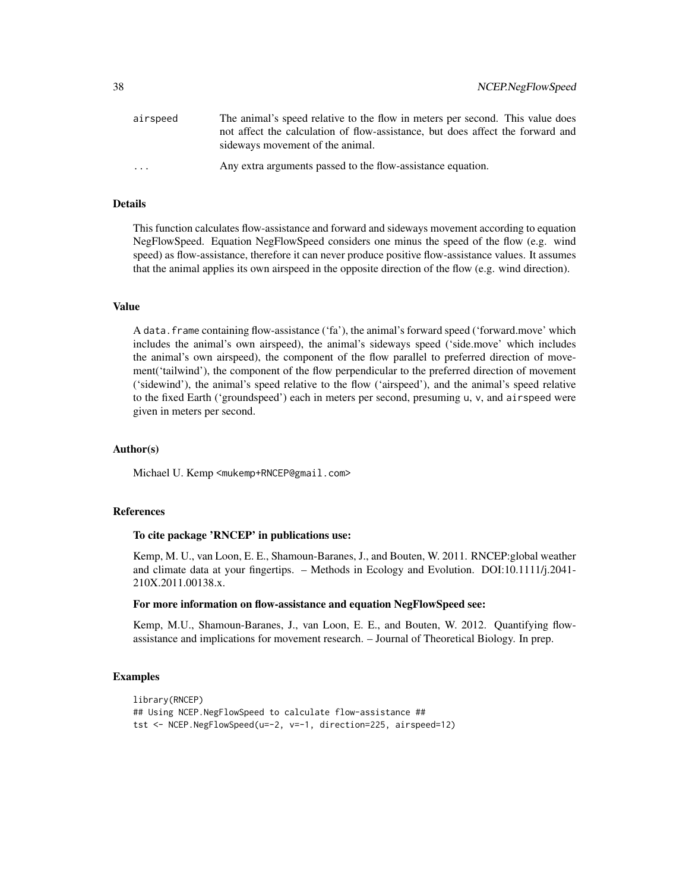| airspeed                | The animal's speed relative to the flow in meters per second. This value does                                      |
|-------------------------|--------------------------------------------------------------------------------------------------------------------|
|                         | not affect the calculation of flow-assistance, but does affect the forward and<br>sideways movement of the animal. |
| $\cdot$ $\cdot$ $\cdot$ | Any extra arguments passed to the flow-assistance equation.                                                        |

# Details

This function calculates flow-assistance and forward and sideways movement according to equation NegFlowSpeed. Equation NegFlowSpeed considers one minus the speed of the flow (e.g. wind speed) as flow-assistance, therefore it can never produce positive flow-assistance values. It assumes that the animal applies its own airspeed in the opposite direction of the flow (e.g. wind direction).

## Value

A data.frame containing flow-assistance ('fa'), the animal's forward speed ('forward.move' which includes the animal's own airspeed), the animal's sideways speed ('side.move' which includes the animal's own airspeed), the component of the flow parallel to preferred direction of movement('tailwind'), the component of the flow perpendicular to the preferred direction of movement ('sidewind'), the animal's speed relative to the flow ('airspeed'), and the animal's speed relative to the fixed Earth ('groundspeed') each in meters per second, presuming u, v, and airspeed were given in meters per second.

# Author(s)

Michael U. Kemp <mukemp+RNCEP@gmail.com>

# References

# To cite package 'RNCEP' in publications use:

Kemp, M. U., van Loon, E. E., Shamoun-Baranes, J., and Bouten, W. 2011. RNCEP:global weather and climate data at your fingertips. – Methods in Ecology and Evolution. DOI:10.1111/j.2041- 210X.2011.00138.x.

# For more information on flow-assistance and equation NegFlowSpeed see:

Kemp, M.U., Shamoun-Baranes, J., van Loon, E. E., and Bouten, W. 2012. Quantifying flowassistance and implications for movement research. – Journal of Theoretical Biology. In prep.

# Examples

```
library(RNCEP)
## Using NCEP.NegFlowSpeed to calculate flow-assistance ##
tst <- NCEP.NegFlowSpeed(u=-2, v=-1, direction=225, airspeed=12)
```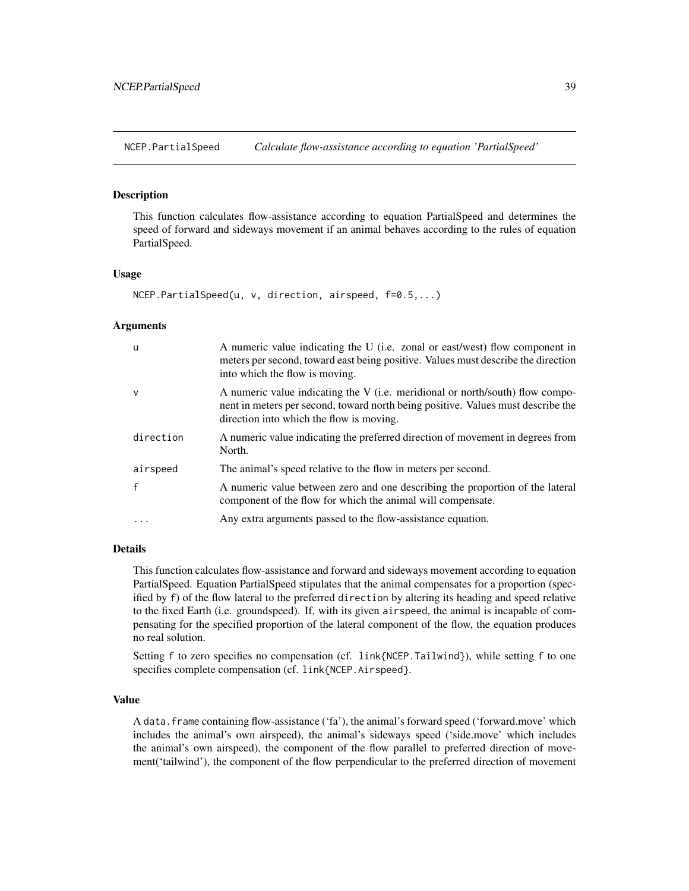<span id="page-38-1"></span><span id="page-38-0"></span>NCEP.PartialSpeed *Calculate flow-assistance according to equation 'PartialSpeed'*

# Description

This function calculates flow-assistance according to equation PartialSpeed and determines the speed of forward and sideways movement if an animal behaves according to the rules of equation PartialSpeed.

# Usage

```
NCEP.PartialSpeed(u, v, direction, airspeed, f=0.5,...)
```
#### Arguments

| <b>u</b>     | A numeric value indicating the U (i.e. zonal or east/west) flow component in<br>meters per second, toward east being positive. Values must describe the direction<br>into which the flow is moving.           |
|--------------|---------------------------------------------------------------------------------------------------------------------------------------------------------------------------------------------------------------|
| $\vee$       | A numeric value indicating the V (i.e. meridional or north/south) flow compo-<br>nent in meters per second, toward north being positive. Values must describe the<br>direction into which the flow is moving. |
| direction    | A numeric value indicating the preferred direction of movement in degrees from<br>North.                                                                                                                      |
| airspeed     | The animal's speed relative to the flow in meters per second.                                                                                                                                                 |
| $\mathbf{f}$ | A numeric value between zero and one describing the proportion of the lateral<br>component of the flow for which the animal will compensate.                                                                  |
|              | Any extra arguments passed to the flow-assistance equation.                                                                                                                                                   |

#### Details

This function calculates flow-assistance and forward and sideways movement according to equation PartialSpeed. Equation PartialSpeed stipulates that the animal compensates for a proportion (specified by f) of the flow lateral to the preferred direction by altering its heading and speed relative to the fixed Earth (i.e. groundspeed). If, with its given airspeed, the animal is incapable of compensating for the specified proportion of the lateral component of the flow, the equation produces no real solution.

Setting f to zero specifies no compensation (cf. link{NCEP.Tailwind}), while setting f to one specifies complete compensation (cf. link{NCEP.Airspeed}.

#### Value

A data.frame containing flow-assistance ('fa'), the animal's forward speed ('forward.move' which includes the animal's own airspeed), the animal's sideways speed ('side.move' which includes the animal's own airspeed), the component of the flow parallel to preferred direction of movement('tailwind'), the component of the flow perpendicular to the preferred direction of movement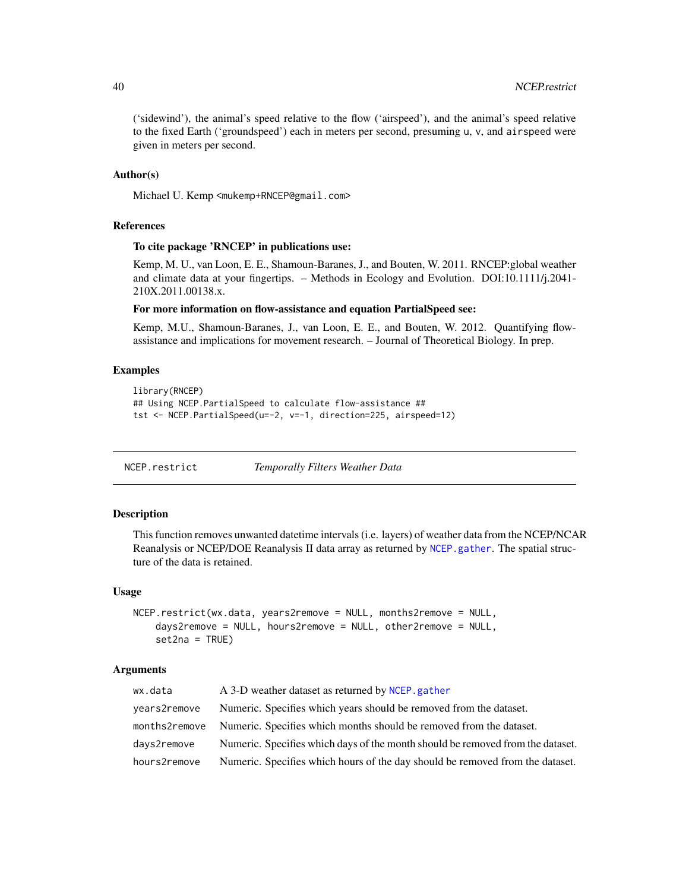('sidewind'), the animal's speed relative to the flow ('airspeed'), and the animal's speed relative to the fixed Earth ('groundspeed') each in meters per second, presuming u, v, and airspeed were given in meters per second.

# Author(s)

Michael U. Kemp <mukemp+RNCEP@gmail.com>

# References

# To cite package 'RNCEP' in publications use:

Kemp, M. U., van Loon, E. E., Shamoun-Baranes, J., and Bouten, W. 2011. RNCEP:global weather and climate data at your fingertips. – Methods in Ecology and Evolution. DOI:10.1111/j.2041- 210X.2011.00138.x.

# For more information on flow-assistance and equation PartialSpeed see:

Kemp, M.U., Shamoun-Baranes, J., van Loon, E. E., and Bouten, W. 2012. Quantifying flowassistance and implications for movement research. – Journal of Theoretical Biology. In prep.

# Examples

```
library(RNCEP)
## Using NCEP.PartialSpeed to calculate flow-assistance ##
tst <- NCEP.PartialSpeed(u=-2, v=-1, direction=225, airspeed=12)
```
NCEP.restrict *Temporally Filters Weather Data*

# Description

This function removes unwanted datetime intervals (i.e. layers) of weather data from the NCEP/NCAR Reanalysis or NCEP/DOE Reanalysis II data array as returned by [NCEP.gather](#page-17-1). The spatial structure of the data is retained.

#### Usage

```
NCEP.restrict(wx.data, years2remove = NULL, months2remove = NULL,
    days2remove = NULL, hours2remove = NULL, other2remove = NULL,
    set2na = TRUE)
```
# Arguments

| wx.data       | A 3-D weather dataset as returned by NCEP, gather                              |
|---------------|--------------------------------------------------------------------------------|
| years2remove  | Numeric. Specifies which years should be removed from the dataset.             |
| months2remove | Numeric. Specifies which months should be removed from the dataset.            |
| days2remove   | Numeric. Specifies which days of the month should be removed from the dataset. |
| hours2remove  | Numeric. Specifies which hours of the day should be removed from the dataset.  |

<span id="page-39-0"></span>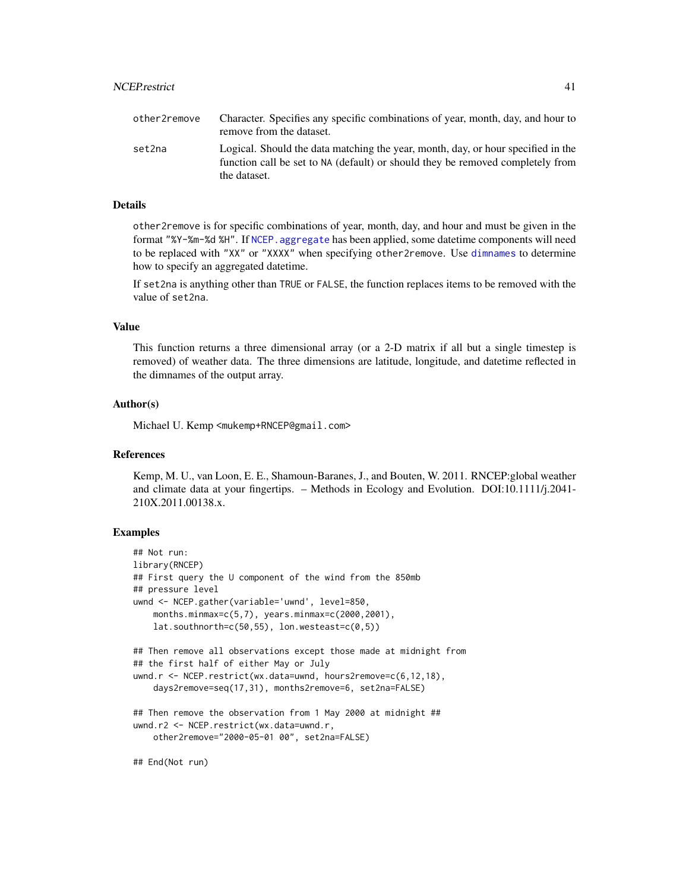<span id="page-40-0"></span>

| other2remove | Character. Specifies any specific combinations of year, month, day, and hour to<br>remove from the dataset.                                                                        |
|--------------|------------------------------------------------------------------------------------------------------------------------------------------------------------------------------------|
| set2na       | Logical. Should the data matching the year, month, day, or hour specified in the<br>function call be set to NA (default) or should they be removed completely from<br>the dataset. |

# Details

other2remove is for specific combinations of year, month, day, and hour and must be given in the format "%Y-%m-%d %H". If [NCEP.aggregate](#page-4-1) has been applied, some datetime components will need to be replaced with "XX" or "XXXX" when specifying other2remove. Use [dimnames](#page-0-0) to determine how to specify an aggregated datetime.

If set2na is anything other than TRUE or FALSE, the function replaces items to be removed with the value of set2na.

# Value

This function returns a three dimensional array (or a 2-D matrix if all but a single timestep is removed) of weather data. The three dimensions are latitude, longitude, and datetime reflected in the dimnames of the output array.

# Author(s)

Michael U. Kemp <mukemp+RNCEP@gmail.com>

# References

Kemp, M. U., van Loon, E. E., Shamoun-Baranes, J., and Bouten, W. 2011. RNCEP:global weather and climate data at your fingertips. – Methods in Ecology and Evolution. DOI:10.1111/j.2041- 210X.2011.00138.x.

# Examples

```
## Not run:
library(RNCEP)
## First query the U component of the wind from the 850mb
## pressure level
uwnd <- NCEP.gather(variable='uwnd', level=850,
    months.minmax=c(5,7), years.minmax=c(2000,2001),
    lat.southnorth=c(50,55), lon.westeast=c(0,5))## Then remove all observations except those made at midnight from
## the first half of either May or July
uwnd.r <- NCEP.restrict(wx.data=uwnd, hours2remove=c(6,12,18),
    days2remove=seq(17,31), months2remove=6, set2na=FALSE)
## Then remove the observation from 1 May 2000 at midnight ##
uwnd.r2 <- NCEP.restrict(wx.data=uwnd.r,
    other2remove="2000-05-01 00", set2na=FALSE)
```
## End(Not run)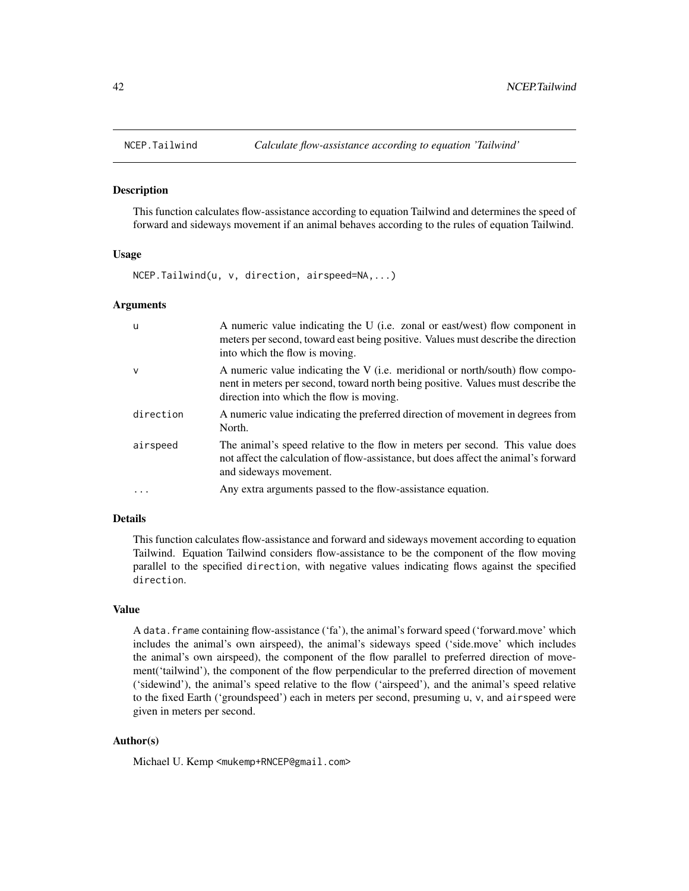<span id="page-41-1"></span><span id="page-41-0"></span>

#### Description

This function calculates flow-assistance according to equation Tailwind and determines the speed of forward and sideways movement if an animal behaves according to the rules of equation Tailwind.

# Usage

NCEP.Tailwind(u, v, direction, airspeed=NA,...)

#### Arguments

| - u       | A numeric value indicating the U (i.e. zonal or east/west) flow component in<br>meters per second, toward east being positive. Values must describe the direction<br>into which the flow is moving.           |
|-----------|---------------------------------------------------------------------------------------------------------------------------------------------------------------------------------------------------------------|
| $\vee$    | A numeric value indicating the V (i.e. meridional or north/south) flow compo-<br>nent in meters per second, toward north being positive. Values must describe the<br>direction into which the flow is moving. |
| direction | A numeric value indicating the preferred direction of movement in degrees from<br>North.                                                                                                                      |
| airspeed  | The animal's speed relative to the flow in meters per second. This value does<br>not affect the calculation of flow-assistance, but does affect the animal's forward<br>and sideways movement.                |
| $\cdots$  | Any extra arguments passed to the flow-assistance equation.                                                                                                                                                   |

# Details

This function calculates flow-assistance and forward and sideways movement according to equation Tailwind. Equation Tailwind considers flow-assistance to be the component of the flow moving parallel to the specified direction, with negative values indicating flows against the specified direction.

# Value

A data.frame containing flow-assistance ('fa'), the animal's forward speed ('forward.move' which includes the animal's own airspeed), the animal's sideways speed ('side.move' which includes the animal's own airspeed), the component of the flow parallel to preferred direction of movement('tailwind'), the component of the flow perpendicular to the preferred direction of movement ('sidewind'), the animal's speed relative to the flow ('airspeed'), and the animal's speed relative to the fixed Earth ('groundspeed') each in meters per second, presuming u, v, and airspeed were given in meters per second.

# Author(s)

Michael U. Kemp <mukemp+RNCEP@gmail.com>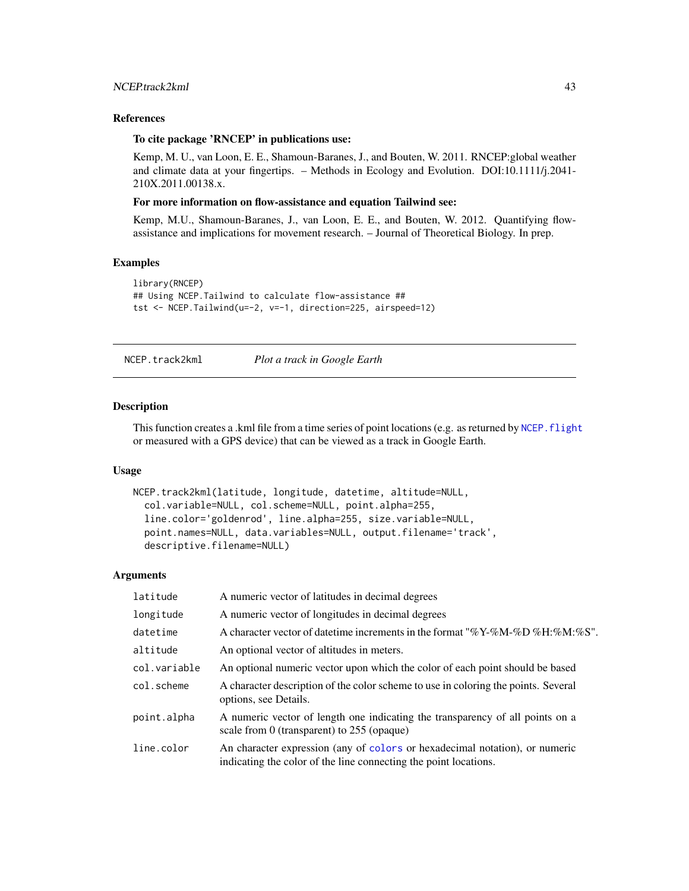# <span id="page-42-0"></span>References

#### To cite package 'RNCEP' in publications use:

Kemp, M. U., van Loon, E. E., Shamoun-Baranes, J., and Bouten, W. 2011. RNCEP:global weather and climate data at your fingertips. – Methods in Ecology and Evolution. DOI:10.1111/j.2041- 210X.2011.00138.x.

# For more information on flow-assistance and equation Tailwind see:

Kemp, M.U., Shamoun-Baranes, J., van Loon, E. E., and Bouten, W. 2012. Quantifying flowassistance and implications for movement research. – Journal of Theoretical Biology. In prep.

#### Examples

```
library(RNCEP)
## Using NCEP.Tailwind to calculate flow-assistance ##
tst <- NCEP.Tailwind(u=-2, v=-1, direction=225, airspeed=12)
```
NCEP.track2kml *Plot a track in Google Earth*

# Description

This function creates a .kml file from a time series of point locations (e.g. as returned by NCEP. flight or measured with a GPS device) that can be viewed as a track in Google Earth.

# Usage

```
NCEP.track2kml(latitude, longitude, datetime, altitude=NULL,
  col.variable=NULL, col.scheme=NULL, point.alpha=255,
  line.color='goldenrod', line.alpha=255, size.variable=NULL,
 point.names=NULL, data.variables=NULL, output.filename='track',
  descriptive.filename=NULL)
```
# Arguments

| latitude     | A numeric vector of latitudes in decimal degrees                                                                                                |
|--------------|-------------------------------------------------------------------------------------------------------------------------------------------------|
| longitude    | A numeric vector of longitudes in decimal degrees                                                                                               |
| datetime     | A character vector of date time increments in the format "%Y-%M-%D %H:%M:%S".                                                                   |
| altitude     | An optional vector of altitudes in meters.                                                                                                      |
| col.variable | An optional numeric vector upon which the color of each point should be based                                                                   |
| col.scheme   | A character description of the color scheme to use in coloring the points. Several<br>options, see Details.                                     |
| point.alpha  | A numeric vector of length one indicating the transparency of all points on a<br>scale from 0 (transparent) to $255$ (opaque)                   |
| line.color   | An character expression (any of colors or hexadecimal notation), or numeric<br>indicating the color of the line connecting the point locations. |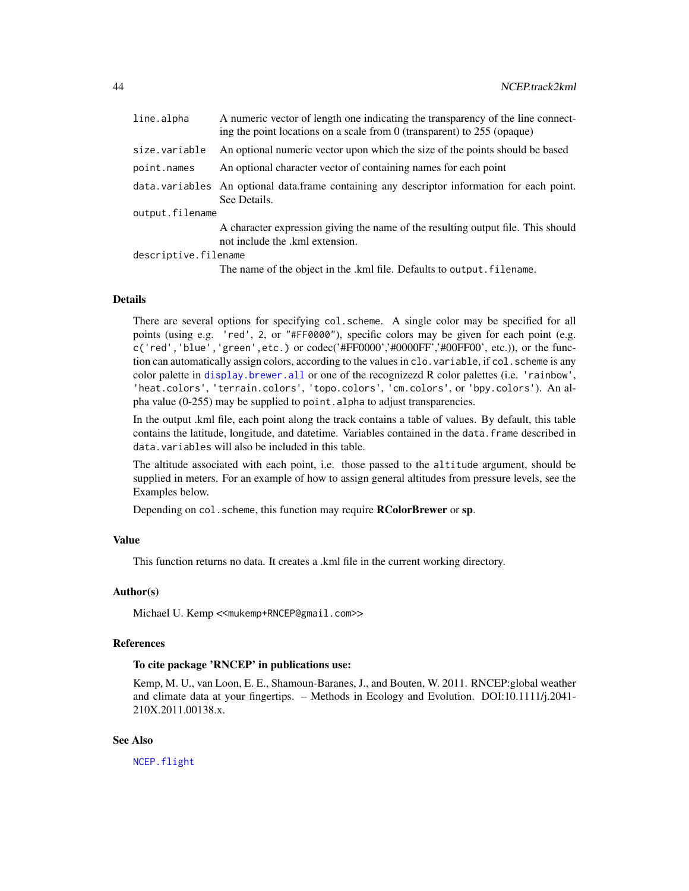<span id="page-43-0"></span>

| line.alpha           | A numeric vector of length one indicating the transparency of the line connect-<br>ing the point locations on a scale from $0$ (transparent) to 255 (opaque) |
|----------------------|--------------------------------------------------------------------------------------------------------------------------------------------------------------|
| size.variable        | An optional numeric vector upon which the size of the points should be based                                                                                 |
| point.names          | An optional character vector of containing names for each point                                                                                              |
|                      | data variables An optional data frame containing any descriptor information for each point.<br>See Details.                                                  |
| output.filename      |                                                                                                                                                              |
|                      | A character expression giving the name of the resulting output file. This should<br>not include the .kml extension.                                          |
| descriptive.filename |                                                                                                                                                              |

The name of the object in the .kml file. Defaults to output. filename.

## Details

There are several options for specifying col.scheme. A single color may be specified for all points (using e.g. 'red', 2, or "#FF0000"), specific colors may be given for each point (e.g. c('red','blue','green',etc.) or codec('#FF0000','#0000FF','#00FF00', etc.)), or the function can automatically assign colors, according to the values in clo.variable, if col. scheme is any color palette in [display.brewer.all](#page-0-0) or one of the recognizezd R color palettes (i.e. 'rainbow', 'heat.colors', 'terrain.colors', 'topo.colors', 'cm.colors', or 'bpy.colors'). An alpha value (0-255) may be supplied to point.alpha to adjust transparencies.

In the output .kml file, each point along the track contains a table of values. By default, this table contains the latitude, longitude, and datetime. Variables contained in the data. frame described in data.variables will also be included in this table.

The altitude associated with each point, i.e. those passed to the altitude argument, should be supplied in meters. For an example of how to assign general altitudes from pressure levels, see the Examples below.

Depending on col. scheme, this function may require **RColorBrewer** or sp.

# Value

This function returns no data. It creates a .kml file in the current working directory.

# Author(s)

Michael U. Kemp << mukemp+RNCEP@gmail.com>>

#### References

# To cite package 'RNCEP' in publications use:

Kemp, M. U., van Loon, E. E., Shamoun-Baranes, J., and Bouten, W. 2011. RNCEP:global weather and climate data at your fingertips. – Methods in Ecology and Evolution. DOI:10.1111/j.2041- 210X.2011.00138.x.

# See Also

[NCEP.flight](#page-12-1)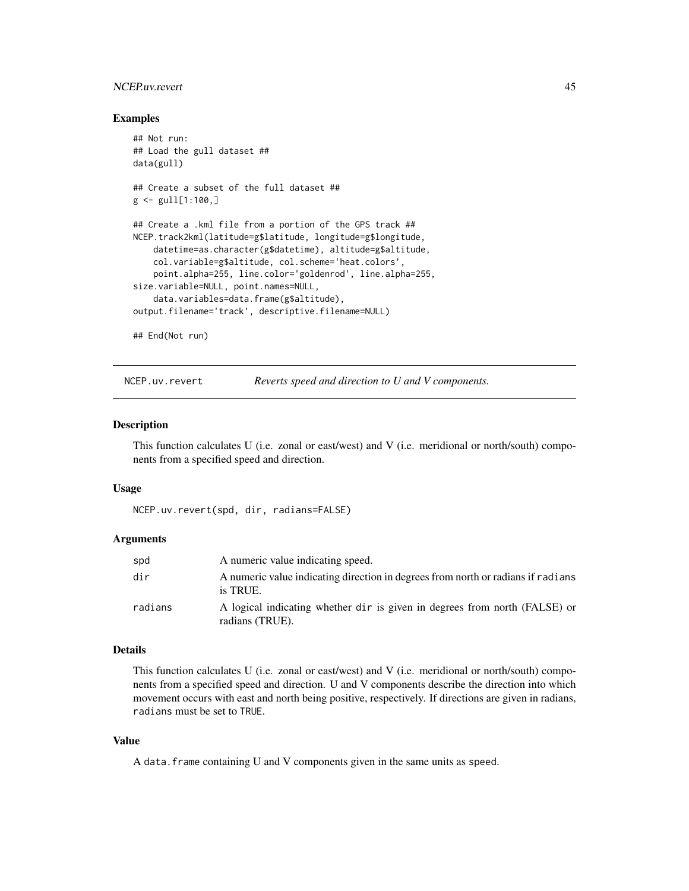# <span id="page-44-0"></span>NCEP.uv.revert 45

# Examples

```
## Not run:
## Load the gull dataset ##
data(gull)
## Create a subset of the full dataset ##
g \leftarrow \text{gull}[1:100, ]## Create a .kml file from a portion of the GPS track ##
NCEP.track2kml(latitude=g$latitude, longitude=g$longitude,
    datetime=as.character(g$datetime), altitude=g$altitude,
    col.variable=g$altitude, col.scheme='heat.colors',
    point.alpha=255, line.color='goldenrod', line.alpha=255,
size.variable=NULL, point.names=NULL,
    data.variables=data.frame(g$altitude),
output.filename='track', descriptive.filename=NULL)
```
## End(Not run)

NCEP.uv.revert *Reverts speed and direction to U and V components.*

# Description

This function calculates U (i.e. zonal or east/west) and V (i.e. meridional or north/south) components from a specified speed and direction.

#### Usage

NCEP.uv.revert(spd, dir, radians=FALSE)

# **Arguments**

| spd     | A numeric value indicating speed.                                                             |
|---------|-----------------------------------------------------------------------------------------------|
| dir     | A numeric value indicating direction in degrees from north or radians if radians<br>is TRUE.  |
| radians | A logical indicating whether dir is given in degrees from north (FALSE) or<br>radians (TRUE). |

# Details

This function calculates U (i.e. zonal or east/west) and V (i.e. meridional or north/south) components from a specified speed and direction. U and V components describe the direction into which movement occurs with east and north being positive, respectively. If directions are given in radians, radians must be set to TRUE.

# Value

A data.frame containing U and V components given in the same units as speed.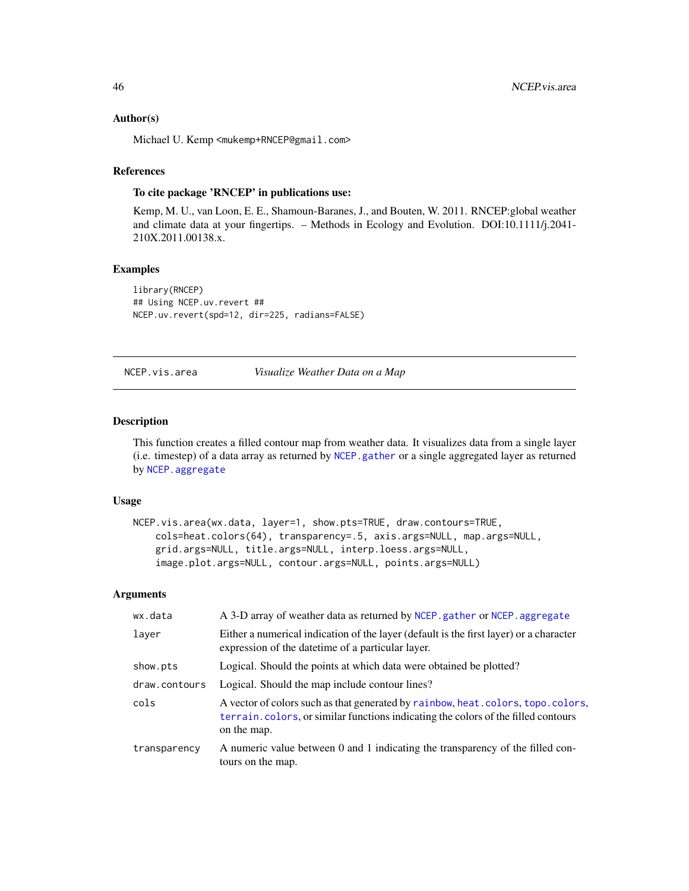# Author(s)

Michael U. Kemp <mukemp+RNCEP@gmail.com>

# References

# To cite package 'RNCEP' in publications use:

Kemp, M. U., van Loon, E. E., Shamoun-Baranes, J., and Bouten, W. 2011. RNCEP:global weather and climate data at your fingertips. – Methods in Ecology and Evolution. DOI:10.1111/j.2041- 210X.2011.00138.x.

# Examples

```
library(RNCEP)
## Using NCEP.uv.revert ##
NCEP.uv.revert(spd=12, dir=225, radians=FALSE)
```
# NCEP.vis.area *Visualize Weather Data on a Map*

# Description

This function creates a filled contour map from weather data. It visualizes data from a single layer (i.e. timestep) of a data array as returned by [NCEP.gather](#page-17-1) or a single aggregated layer as returned by [NCEP.aggregate](#page-4-1)

# Usage

```
NCEP.vis.area(wx.data, layer=1, show.pts=TRUE, draw.contours=TRUE,
   cols=heat.colors(64), transparency=.5, axis.args=NULL, map.args=NULL,
    grid.args=NULL, title.args=NULL, interp.loess.args=NULL,
    image.plot.args=NULL, contour.args=NULL, points.args=NULL)
```
# Arguments

| wx.data       | A 3-D array of weather data as returned by NCEP, gather or NCEP, aggregate                                                                                                           |
|---------------|--------------------------------------------------------------------------------------------------------------------------------------------------------------------------------------|
| layer         | Either a numerical indication of the layer (default is the first layer) or a character<br>expression of the date time of a particular layer.                                         |
| show.pts      | Logical. Should the points at which data were obtained be plotted?                                                                                                                   |
| draw.contours | Logical. Should the map include contour lines?                                                                                                                                       |
| cols          | A vector of colors such as that generated by rainbow, heat.colors, topo.colors,<br>terrain, colors, or similar functions indicating the colors of the filled contours<br>on the map. |
| transparency  | A numeric value between 0 and 1 indicating the transparency of the filled con-<br>tours on the map.                                                                                  |

<span id="page-45-0"></span>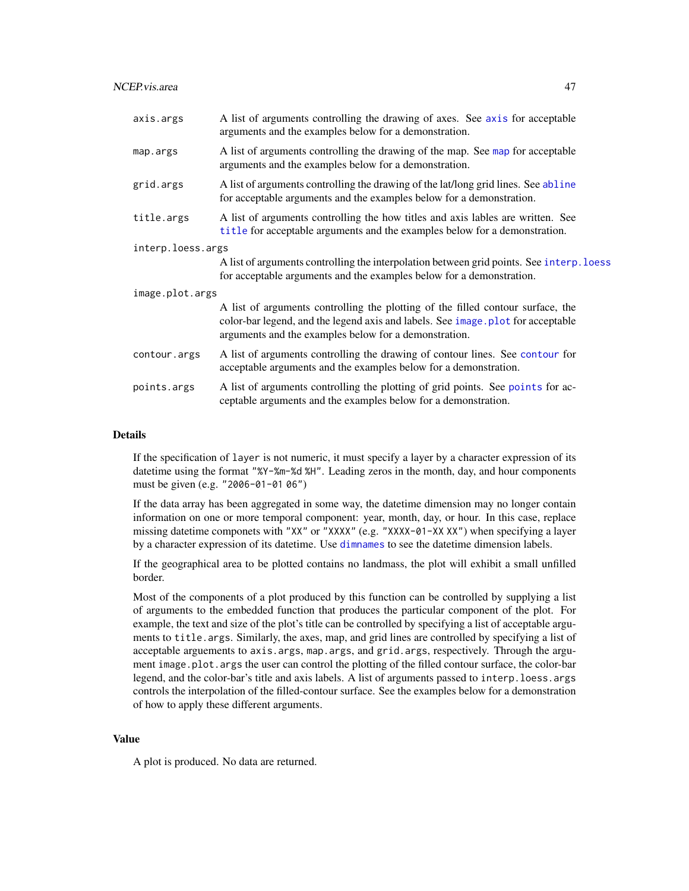<span id="page-46-0"></span>

| axis.args         | A list of arguments controlling the drawing of axes. See axis for acceptable<br>arguments and the examples below for a demonstration.                                                                                       |
|-------------------|-----------------------------------------------------------------------------------------------------------------------------------------------------------------------------------------------------------------------------|
| map.args          | A list of arguments controlling the drawing of the map. See map for acceptable<br>arguments and the examples below for a demonstration.                                                                                     |
| grid.args         | A list of arguments controlling the drawing of the lat/long grid lines. See abline<br>for acceptable arguments and the examples below for a demonstration.                                                                  |
| title.args        | A list of arguments controlling the how titles and axis lables are written. See<br>title for acceptable arguments and the examples below for a demonstration.                                                               |
| interp.loess.args |                                                                                                                                                                                                                             |
|                   | A list of arguments controlling the interpolation between grid points. See interp. loess<br>for acceptable arguments and the examples below for a demonstration.                                                            |
| image.plot.args   |                                                                                                                                                                                                                             |
|                   | A list of arguments controlling the plotting of the filled contour surface, the<br>color-bar legend, and the legend axis and labels. See image plot for acceptable<br>arguments and the examples below for a demonstration. |
| contour.args      | A list of arguments controlling the drawing of contour lines. See contour for<br>acceptable arguments and the examples below for a demonstration.                                                                           |
| points.args       | A list of arguments controlling the plotting of grid points. See points for ac-<br>ceptable arguments and the examples below for a demonstration.                                                                           |

# Details

If the specification of layer is not numeric, it must specify a layer by a character expression of its datetime using the format "%Y-%m-%d %H". Leading zeros in the month, day, and hour components must be given (e.g. "2006-01-01 06")

If the data array has been aggregated in some way, the datetime dimension may no longer contain information on one or more temporal component: year, month, day, or hour. In this case, replace missing datetime componets with "XX" or "XXXX" (e.g. "XXXX-01-XX XX") when specifying a layer by a character expression of its datetime. Use [dimnames](#page-0-0) to see the datetime dimension labels.

If the geographical area to be plotted contains no landmass, the plot will exhibit a small unfilled border.

Most of the components of a plot produced by this function can be controlled by supplying a list of arguments to the embedded function that produces the particular component of the plot. For example, the text and size of the plot's title can be controlled by specifying a list of acceptable arguments to title.args. Similarly, the axes, map, and grid lines are controlled by specifying a list of acceptable arguements to axis.args, map.args, and grid.args, respectively. Through the argument image.plot.args the user can control the plotting of the filled contour surface, the color-bar legend, and the color-bar's title and axis labels. A list of arguments passed to interp.loess.args controls the interpolation of the filled-contour surface. See the examples below for a demonstration of how to apply these different arguments.

# Value

A plot is produced. No data are returned.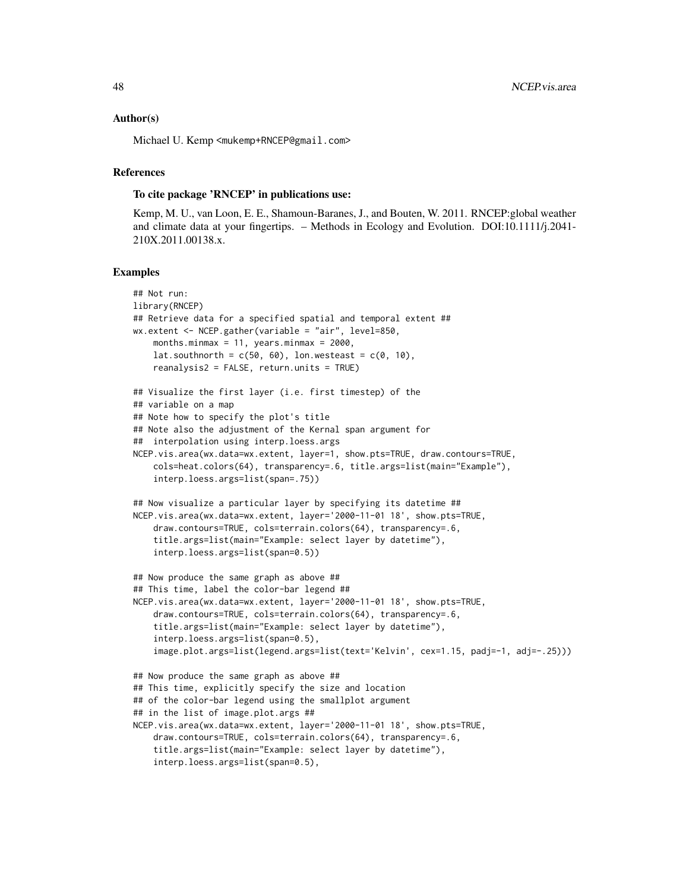#### Author(s)

Michael U. Kemp <mukemp+RNCEP@gmail.com>

# References

# To cite package 'RNCEP' in publications use:

Kemp, M. U., van Loon, E. E., Shamoun-Baranes, J., and Bouten, W. 2011. RNCEP:global weather and climate data at your fingertips. – Methods in Ecology and Evolution. DOI:10.1111/j.2041- 210X.2011.00138.x.

#### Examples

```
## Not run:
library(RNCEP)
## Retrieve data for a specified spatial and temporal extent ##
wx.extent <- NCEP.gather(variable = "air", level=850,
    months.minmax = 11, years.minmax = 2000,
    lat.southnorth = c(50, 60), lon.westeast = c(0, 10),
    reanalysis2 = FALSE, return.units = TRUE)
## Visualize the first layer (i.e. first timestep) of the
## variable on a map
## Note how to specify the plot's title
## Note also the adjustment of the Kernal span argument for
## interpolation using interp.loess.args
NCEP.vis.area(wx.data=wx.extent, layer=1, show.pts=TRUE, draw.contours=TRUE,
    cols=heat.colors(64), transparency=.6, title.args=list(main="Example"),
    interp.loess.args=list(span=.75))
## Now visualize a particular layer by specifying its datetime ##
NCEP.vis.area(wx.data=wx.extent, layer='2000-11-01 18', show.pts=TRUE,
    draw.contours=TRUE, cols=terrain.colors(64), transparency=.6,
    title.args=list(main="Example: select layer by datetime"),
    interp.loess.args=list(span=0.5))
## Now produce the same graph as above ##
## This time, label the color-bar legend ##
NCEP.vis.area(wx.data=wx.extent, layer='2000-11-01 18', show.pts=TRUE,
    draw.contours=TRUE, cols=terrain.colors(64), transparency=.6,
    title.args=list(main="Example: select layer by datetime"),
    interp.loess.args=list(span=0.5),
    image.plot.args=list(legend.args=list(text='Kelvin', cex=1.15, padj=-1, adj=-.25)))
## Now produce the same graph as above ##
## This time, explicitly specify the size and location
## of the color-bar legend using the smallplot argument
## in the list of image.plot.args ##
NCEP.vis.area(wx.data=wx.extent, layer='2000-11-01 18', show.pts=TRUE,
    draw.contours=TRUE, cols=terrain.colors(64), transparency=.6,
    title.args=list(main="Example: select layer by datetime"),
    interp.loess.args=list(span=0.5),
```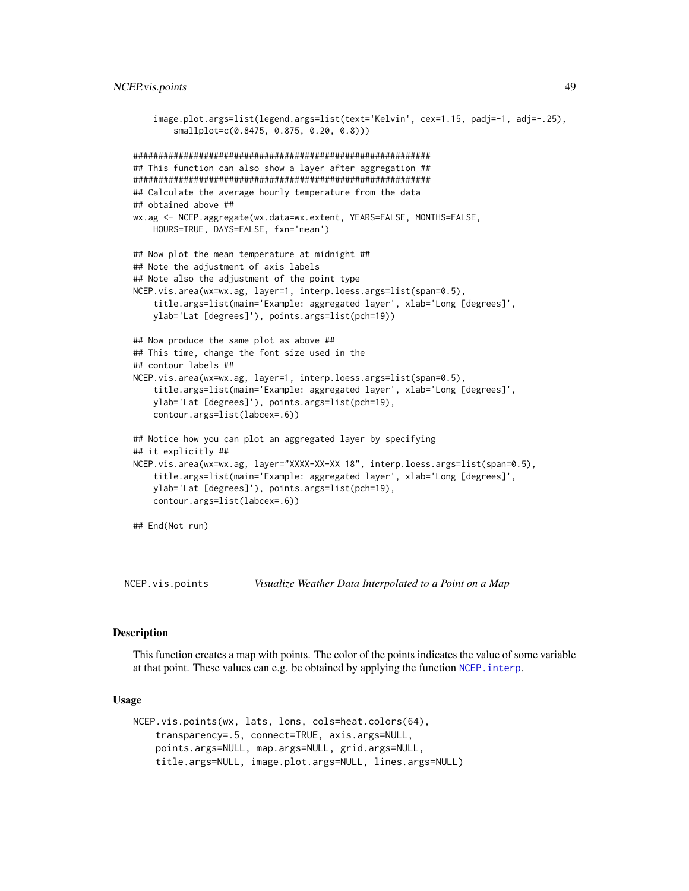```
image.plot.args=list(legend.args=list(text='Kelvin', cex=1.15, padj=-1, adj=-.25),
        smallplot=c(0.8475, 0.875, 0.20, 0.8)))
###########################################################
## This function can also show a layer after aggregation ##
###########################################################
## Calculate the average hourly temperature from the data
## obtained above ##
wx.ag <- NCEP.aggregate(wx.data=wx.extent, YEARS=FALSE, MONTHS=FALSE,
   HOURS=TRUE, DAYS=FALSE, fxn='mean')
## Now plot the mean temperature at midnight ##
## Note the adjustment of axis labels
## Note also the adjustment of the point type
NCEP.vis.area(wx=wx.ag, layer=1, interp.loess.args=list(span=0.5),
    title.args=list(main='Example: aggregated layer', xlab='Long [degrees]',
   ylab='Lat [degrees]'), points.args=list(pch=19))
## Now produce the same plot as above ##
## This time, change the font size used in the
## contour labels ##
NCEP.vis.area(wx=wx.ag, layer=1, interp.loess.args=list(span=0.5),
    title.args=list(main='Example: aggregated layer', xlab='Long [degrees]',
    ylab='Lat [degrees]'), points.args=list(pch=19),
    contour.args=list(labcex=.6))
## Notice how you can plot an aggregated layer by specifying
## it explicitly ##
NCEP.vis.area(wx=wx.ag, layer="XXXX-XX-XX 18", interp.loess.args=list(span=0.5),
    title.args=list(main='Example: aggregated layer', xlab='Long [degrees]',
    ylab='Lat [degrees]'), points.args=list(pch=19),
    contour.args=list(labcex=.6))
## End(Not run)
```
NCEP.vis.points *Visualize Weather Data Interpolated to a Point on a Map*

#### Description

This function creates a map with points. The color of the points indicates the value of some variable at that point. These values can e.g. be obtained by applying the function NCEP. interp.

#### Usage

```
NCEP.vis.points(wx, lats, lons, cols=heat.colors(64),
    transparency=.5, connect=TRUE, axis.args=NULL,
    points.args=NULL, map.args=NULL, grid.args=NULL,
    title.args=NULL, image.plot.args=NULL, lines.args=NULL)
```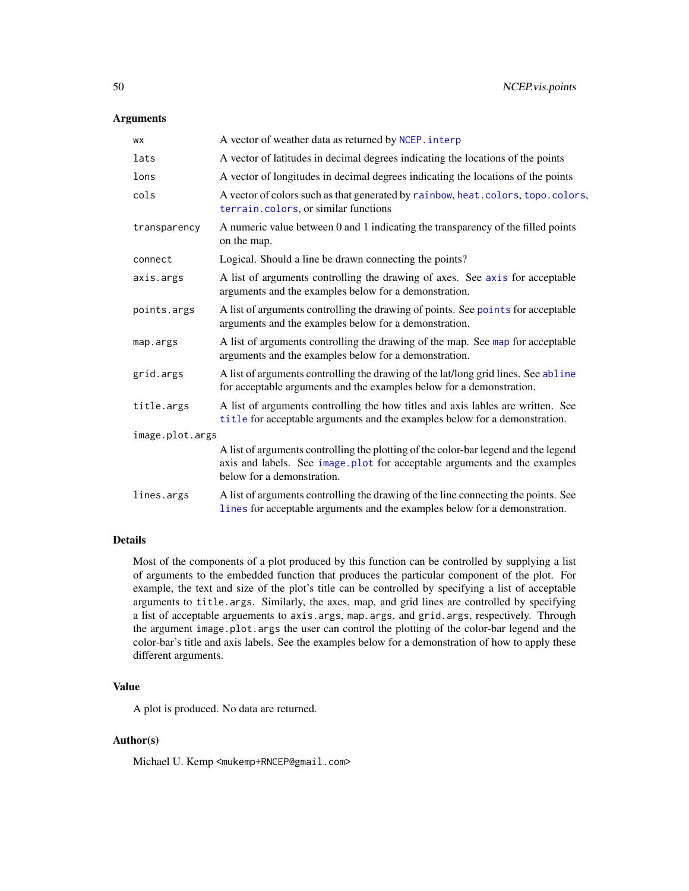# <span id="page-49-0"></span>Arguments

| WX              | A vector of weather data as returned by NCEP. interp                                                                                                                                           |
|-----------------|------------------------------------------------------------------------------------------------------------------------------------------------------------------------------------------------|
| lats            | A vector of latitudes in decimal degrees indicating the locations of the points                                                                                                                |
| lons            | A vector of longitudes in decimal degrees indicating the locations of the points                                                                                                               |
| cols            | A vector of colors such as that generated by rainbow, heat.colors, topo.colors,<br>terrain.colors, or similar functions                                                                        |
| transparency    | A numeric value between 0 and 1 indicating the transparency of the filled points<br>on the map.                                                                                                |
| connect         | Logical. Should a line be drawn connecting the points?                                                                                                                                         |
| axis.args       | A list of arguments controlling the drawing of axes. See axis for acceptable<br>arguments and the examples below for a demonstration.                                                          |
| points.args     | A list of arguments controlling the drawing of points. See points for acceptable<br>arguments and the examples below for a demonstration.                                                      |
| map.args        | A list of arguments controlling the drawing of the map. See map for acceptable<br>arguments and the examples below for a demonstration.                                                        |
| grid.args       | A list of arguments controlling the drawing of the lat/long grid lines. See abline<br>for acceptable arguments and the examples below for a demonstration.                                     |
| title.args      | A list of arguments controlling the how titles and axis lables are written. See<br>title for acceptable arguments and the examples below for a demonstration.                                  |
| image.plot.args |                                                                                                                                                                                                |
|                 | A list of arguments controlling the plotting of the color-bar legend and the legend<br>axis and labels. See image plot for acceptable arguments and the examples<br>below for a demonstration. |
| lines.args      | A list of arguments controlling the drawing of the line connecting the points. See<br>lines for acceptable arguments and the examples below for a demonstration.                               |

# Details

Most of the components of a plot produced by this function can be controlled by supplying a list of arguments to the embedded function that produces the particular component of the plot. For example, the text and size of the plot's title can be controlled by specifying a list of acceptable arguments to title.args. Similarly, the axes, map, and grid lines are controlled by specifying a list of acceptable arguements to axis.args, map.args, and grid.args, respectively. Through the argument image.plot.args the user can control the plotting of the color-bar legend and the color-bar's title and axis labels. See the examples below for a demonstration of how to apply these different arguments.

# Value

A plot is produced. No data are returned.

# Author(s)

Michael U. Kemp <mukemp+RNCEP@gmail.com>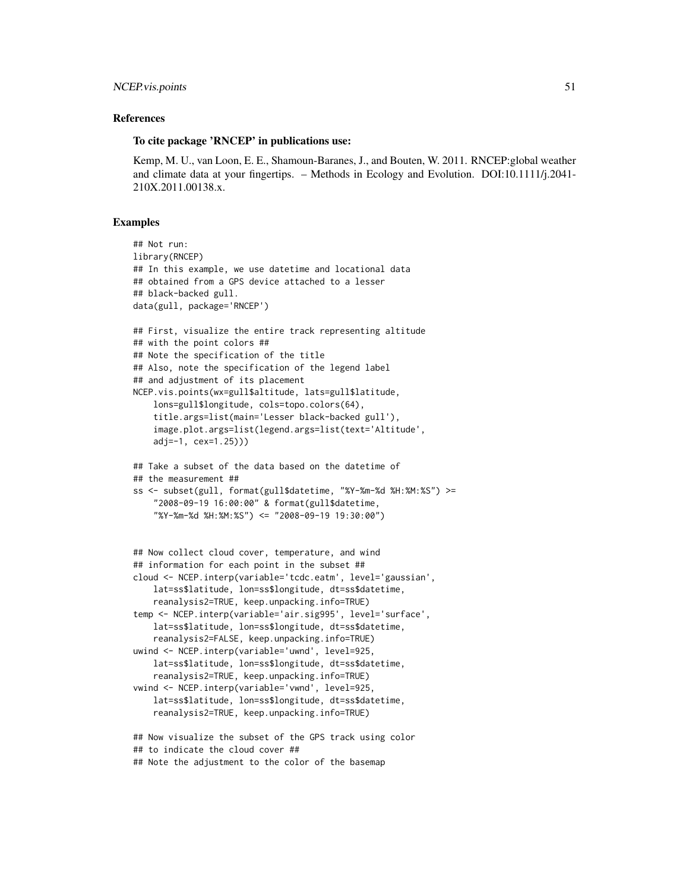# NCEP. vis. points 51

# References

# To cite package 'RNCEP' in publications use:

Kemp, M. U., van Loon, E. E., Shamoun-Baranes, J., and Bouten, W. 2011. RNCEP:global weather and climate data at your fingertips. – Methods in Ecology and Evolution. DOI:10.1111/j.2041- 210X.2011.00138.x.

#### Examples

```
## Not run:
library(RNCEP)
## In this example, we use datetime and locational data
## obtained from a GPS device attached to a lesser
## black-backed gull.
data(gull, package='RNCEP')
## First, visualize the entire track representing altitude
## with the point colors ##
## Note the specification of the title
## Also, note the specification of the legend label
## and adjustment of its placement
NCEP.vis.points(wx=gull$altitude, lats=gull$latitude,
    lons=gull$longitude, cols=topo.colors(64),
    title.args=list(main='Lesser black-backed gull'),
    image.plot.args=list(legend.args=list(text='Altitude',
    adj=-1, cex=1.25)))
## Take a subset of the data based on the datetime of
## the measurement ##
ss <- subset(gull, format(gull$datetime, "%Y-%m-%d %H:%M:%S") >=
    "2008-09-19 16:00:00" & format(gull$datetime,
    "%Y-%m-%d %H:%M:%S") <= "2008-09-19 19:30:00")
```

```
## Now collect cloud cover, temperature, and wind
## information for each point in the subset ##
cloud <- NCEP.interp(variable='tcdc.eatm', level='gaussian',
    lat=ss$latitude, lon=ss$longitude, dt=ss$datetime,
    reanalysis2=TRUE, keep.unpacking.info=TRUE)
temp <- NCEP.interp(variable='air.sig995', level='surface',
    lat=ss$latitude, lon=ss$longitude, dt=ss$datetime,
    reanalysis2=FALSE, keep.unpacking.info=TRUE)
uwind <- NCEP.interp(variable='uwnd', level=925,
   lat=ss$latitude, lon=ss$longitude, dt=ss$datetime,
    reanalysis2=TRUE, keep.unpacking.info=TRUE)
vwind <- NCEP.interp(variable='vwnd', level=925,
    lat=ss$latitude, lon=ss$longitude, dt=ss$datetime,
    reanalysis2=TRUE, keep.unpacking.info=TRUE)
```

```
## Now visualize the subset of the GPS track using color
## to indicate the cloud cover ##
## Note the adjustment to the color of the basemap
```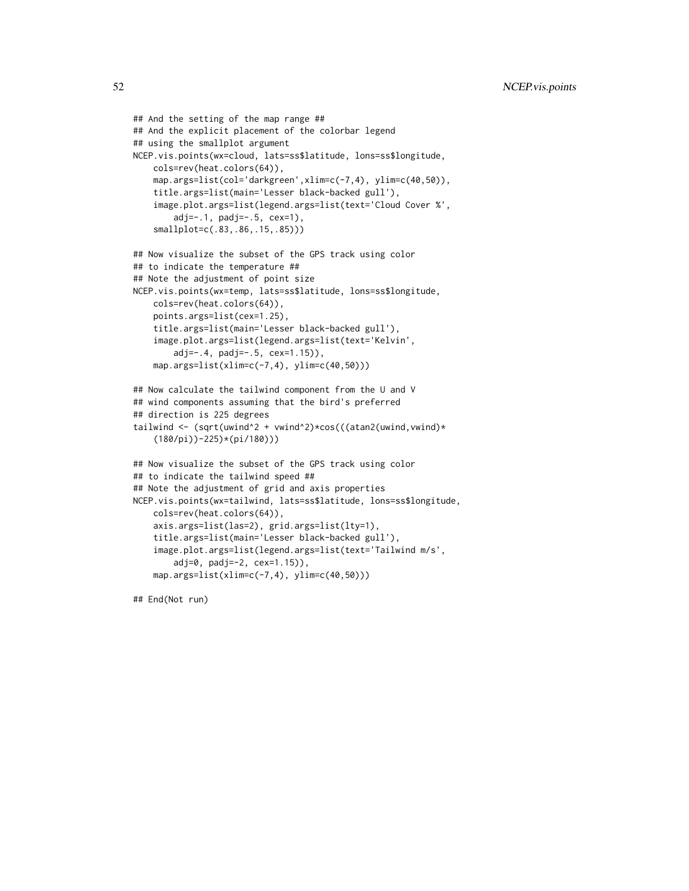```
## And the setting of the map range ##
## And the explicit placement of the colorbar legend
## using the smallplot argument
NCEP.vis.points(wx=cloud, lats=ss$latitude, lons=ss$longitude,
    cols=rev(heat.colors(64)),
    map.args=list(col='darkgreen',xlim=c(-7,4), ylim=c(40,50)),
    title.args=list(main='Lesser black-backed gull'),
    image.plot.args=list(legend.args=list(text='Cloud Cover %',
       adj=-.1, padj=-.5, cex=1),
    smallplot=c(.83,.86,.15,.85)))
## Now visualize the subset of the GPS track using color
## to indicate the temperature ##
## Note the adjustment of point size
NCEP.vis.points(wx=temp, lats=ss$latitude, lons=ss$longitude,
    cols=rev(heat.colors(64)),
   points.args=list(cex=1.25),
    title.args=list(main='Lesser black-backed gull'),
    image.plot.args=list(legend.args=list(text='Kelvin',
       adj=-.4, padj=-.5, cex=1.15)),
   map.args=list(xlim=c(-7,4), ylim=c(40,50)))
## Now calculate the tailwind component from the U and V
## wind components assuming that the bird's preferred
## direction is 225 degrees
tailwind <- (sqrt(uwind^2 + vwind^2)*cos(((atan2(uwind,vwind)*
    (180/pi))-225)*(pi/180)))
## Now visualize the subset of the GPS track using color
## to indicate the tailwind speed ##
## Note the adjustment of grid and axis properties
NCEP.vis.points(wx=tailwind, lats=ss$latitude, lons=ss$longitude,
    cols=rev(heat.colors(64)),
    axis.args=list(las=2), grid.args=list(lty=1),
    title.args=list(main='Lesser black-backed gull'),
    image.plot.args=list(legend.args=list(text='Tailwind m/s',
       adj=0, padj=-2, cex=1.15)),
   map.args=list(xlim=c(-7,4), ylim=c(40,50)))
```
## End(Not run)